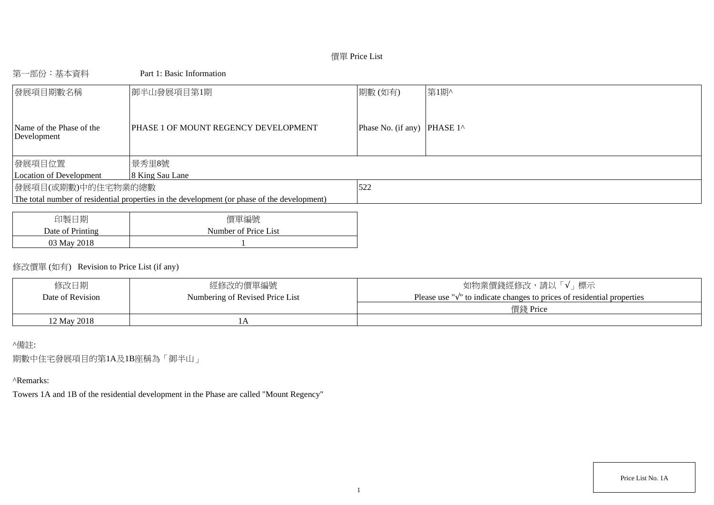# 價單 Price List

# 第一部份:基本資料 Part 1: Basic Information

| 發展項目期數名稱                                | 御半山發展項目第1期                                                                                  | 期數(如有)                      | 第1期^ |
|-----------------------------------------|---------------------------------------------------------------------------------------------|-----------------------------|------|
| Name of the Phase of the<br>Development | PHASE 1 OF MOUNT REGENCY DEVELOPMENT                                                        | Phase No. (if any) PHASE 1^ |      |
| 發展項目位置                                  | 景秀里8號                                                                                       |                             |      |
| Location of Development                 | 8 King Sau Lane                                                                             |                             |      |
| 發展項目(或期數)中的住宅物業的總數                      |                                                                                             | 522                         |      |
|                                         | The total number of residential properties in the development (or phase of the development) |                             |      |
|                                         |                                                                                             |                             |      |
| 了口牛哇 一 升口                               | /用甲基/后叶                                                                                     |                             |      |

| 印製日期             | 價單編號                 |
|------------------|----------------------|
| Date of Printing | Number of Price List |
| 03 May 2018      |                      |

# 修改價單 (如有) Revision to Price List (if any)

| 修改日期             | 經修改的價單編號                        | 如物業價錢經修改,請以「√」標示                                                                  |
|------------------|---------------------------------|-----------------------------------------------------------------------------------|
| Date of Revision | Numbering of Revised Price List | Please use " $\sqrt{ }$ " to indicate changes to prices of residential properties |
|                  |                                 | 價錢 Price                                                                          |
| 12 May 2018      |                                 |                                                                                   |

## ^備註:

期數中住宅發展項目的第1A及1B座稱為「御半山」

## ^Remarks:

Towers 1A and 1B of the residential development in the Phase are called "Mount Regency"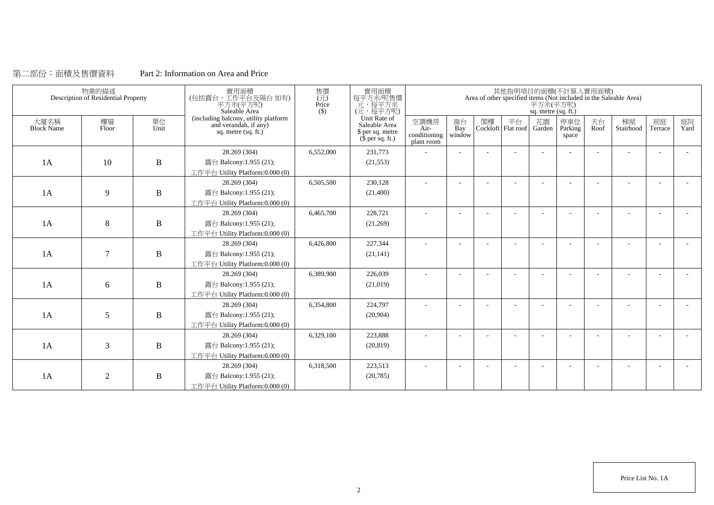## 第二部份:面積及售價資料 Part 2: Information on Area and Price

|                           | 物業的描述<br>Description of Residential Property |              | 實用面積<br>(包括露台,工作平台及陽台如有)<br>平方米(平方呎)<br>Saleable Area                                  | 售價<br>$\overline{(\overline{\tau}\overline{\tau})}$<br>Price<br>$($ \$ | 實用面積<br>每平方米/呎售價<br>元,每平方米<br>(元,每平方呎)                                        |                                            |                          |    |    | 平方米(平方呎)<br>sq. metre (sq. ft.) | 其他指明項目的面積(不計算入實用面積)     |                          | Area of other specified items (Not included in the Saleable Area) |               |            |
|---------------------------|----------------------------------------------|--------------|----------------------------------------------------------------------------------------|------------------------------------------------------------------------|-------------------------------------------------------------------------------|--------------------------------------------|--------------------------|----|----|---------------------------------|-------------------------|--------------------------|-------------------------------------------------------------------|---------------|------------|
| 大廈名稱<br><b>Block Name</b> | 樓層<br>Floor                                  | 單位<br>Unit   | (including balcony, utility platform<br>and verandah, if any)<br>sq. metre $(sq. ft.)$ |                                                                        | Unit Rate of<br>Saleable Area<br>\$ per sq. metre<br>$(\bar{\S}$ per sq. ft.) | 空調機房<br>Air-<br>conditioning<br>plant room | 窗台<br>Bay<br>window      | 閣樓 | 平台 | 花園<br>Cockloft Flat roof Garden | 停車位<br>Parking<br>space | 天台<br>Roof               | 梯屋<br>Stairhood                                                   | 前庭<br>Terrace | 庭院<br>Yard |
|                           |                                              |              | 28.269 (304)                                                                           | 6,552,000                                                              | 231,773                                                                       | ÷                                          | $\sim$                   |    |    |                                 |                         | ÷,                       |                                                                   |               |            |
| 1A                        | 10                                           | B            | 露台 Balcony:1.955 (21);                                                                 |                                                                        | (21, 553)                                                                     |                                            |                          |    |    |                                 |                         |                          |                                                                   |               |            |
|                           |                                              |              | 工作平台 Utility Platform:0.000 (0)                                                        |                                                                        |                                                                               |                                            |                          |    |    |                                 |                         |                          |                                                                   |               |            |
|                           |                                              |              | 28.269 (304)                                                                           | 6,505,500                                                              | 230,128                                                                       | $\overline{\phantom{a}}$                   | $\overline{\phantom{a}}$ |    |    |                                 |                         | $\overline{\phantom{a}}$ |                                                                   |               |            |
| 1A                        | 9                                            | $\, {\bf B}$ | 露台 Balcony:1.955 (21);                                                                 |                                                                        | (21,400)                                                                      |                                            |                          |    |    |                                 |                         |                          |                                                                   |               |            |
|                           |                                              |              | 工作平台 Utility Platform: 0.000 (0)                                                       |                                                                        |                                                                               |                                            |                          |    |    |                                 |                         |                          |                                                                   |               |            |
|                           |                                              |              | 28.269 (304)                                                                           | 6,465,700                                                              | 228,721                                                                       |                                            |                          |    |    |                                 |                         |                          |                                                                   |               |            |
| 1A                        | 8                                            | $\, {\bf B}$ | 露台 Balcony:1.955 (21);                                                                 |                                                                        | (21,269)                                                                      |                                            |                          |    |    |                                 |                         |                          |                                                                   |               |            |
|                           |                                              |              | 工作平台 Utility Platform:0.000 (0)                                                        |                                                                        |                                                                               |                                            |                          |    |    |                                 |                         |                          |                                                                   |               |            |
|                           |                                              |              | 28.269 (304)                                                                           | 6,426,800                                                              | 227,344                                                                       |                                            |                          |    |    |                                 |                         |                          |                                                                   |               |            |
| 1A                        | $\overline{7}$                               | $\, {\bf B}$ | 露台 Balcony:1.955 (21);                                                                 |                                                                        | (21, 141)                                                                     |                                            |                          |    |    |                                 |                         |                          |                                                                   |               |            |
|                           |                                              |              | 工作平台 Utility Platform:0.000 (0)                                                        |                                                                        |                                                                               |                                            |                          |    |    |                                 |                         |                          |                                                                   |               |            |
|                           |                                              |              | 28.269 (304)                                                                           | 6,389,900                                                              | 226,039                                                                       |                                            |                          |    |    |                                 |                         |                          |                                                                   |               |            |
| 1A                        | 6                                            | B            | 露台 Balcony:1.955 (21);                                                                 |                                                                        | (21,019)                                                                      |                                            |                          |    |    |                                 |                         |                          |                                                                   |               |            |
|                           |                                              |              | 工作平台 Utility Platform:0.000 (0)                                                        |                                                                        |                                                                               |                                            |                          |    |    |                                 |                         |                          |                                                                   |               |            |
|                           |                                              |              | 28.269 (304)                                                                           | 6,354,800                                                              | 224,797                                                                       |                                            |                          |    |    |                                 |                         |                          |                                                                   |               |            |
| 1A                        | 5                                            | $\, {\bf B}$ | 露台 Balcony:1.955 (21);                                                                 |                                                                        | (20,904)                                                                      |                                            |                          |    |    |                                 |                         |                          |                                                                   |               |            |
|                           |                                              |              | 工作平台 Utility Platform:0.000 (0)                                                        |                                                                        |                                                                               |                                            |                          |    |    |                                 |                         |                          |                                                                   |               |            |
|                           |                                              |              | 28.269 (304)                                                                           | 6,329,100                                                              | 223,888                                                                       |                                            |                          |    |    |                                 |                         |                          |                                                                   |               |            |
| 1A                        | 3                                            | $\mathbf B$  | 露台 Balcony:1.955 (21);                                                                 |                                                                        | (20, 819)                                                                     |                                            |                          |    |    |                                 |                         |                          |                                                                   |               |            |
|                           |                                              |              | 工作平台 Utility Platform: 0.000 (0)                                                       |                                                                        |                                                                               |                                            |                          |    |    |                                 |                         |                          |                                                                   |               |            |
|                           |                                              |              | 28.269 (304)                                                                           | 6,318,500                                                              | 223,513                                                                       |                                            |                          |    |    |                                 |                         |                          |                                                                   |               |            |
| 1A                        | $\overline{2}$                               | $\, {\bf B}$ | 露台 Balcony:1.955 (21);                                                                 |                                                                        | (20, 785)                                                                     |                                            |                          |    |    |                                 |                         |                          |                                                                   |               |            |
|                           |                                              |              | 工作平台 Utility Platform:0.000 (0)                                                        |                                                                        |                                                                               |                                            |                          |    |    |                                 |                         |                          |                                                                   |               |            |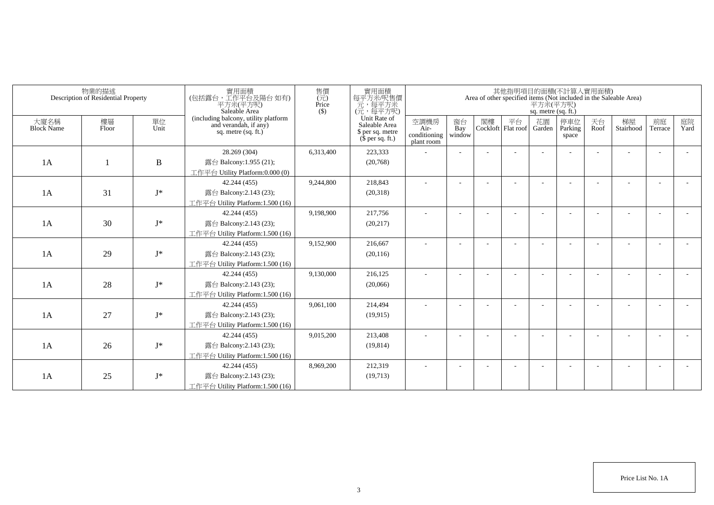|                           | 物業的描述<br>Description of Residential Property |              | 實用面積<br>(包括露台,工作平台及陽台如有)<br>平方米(平方呎)<br>Saleable Area                                  | 售價<br>$(\vec{\pi})$<br>Price<br>$($ \$) | 實用面積<br>每平方米/呎售價<br>一元,每平方米<br>(元,每平方呎)                               |                                            |                          |    |                          | 平方米(平方呎)<br>sq. metre (sq. ft.) | 其他指明項目的面積(不計算入實用面積)     |            | Area of other specified items (Not included in the Saleable Area) |                          |            |
|---------------------------|----------------------------------------------|--------------|----------------------------------------------------------------------------------------|-----------------------------------------|-----------------------------------------------------------------------|--------------------------------------------|--------------------------|----|--------------------------|---------------------------------|-------------------------|------------|-------------------------------------------------------------------|--------------------------|------------|
| 大廈名稱<br><b>Block Name</b> | 樓層<br>Floor                                  | 單位<br>Unit   | (including balcony, utility platform<br>and verandah, if any)<br>sq. metre $(sq, ft.)$ |                                         | Unit Rate of<br>Saleable Area<br>\$ per sq. metre<br>$$$ per sq. ft.) | 空調機房<br>Air-<br>conditioning<br>plant room | 窗台<br>Bay<br>window      | 閣樓 | 平台<br>Cockloft Flat roof | 花園<br>Garden                    | 停車位<br>Parking<br>space | 天台<br>Roof | 梯屋<br>Stairhood                                                   | 前庭<br>Terrace            | 庭院<br>Yard |
|                           |                                              |              | 28.269 (304)                                                                           | 6,313,400                               | 223,333                                                               |                                            |                          |    |                          |                                 |                         |            |                                                                   |                          |            |
| 1A                        |                                              | $\, {\bf B}$ | 露台 Balcony:1.955 (21);                                                                 |                                         | (20,768)                                                              |                                            |                          |    |                          |                                 |                         |            |                                                                   |                          |            |
|                           |                                              |              | 工作平台 Utility Platform:0.000 (0)                                                        |                                         |                                                                       |                                            |                          |    |                          |                                 |                         |            |                                                                   |                          |            |
|                           |                                              |              | 42.244 (455)                                                                           | 9,244,800                               | 218,843                                                               |                                            |                          |    |                          |                                 |                         |            |                                                                   |                          |            |
| 1A                        | 31                                           | $I^*$        | 露台 Balcony:2.143 (23);                                                                 |                                         | (20,318)                                                              |                                            |                          |    |                          |                                 |                         |            |                                                                   |                          |            |
|                           |                                              |              | 工作平台 Utility Platform:1.500 (16)                                                       |                                         |                                                                       |                                            |                          |    |                          |                                 |                         |            |                                                                   |                          |            |
|                           |                                              |              | 42.244 (455)                                                                           | 9,198,900                               | 217,756                                                               | ٠                                          | $\overline{\phantom{a}}$ |    |                          |                                 |                         |            |                                                                   |                          |            |
| 1A                        | 30                                           | $J^*$        | 露台 Balcony:2.143 (23);                                                                 |                                         | (20, 217)                                                             |                                            |                          |    |                          |                                 |                         |            |                                                                   |                          |            |
|                           |                                              |              | 工作平台 Utility Platform: 1.500 (16)                                                      |                                         |                                                                       |                                            |                          |    |                          |                                 |                         |            |                                                                   |                          |            |
|                           |                                              |              | 42.244 (455)                                                                           | 9,152,900                               | 216,667                                                               |                                            |                          |    |                          |                                 |                         |            |                                                                   |                          |            |
| 1A                        | 29                                           | $J^*$        | 露台 Balcony:2.143 (23);                                                                 |                                         | (20, 116)                                                             |                                            |                          |    |                          |                                 |                         |            |                                                                   |                          |            |
|                           |                                              |              | 工作平台 Utility Platform:1.500 (16)                                                       |                                         |                                                                       |                                            |                          |    |                          |                                 |                         |            |                                                                   |                          |            |
|                           |                                              |              | 42.244 (455)                                                                           | 9,130,000                               | 216,125                                                               |                                            |                          |    |                          |                                 |                         |            |                                                                   |                          |            |
| 1A                        | 28                                           | $J^*$        | 露台 Balcony:2.143 (23);                                                                 |                                         | (20,066)                                                              |                                            |                          |    |                          |                                 |                         |            |                                                                   |                          |            |
|                           |                                              |              | 工作平台 Utility Platform: 1.500 (16)                                                      |                                         |                                                                       |                                            |                          |    |                          |                                 |                         |            |                                                                   |                          |            |
|                           |                                              |              | 42.244 (455)                                                                           | 9,061,100                               | 214,494                                                               |                                            |                          |    |                          |                                 |                         |            |                                                                   |                          |            |
| 1A                        | 27                                           | $J^*$        | 露台 Balcony:2.143 (23);                                                                 |                                         | (19, 915)                                                             |                                            |                          |    |                          |                                 |                         |            |                                                                   |                          |            |
|                           |                                              |              | 工作平台 Utility Platform:1.500 (16)                                                       |                                         |                                                                       |                                            |                          |    |                          |                                 |                         |            |                                                                   |                          |            |
|                           |                                              |              | 42.244 (455)                                                                           | 9,015,200                               | 213,408                                                               |                                            |                          |    |                          |                                 |                         |            |                                                                   | $\overline{\phantom{a}}$ |            |
| 1A                        | 26                                           | $J^*$        | 露台 Balcony:2.143 (23);                                                                 |                                         | (19, 814)                                                             |                                            |                          |    |                          |                                 |                         |            |                                                                   |                          |            |
|                           |                                              |              | 工作平台 Utility Platform: 1.500 (16)                                                      |                                         |                                                                       |                                            |                          |    |                          |                                 |                         |            |                                                                   |                          |            |
|                           |                                              |              | 42.244 (455)                                                                           | 8,969,200                               | 212,319                                                               |                                            |                          |    |                          |                                 |                         |            |                                                                   |                          |            |
| 1A                        | 25                                           | $J^*$        | 露台 Balcony:2.143 (23);                                                                 |                                         | (19,713)                                                              |                                            |                          |    |                          |                                 |                         |            |                                                                   |                          |            |
|                           |                                              |              | 工作平台 Utility Platform:1.500 (16)                                                       |                                         |                                                                       |                                            |                          |    |                          |                                 |                         |            |                                                                   |                          |            |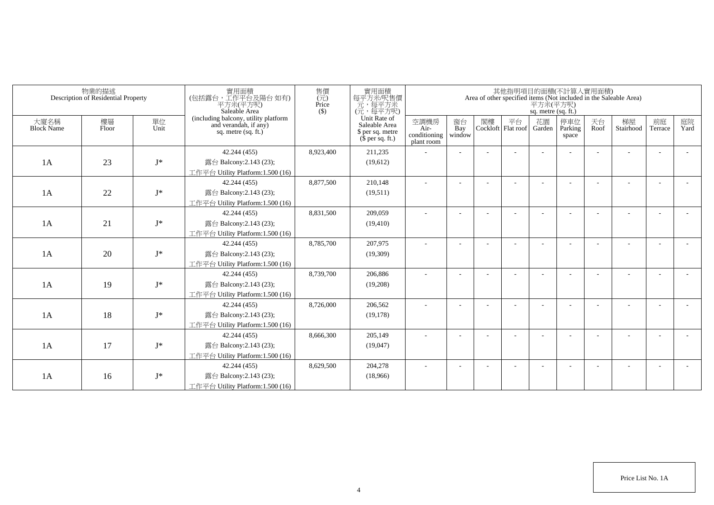|                           | 物業的描述<br>Description of Residential Property |            | 實用面積<br>(包括露台,工作平台及陽台如有)<br>平方米(平方呎)<br>Saleable Area                                  | 售價<br>$(\vec{\pi})$<br>Price<br>$($ \$) | 實用面積<br>每平方米/呎售價<br>一元,每平方米<br>(元,每平方呎)                               |                                            |                          |    |                          | 平方米(平方呎)<br>sq. metre (sq. ft.) | 其他指明項目的面積(不計算入實用面積)     |            | Area of other specified items (Not included in the Saleable Area) |                          |            |
|---------------------------|----------------------------------------------|------------|----------------------------------------------------------------------------------------|-----------------------------------------|-----------------------------------------------------------------------|--------------------------------------------|--------------------------|----|--------------------------|---------------------------------|-------------------------|------------|-------------------------------------------------------------------|--------------------------|------------|
| 大廈名稱<br><b>Block Name</b> | 樓層<br>Floor                                  | 單位<br>Unit | (including balcony, utility platform<br>and verandah, if any)<br>sq. metre $(sq, ft.)$ |                                         | Unit Rate of<br>Saleable Area<br>\$ per sq. metre<br>$$$ per sq. ft.) | 空調機房<br>Air-<br>conditioning<br>plant room | 窗台<br>Bay<br>window      | 閣樓 | 平台<br>Cockloft Flat roof | 花園<br>Garden                    | 停車位<br>Parking<br>space | 天台<br>Roof | 梯屋<br>Stairhood                                                   | 前庭<br>Terrace            | 庭院<br>Yard |
|                           |                                              |            | 42.244 (455)                                                                           | 8,923,400                               | 211,235                                                               |                                            |                          |    |                          |                                 |                         |            |                                                                   |                          |            |
| 1A                        | 23                                           | $I^*$      | 露台 Balcony:2.143 (23);                                                                 |                                         | (19,612)                                                              |                                            |                          |    |                          |                                 |                         |            |                                                                   |                          |            |
|                           |                                              |            | 工作平台 Utility Platform:1.500 (16)                                                       |                                         |                                                                       |                                            |                          |    |                          |                                 |                         |            |                                                                   |                          |            |
|                           |                                              |            | 42.244 (455)                                                                           | 8,877,500                               | 210,148                                                               |                                            |                          |    |                          |                                 |                         |            |                                                                   |                          |            |
| 1A                        | 22                                           | $I^*$      | 露台 Balcony:2.143 (23);                                                                 |                                         | (19,511)                                                              |                                            |                          |    |                          |                                 |                         |            |                                                                   |                          |            |
|                           |                                              |            | 工作平台 Utility Platform:1.500 (16)                                                       |                                         |                                                                       |                                            |                          |    |                          |                                 |                         |            |                                                                   |                          |            |
|                           |                                              |            | 42.244 (455)                                                                           | 8,831,500                               | 209,059                                                               | ٠                                          | $\overline{\phantom{a}}$ |    |                          |                                 |                         |            |                                                                   |                          |            |
| 1A                        | 21                                           | $J^*$      | 露台 Balcony:2.143 (23);                                                                 |                                         | (19, 410)                                                             |                                            |                          |    |                          |                                 |                         |            |                                                                   |                          |            |
|                           |                                              |            | 工作平台 Utility Platform: 1.500 (16)                                                      |                                         |                                                                       |                                            |                          |    |                          |                                 |                         |            |                                                                   |                          |            |
|                           |                                              |            | 42.244 (455)                                                                           | 8,785,700                               | 207,975                                                               |                                            |                          |    |                          |                                 |                         |            |                                                                   |                          |            |
| 1A                        | 20                                           | $J^*$      | 露台 Balcony:2.143 (23);                                                                 |                                         | (19,309)                                                              |                                            |                          |    |                          |                                 |                         |            |                                                                   |                          |            |
|                           |                                              |            | 工作平台 Utility Platform:1.500 (16)                                                       |                                         |                                                                       |                                            |                          |    |                          |                                 |                         |            |                                                                   |                          |            |
|                           |                                              |            | 42.244 (455)                                                                           | 8,739,700                               | 206,886                                                               |                                            |                          |    |                          |                                 |                         |            |                                                                   |                          |            |
| 1A                        | 19                                           | $J^*$      | 露台 Balcony:2.143 (23);                                                                 |                                         | (19,208)                                                              |                                            |                          |    |                          |                                 |                         |            |                                                                   |                          |            |
|                           |                                              |            | 工作平台 Utility Platform: 1.500 (16)                                                      |                                         |                                                                       |                                            |                          |    |                          |                                 |                         |            |                                                                   |                          |            |
|                           |                                              |            | 42.244 (455)                                                                           | 8,726,000                               | 206,562                                                               |                                            |                          |    |                          |                                 |                         |            |                                                                   |                          |            |
| 1A                        | 18                                           | $J^*$      | 露台 Balcony:2.143 (23);                                                                 |                                         | (19, 178)                                                             |                                            |                          |    |                          |                                 |                         |            |                                                                   |                          |            |
|                           |                                              |            | 工作平台 Utility Platform:1.500 (16)                                                       |                                         |                                                                       |                                            |                          |    |                          |                                 |                         |            |                                                                   |                          |            |
|                           |                                              |            | 42.244 (455)                                                                           | 8,666,300                               | 205,149                                                               |                                            |                          |    |                          |                                 |                         |            |                                                                   | $\overline{\phantom{a}}$ |            |
| 1A                        | 17                                           | $J^*$      | 露台 Balcony:2.143 (23);                                                                 |                                         | (19,047)                                                              |                                            |                          |    |                          |                                 |                         |            |                                                                   |                          |            |
|                           |                                              |            | 工作平台 Utility Platform:1.500 (16)                                                       |                                         |                                                                       |                                            |                          |    |                          |                                 |                         |            |                                                                   |                          |            |
|                           |                                              |            | 42.244 (455)                                                                           | 8,629,500                               | 204,278                                                               |                                            |                          |    |                          |                                 |                         |            |                                                                   | <b>.</b>                 |            |
| 1A                        | 16                                           | $J^*$      | 露台 Balcony:2.143 (23);                                                                 |                                         | (18,966)                                                              |                                            |                          |    |                          |                                 |                         |            |                                                                   |                          |            |
|                           |                                              |            | 工作平台 Utility Platform:1.500 (16)                                                       |                                         |                                                                       |                                            |                          |    |                          |                                 |                         |            |                                                                   |                          |            |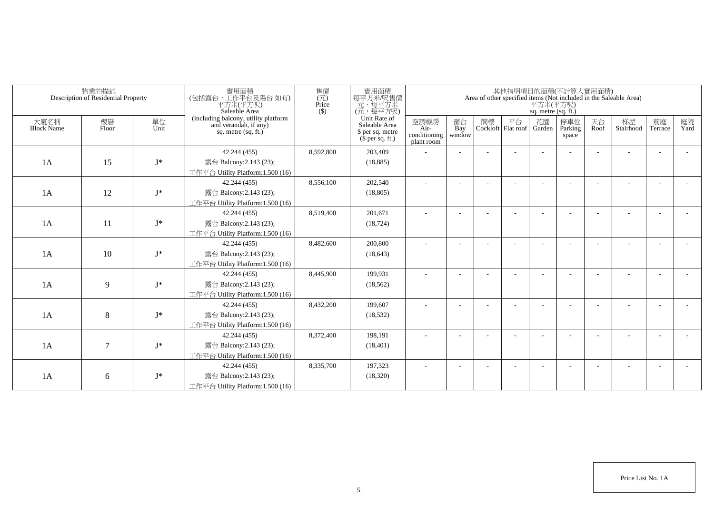|                           | 物業的描述<br>Description of Residential Property |            | 實用面積<br>(包括露台,工作平台及陽台如有)<br>平方米(平方呎)<br>Saleable Area                                  | 售價<br>$(\vec{\pi})$<br>Price<br>$($ \$) | 實用面積<br>每平方米/呎售價<br>一元,每平方米<br>(元,每平方呎)                               |                                            |                          |    |                            | 平方米(平方呎)<br>sq. metre (sq. ft.) | 其他指明項目的面積(不計算入實用面積)     |            | Area of other specified items (Not included in the Saleable Area) |                          |            |
|---------------------------|----------------------------------------------|------------|----------------------------------------------------------------------------------------|-----------------------------------------|-----------------------------------------------------------------------|--------------------------------------------|--------------------------|----|----------------------------|---------------------------------|-------------------------|------------|-------------------------------------------------------------------|--------------------------|------------|
| 大廈名稱<br><b>Block Name</b> | 樓層<br>Floor                                  | 單位<br>Unit | (including balcony, utility platform<br>and verandah, if any)<br>sq. metre $(sq, ft.)$ |                                         | Unit Rate of<br>Saleable Area<br>\$ per sq. metre<br>$$$ per sq. ft.) | 空調機房<br>Air-<br>conditioning<br>plant room | 窗台<br>Bay<br>window      | 閣樓 | 平台<br>Cockloft   Flat roof | 花園<br>Garden                    | 停車位<br>Parking<br>space | 天台<br>Roof | 梯屋<br>Stairhood                                                   | 前庭<br>Terrace            | 庭院<br>Yard |
|                           |                                              |            | 42.244 (455)                                                                           | 8,592,800                               | 203.409                                                               |                                            |                          |    |                            |                                 |                         |            |                                                                   |                          |            |
| 1A                        | 15                                           | $J^*$      | 露台 Balcony:2.143 (23);                                                                 |                                         | (18, 885)                                                             |                                            |                          |    |                            |                                 |                         |            |                                                                   |                          |            |
|                           |                                              |            | 工作平台 Utility Platform:1.500 (16)                                                       |                                         |                                                                       |                                            |                          |    |                            |                                 |                         |            |                                                                   |                          |            |
|                           |                                              |            | 42.244 (455)                                                                           | 8,556,100                               | 202,540                                                               |                                            |                          |    |                            |                                 |                         |            |                                                                   |                          |            |
| 1A                        | 12                                           | $J^*$      | 露台 Balcony:2.143 (23);                                                                 |                                         | (18, 805)                                                             |                                            |                          |    |                            |                                 |                         |            |                                                                   |                          |            |
|                           |                                              |            | 工作平台 Utility Platform: 1.500 (16)                                                      |                                         |                                                                       |                                            |                          |    |                            |                                 |                         |            |                                                                   |                          |            |
|                           |                                              |            | 42.244 (455)                                                                           | 8,519,400                               | 201,671                                                               |                                            |                          |    |                            |                                 |                         |            |                                                                   |                          |            |
| 1A                        | 11                                           | $J^*$      | 露台 Balcony:2.143 (23);                                                                 |                                         | (18, 724)                                                             |                                            |                          |    |                            |                                 |                         |            |                                                                   |                          |            |
|                           |                                              |            | 工作平台 Utility Platform: 1.500 (16)                                                      |                                         |                                                                       |                                            |                          |    |                            |                                 |                         |            |                                                                   |                          |            |
|                           |                                              |            | 42.244 (455)                                                                           | 8,482,600                               | 200,800                                                               |                                            |                          |    |                            |                                 |                         |            |                                                                   |                          |            |
| 1A                        | 10                                           | $J^*$      | 露台 Balcony:2.143 (23);                                                                 |                                         | (18, 643)                                                             |                                            |                          |    |                            |                                 |                         |            |                                                                   |                          |            |
|                           |                                              |            | 工作平台 Utility Platform:1.500 (16)                                                       |                                         |                                                                       |                                            |                          |    |                            |                                 |                         |            |                                                                   |                          |            |
|                           |                                              |            | 42.244 (455)                                                                           | 8,445,900                               | 199,931                                                               | ٠                                          |                          |    |                            |                                 |                         |            |                                                                   | $\overline{\phantom{a}}$ |            |
| 1A                        | 9                                            | $J^*$      | 露台 Balcony:2.143 (23);                                                                 |                                         | (18, 562)                                                             |                                            |                          |    |                            |                                 |                         |            |                                                                   |                          |            |
|                           |                                              |            | 工作平台 Utility Platform:1.500 (16)                                                       |                                         |                                                                       |                                            |                          |    |                            |                                 |                         |            |                                                                   |                          |            |
|                           |                                              |            | 42.244 (455)                                                                           | 8,432,200                               | 199,607                                                               |                                            |                          |    |                            |                                 |                         |            |                                                                   |                          |            |
| 1A                        | 8                                            | $J^*$      | 露台 Balcony:2.143 (23);                                                                 |                                         | (18, 532)                                                             |                                            |                          |    |                            |                                 |                         |            |                                                                   |                          |            |
|                           |                                              |            | 工作平台 Utility Platform: 1.500 (16)                                                      |                                         |                                                                       |                                            |                          |    |                            |                                 |                         |            |                                                                   |                          |            |
|                           |                                              |            | 42.244 (455)                                                                           | 8,372,400                               | 198,191                                                               | ÷                                          | $\overline{\phantom{a}}$ |    |                            |                                 |                         |            |                                                                   | $\overline{\phantom{a}}$ |            |
| 1A                        | $\overline{7}$                               | $J^*$      | 露台 Balcony:2.143 (23);                                                                 |                                         | (18, 401)                                                             |                                            |                          |    |                            |                                 |                         |            |                                                                   |                          |            |
|                           |                                              |            | 工作平台 Utility Platform:1.500 (16)                                                       |                                         |                                                                       |                                            |                          |    |                            |                                 |                         |            |                                                                   |                          |            |
|                           |                                              |            | 42.244 (455)                                                                           | 8,335,700                               | 197.323                                                               |                                            |                          |    |                            |                                 |                         |            |                                                                   |                          |            |
| 1A                        | 6                                            | $J^*$      | 露台 Balcony:2.143 (23);                                                                 |                                         | (18,320)                                                              |                                            |                          |    |                            |                                 |                         |            |                                                                   |                          |            |
|                           |                                              |            | 工作平台 Utility Platform: 1.500 (16)                                                      |                                         |                                                                       |                                            |                          |    |                            |                                 |                         |            |                                                                   |                          |            |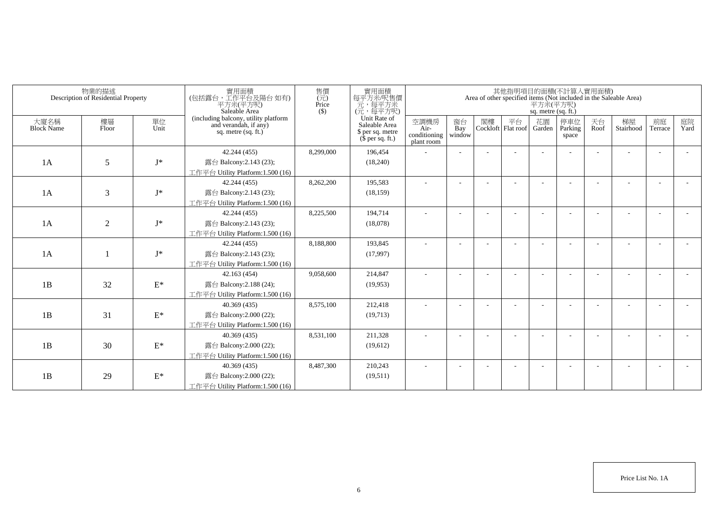|                           | 物業的描述<br>Description of Residential Property |                 | 實用面積<br>(包括露台,工作平台及陽台如有)<br>平方米(平方呎)<br>Saleable Area                                  | 售價<br>$(\vec{\pi})$<br>Price<br>$($ \$) | 實用面積<br>每平方米/呎售價<br>一元,每平方米<br>(元,每平方呎)                               |                                            |                          |    |                          | 平方米(平方呎)<br>sq. metre (sq. ft.) | 其他指明項目的面積(不計算入實用面積)     |            | Area of other specified items (Not included in the Saleable Area) |                          |            |
|---------------------------|----------------------------------------------|-----------------|----------------------------------------------------------------------------------------|-----------------------------------------|-----------------------------------------------------------------------|--------------------------------------------|--------------------------|----|--------------------------|---------------------------------|-------------------------|------------|-------------------------------------------------------------------|--------------------------|------------|
| 大廈名稱<br><b>Block Name</b> | 樓層<br>Floor                                  | 單位<br>Unit      | (including balcony, utility platform<br>and verandah, if any)<br>sq. metre $(sq, ft.)$ |                                         | Unit Rate of<br>Saleable Area<br>\$ per sq. metre<br>$$$ per sq. ft.) | 空調機房<br>Air-<br>conditioning<br>plant room | 窗台<br>Bay<br>window      | 閣樓 | 平台<br>Cockloft Flat roof | 花園<br>Garden                    | 停車位<br>Parking<br>space | 天台<br>Roof | 梯屋<br>Stairhood                                                   | 前庭<br>Terrace            | 庭院<br>Yard |
|                           |                                              |                 | 42.244 (455)                                                                           | 8,299,000                               | 196,454                                                               |                                            |                          |    |                          |                                 |                         |            |                                                                   |                          |            |
| 1A                        | 5                                            | $I^*$           | 露台 Balcony:2.143 (23);                                                                 |                                         | (18,240)                                                              |                                            |                          |    |                          |                                 |                         |            |                                                                   |                          |            |
|                           |                                              |                 | 工作平台 Utility Platform:1.500 (16)                                                       |                                         |                                                                       |                                            |                          |    |                          |                                 |                         |            |                                                                   |                          |            |
|                           |                                              |                 | 42.244 (455)                                                                           | 8,262,200                               | 195,583                                                               |                                            |                          |    |                          |                                 |                         |            |                                                                   |                          |            |
| 1A                        | 3                                            | $I^*$           | 露台 Balcony:2.143 (23);                                                                 |                                         | (18, 159)                                                             |                                            |                          |    |                          |                                 |                         |            |                                                                   |                          |            |
|                           |                                              |                 | 工作平台 Utility Platform:1.500 (16)                                                       |                                         |                                                                       |                                            |                          |    |                          |                                 |                         |            |                                                                   |                          |            |
|                           |                                              |                 | 42.244 (455)                                                                           | 8,225,500                               | 194,714                                                               | ٠                                          | $\overline{\phantom{a}}$ |    |                          |                                 |                         |            |                                                                   |                          |            |
| 1A                        | $\overline{2}$                               | $J^*$           | 露台 Balcony:2.143 (23);                                                                 |                                         | (18,078)                                                              |                                            |                          |    |                          |                                 |                         |            |                                                                   |                          |            |
|                           |                                              |                 | 工作平台 Utility Platform: 1.500 (16)                                                      |                                         |                                                                       |                                            |                          |    |                          |                                 |                         |            |                                                                   |                          |            |
|                           |                                              |                 | 42.244 (455)                                                                           | 8,188,800                               | 193,845                                                               |                                            |                          |    |                          |                                 |                         |            |                                                                   |                          |            |
| 1A                        |                                              | $J^*$           | 露台 Balcony:2.143 (23);                                                                 |                                         | (17,997)                                                              |                                            |                          |    |                          |                                 |                         |            |                                                                   |                          |            |
|                           |                                              |                 | 工作平台 Utility Platform:1.500 (16)                                                       |                                         |                                                                       |                                            |                          |    |                          |                                 |                         |            |                                                                   |                          |            |
|                           |                                              |                 | 42.163 (454)                                                                           | 9,058,600                               | 214,847                                                               |                                            |                          |    |                          |                                 |                         |            |                                                                   |                          |            |
| 1B                        | 32                                           | $\mathcal{E}^*$ | 露台 Balcony: 2.188 (24);                                                                |                                         | (19,953)                                                              |                                            |                          |    |                          |                                 |                         |            |                                                                   |                          |            |
|                           |                                              |                 | 工作平台 Utility Platform: 1.500 (16)                                                      |                                         |                                                                       |                                            |                          |    |                          |                                 |                         |            |                                                                   |                          |            |
|                           |                                              |                 | 40.369 (435)                                                                           | 8,575,100                               | 212,418                                                               |                                            |                          |    |                          |                                 |                         |            |                                                                   |                          |            |
| 1B                        | 31                                           | $\mathcal{E}^*$ | 露台 Balcony:2.000 (22);                                                                 |                                         | (19,713)                                                              |                                            |                          |    |                          |                                 |                         |            |                                                                   |                          |            |
|                           |                                              |                 | 工作平台 Utility Platform: 1.500 (16)                                                      |                                         |                                                                       |                                            |                          |    |                          |                                 |                         |            |                                                                   |                          |            |
|                           |                                              |                 | 40.369 (435)                                                                           | 8,531,100                               | 211,328                                                               |                                            |                          |    |                          |                                 |                         |            |                                                                   | $\overline{\phantom{a}}$ |            |
| 1B                        | 30                                           | $\mathcal{E}^*$ | 露台 Balcony:2.000 (22);                                                                 |                                         | (19,612)                                                              |                                            |                          |    |                          |                                 |                         |            |                                                                   |                          |            |
|                           |                                              |                 | 工作平台 Utility Platform: 1.500 (16)                                                      |                                         |                                                                       |                                            |                          |    |                          |                                 |                         |            |                                                                   |                          |            |
|                           |                                              |                 | 40.369 (435)                                                                           | 8,487,300                               | 210,243                                                               |                                            |                          |    |                          |                                 |                         |            |                                                                   |                          |            |
| 1B                        | 29                                           | $\mathcal{E}^*$ | 露台 Balcony:2.000 (22);                                                                 |                                         | (19,511)                                                              |                                            |                          |    |                          |                                 |                         |            |                                                                   |                          |            |
|                           |                                              |                 | 工作平台 Utility Platform:1.500 (16)                                                       |                                         |                                                                       |                                            |                          |    |                          |                                 |                         |            |                                                                   |                          |            |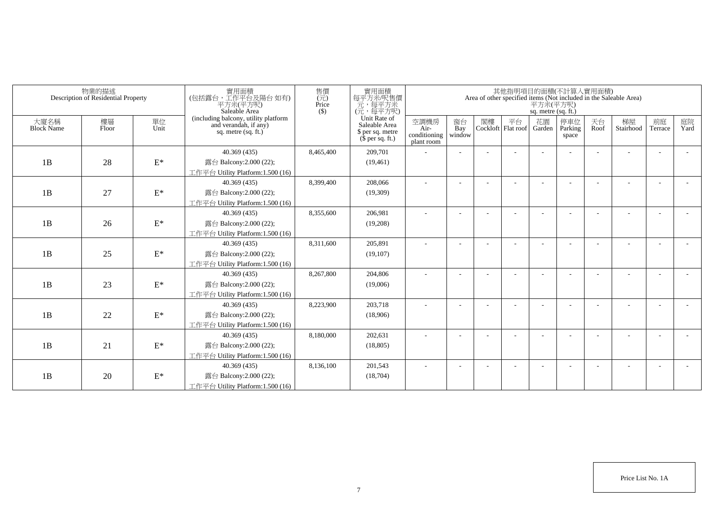|                           | 物業的描述<br>Description of Residential Property |                 | 實用面積<br>(包括露台,工作平台及陽台如有)<br>平方米(平方呎)<br>Saleable Area                                  | 售價<br>$(\vec{\pi})$<br>Price<br>$($ \$) | 實用面積<br>每平方米吧售價<br>元,每平方米<br>(元,每平方呎)                                 |                                            |                          |    |                          | 平方米(平方呎)<br>sq. metre (sq. ft.) | 其他指明項目的面積(不計算入實用面積)     |            | Area of other specified items (Not included in the Saleable Area) |                          |            |
|---------------------------|----------------------------------------------|-----------------|----------------------------------------------------------------------------------------|-----------------------------------------|-----------------------------------------------------------------------|--------------------------------------------|--------------------------|----|--------------------------|---------------------------------|-------------------------|------------|-------------------------------------------------------------------|--------------------------|------------|
| 大廈名稱<br><b>Block Name</b> | 樓層<br>Floor                                  | 單位<br>Unit      | (including balcony, utility platform<br>and verandah, if any)<br>sq. metre $(sq, ft.)$ |                                         | Unit Rate of<br>Saleable Area<br>\$ per sq. metre<br>$$$ per sq. ft.) | 空調機房<br>Air-<br>conditioning<br>plant room | 窗台<br>Bay<br>window      | 閣樓 | 平台<br>Cockloft Flat roof | 花園<br>Garden                    | 停車位<br>Parking<br>space | 天台<br>Roof | 梯屋<br>Stairhood                                                   | 前庭<br>Terrace            | 庭院<br>Yard |
|                           |                                              |                 | 40.369 (435)                                                                           | 8,465,400                               | 209,701                                                               |                                            |                          |    |                          |                                 |                         |            |                                                                   |                          |            |
| 1B                        | 28                                           | $\mathcal{E}^*$ | 露台 Balcony:2.000 (22);                                                                 |                                         | (19, 461)                                                             |                                            |                          |    |                          |                                 |                         |            |                                                                   |                          |            |
|                           |                                              |                 | 工作平台 Utility Platform:1.500 (16)                                                       |                                         |                                                                       |                                            |                          |    |                          |                                 |                         |            |                                                                   |                          |            |
|                           |                                              |                 | 40.369 (435)                                                                           | 8,399,400                               | 208,066                                                               |                                            |                          |    |                          |                                 |                         |            |                                                                   |                          |            |
| 1B                        | 27                                           | $\mathbf{E}^*$  | 露台 Balcony:2.000 (22);                                                                 |                                         | (19,309)                                                              |                                            |                          |    |                          |                                 |                         |            |                                                                   |                          |            |
|                           |                                              |                 | 工作平台 Utility Platform:1.500 (16)                                                       |                                         |                                                                       |                                            |                          |    |                          |                                 |                         |            |                                                                   |                          |            |
|                           |                                              |                 | 40.369 (435)                                                                           | 8,355,600                               | 206,981                                                               | $\sim$                                     | $\overline{\phantom{a}}$ |    |                          |                                 |                         |            |                                                                   |                          |            |
| 1B                        | 26                                           | $\mathcal{E}^*$ | 露台 Balcony:2.000 (22);                                                                 |                                         | (19,208)                                                              |                                            |                          |    |                          |                                 |                         |            |                                                                   |                          |            |
|                           |                                              |                 | 工作平台 Utility Platform: 1.500 (16)                                                      |                                         |                                                                       |                                            |                          |    |                          |                                 |                         |            |                                                                   |                          |            |
|                           |                                              |                 | 40.369 (435)                                                                           | 8,311,600                               | 205,891                                                               |                                            |                          |    |                          |                                 |                         |            |                                                                   |                          |            |
| 1B                        | 25                                           | $\mathbf{E}^*$  | 露台 Balcony:2.000 (22);                                                                 |                                         | (19,107)                                                              |                                            |                          |    |                          |                                 |                         |            |                                                                   |                          |            |
|                           |                                              |                 | 工作平台 Utility Platform:1.500 (16)                                                       |                                         |                                                                       |                                            |                          |    |                          |                                 |                         |            |                                                                   |                          |            |
|                           |                                              |                 | 40.369 (435)                                                                           | 8,267,800                               | 204,806                                                               |                                            |                          |    |                          |                                 |                         |            |                                                                   |                          |            |
| 1B                        | 23                                           | $\mathcal{E}^*$ | 露台 Balcony:2.000 (22);                                                                 |                                         | (19,006)                                                              |                                            |                          |    |                          |                                 |                         |            |                                                                   |                          |            |
|                           |                                              |                 | 工作平台 Utility Platform: 1.500 (16)                                                      |                                         |                                                                       |                                            |                          |    |                          |                                 |                         |            |                                                                   |                          |            |
|                           |                                              |                 | 40.369 (435)                                                                           | 8,223,900                               | 203,718                                                               |                                            |                          |    |                          |                                 |                         |            |                                                                   |                          |            |
| 1B                        | 22                                           | $\mathcal{E}^*$ | 露台 Balcony:2.000 (22);                                                                 |                                         | (18,906)                                                              |                                            |                          |    |                          |                                 |                         |            |                                                                   |                          |            |
|                           |                                              |                 | 工作平台 Utility Platform:1.500 (16)                                                       |                                         |                                                                       |                                            |                          |    |                          |                                 |                         |            |                                                                   |                          |            |
|                           |                                              |                 | 40.369 (435)                                                                           | 8,180,000                               | 202,631                                                               |                                            |                          |    |                          |                                 |                         |            |                                                                   | $\overline{\phantom{a}}$ |            |
| 1B                        | 21                                           | $\mathcal{E}^*$ | 露台 Balcony:2.000 (22);                                                                 |                                         | (18, 805)                                                             |                                            |                          |    |                          |                                 |                         |            |                                                                   |                          |            |
|                           |                                              |                 | 工作平台 Utility Platform: 1.500 (16)                                                      |                                         |                                                                       |                                            |                          |    |                          |                                 |                         |            |                                                                   |                          |            |
|                           |                                              |                 | 40.369 (435)                                                                           | 8,136,100                               | 201,543                                                               |                                            |                          |    |                          |                                 |                         |            |                                                                   |                          |            |
| 1B                        | 20                                           | $\mathcal{E}^*$ | 露台 Balcony:2.000 (22);                                                                 |                                         | (18,704)                                                              |                                            |                          |    |                          |                                 |                         |            |                                                                   |                          |            |
|                           |                                              |                 | 工作平台 Utility Platform:1.500 (16)                                                       |                                         |                                                                       |                                            |                          |    |                          |                                 |                         |            |                                                                   |                          |            |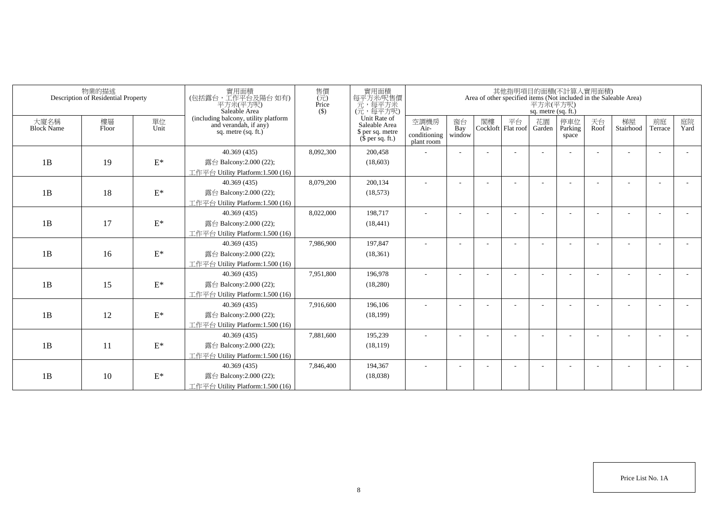|                           | 物業的描述<br>Description of Residential Property |                 | 實用面積<br>(包括露台,工作平台及陽台如有)<br>平方米(平方呎)<br>Saleable Area                                  | 售價<br>$\overline{(\overline{\tau}\overline{\tau})}$<br>Price<br>$($ \$ | 實用面積<br>每平方米/呎售價<br>元,每平方米<br>(元,每平方呎)                                |                                            |                          |    |                                 | 平方米(平方呎)<br>sq. metre (sq. ft.) | 其他指明項目的面積(不計算入實用面積)      |            | Area of other specified items (Not included in the Saleable Area) |                          |            |
|---------------------------|----------------------------------------------|-----------------|----------------------------------------------------------------------------------------|------------------------------------------------------------------------|-----------------------------------------------------------------------|--------------------------------------------|--------------------------|----|---------------------------------|---------------------------------|--------------------------|------------|-------------------------------------------------------------------|--------------------------|------------|
| 大廈名稱<br><b>Block Name</b> | 樓層<br>Floor                                  | 單位<br>Unit      | (including balcony, utility platform<br>and verandah, if any)<br>sq. metre $(sq, ft.)$ |                                                                        | Unit Rate of<br>Saleable Area<br>\$ per sq. metre<br>$$$ per sq. ft.) | 空調機房<br>Air-<br>conditioning<br>plant room | 窗台<br>Bay<br>window      | 閣樓 | 平台<br>Cockloft Flat roof Garden | 花園                              | 停車位<br>Parking<br>space  | 天台<br>Roof | 梯屋<br>Stairhood                                                   | 前庭<br>Terrace            | 庭院<br>Yard |
|                           |                                              |                 | 40.369 (435)                                                                           | 8,092,300                                                              | 200,458                                                               |                                            |                          |    |                                 |                                 |                          |            |                                                                   | ÷                        |            |
| 1B                        | 19                                           | $\mathcal{E}^*$ | 露台 Balcony:2.000 (22);                                                                 |                                                                        | (18,603)                                                              |                                            |                          |    |                                 |                                 |                          |            |                                                                   |                          |            |
|                           |                                              |                 | 工作平台 Utility Platform:1.500 (16)                                                       |                                                                        |                                                                       |                                            |                          |    |                                 |                                 |                          |            |                                                                   |                          |            |
|                           |                                              |                 | 40.369 (435)                                                                           | 8,079,200                                                              | 200,134                                                               | ٠                                          | $\overline{\phantom{a}}$ |    |                                 |                                 | $\overline{\phantom{a}}$ |            |                                                                   | $\overline{\phantom{a}}$ |            |
| 1B                        | 18                                           | $\mathbf{E}^*$  | 露台 Balcony:2.000 (22);                                                                 |                                                                        | (18, 573)                                                             |                                            |                          |    |                                 |                                 |                          |            |                                                                   |                          |            |
|                           |                                              |                 | 工作平台 Utility Platform:1.500 (16)                                                       |                                                                        |                                                                       |                                            |                          |    |                                 |                                 |                          |            |                                                                   |                          |            |
|                           |                                              |                 | 40.369 (435)                                                                           | 8,022,000                                                              | 198,717                                                               | ٠                                          |                          |    |                                 |                                 |                          |            |                                                                   |                          |            |
| 1B                        | 17                                           | $\mathbf{E}^*$  | 露台 Balcony:2.000 (22);                                                                 |                                                                        | (18, 441)                                                             |                                            |                          |    |                                 |                                 |                          |            |                                                                   |                          |            |
|                           |                                              |                 | 工作平台 Utility Platform: 1.500 (16)                                                      |                                                                        |                                                                       |                                            |                          |    |                                 |                                 |                          |            |                                                                   |                          |            |
|                           |                                              |                 | 40.369 (435)                                                                           | 7,986,900                                                              | 197,847                                                               |                                            |                          |    |                                 |                                 |                          |            |                                                                   |                          |            |
| 1B                        | 16                                           | $E^*$           | 露台 Balcony:2.000 (22);                                                                 |                                                                        | (18, 361)                                                             |                                            |                          |    |                                 |                                 |                          |            |                                                                   |                          |            |
|                           |                                              |                 | 工作平台 Utility Platform:1.500 (16)                                                       |                                                                        |                                                                       |                                            |                          |    |                                 |                                 |                          |            |                                                                   |                          |            |
|                           |                                              |                 | 40.369 (435)                                                                           | 7,951,800                                                              | 196,978                                                               | ÷                                          |                          |    |                                 |                                 |                          |            |                                                                   | $\overline{\phantom{a}}$ |            |
| 1B                        | 15                                           | $\mathcal{E}^*$ | 露台 Balcony:2.000 (22);                                                                 |                                                                        | (18,280)                                                              |                                            |                          |    |                                 |                                 |                          |            |                                                                   |                          |            |
|                           |                                              |                 | 工作平台 Utility Platform:1.500 (16)                                                       |                                                                        |                                                                       |                                            |                          |    |                                 |                                 |                          |            |                                                                   |                          |            |
|                           |                                              |                 | 40.369 (435)                                                                           | 7,916,600                                                              | 196,106                                                               |                                            |                          |    |                                 |                                 |                          |            |                                                                   |                          |            |
| 1B                        | 12                                           | $\mathcal{E}^*$ | 露台 Balcony:2.000 (22);                                                                 |                                                                        | (18, 199)                                                             |                                            |                          |    |                                 |                                 |                          |            |                                                                   |                          |            |
|                           |                                              |                 | 工作平台 Utility Platform: 1.500 (16)                                                      |                                                                        |                                                                       |                                            |                          |    |                                 |                                 |                          |            |                                                                   |                          |            |
|                           |                                              |                 | 40.369 (435)                                                                           | 7,881,600                                                              | 195,239                                                               |                                            |                          |    |                                 |                                 |                          |            |                                                                   |                          |            |
| 1B                        | 11                                           | $\mathcal{E}^*$ | 露台 Balcony:2.000 (22);                                                                 |                                                                        | (18, 119)                                                             |                                            |                          |    |                                 |                                 |                          |            |                                                                   |                          |            |
|                           |                                              |                 | 工作平台 Utility Platform: 1.500 (16)                                                      |                                                                        |                                                                       |                                            |                          |    |                                 |                                 |                          |            |                                                                   |                          |            |
|                           |                                              |                 | 40.369 (435)                                                                           | 7,846,400                                                              | 194,367                                                               |                                            |                          |    |                                 |                                 |                          |            |                                                                   | ٠                        |            |
| 1B                        | 10                                           | $\mathcal{E}^*$ | 露台 Balcony:2.000 (22);                                                                 |                                                                        | (18,038)                                                              |                                            |                          |    |                                 |                                 |                          |            |                                                                   |                          |            |
|                           |                                              |                 | 工作平台 Utility Platform:1.500 (16)                                                       |                                                                        |                                                                       |                                            |                          |    |                                 |                                 |                          |            |                                                                   |                          |            |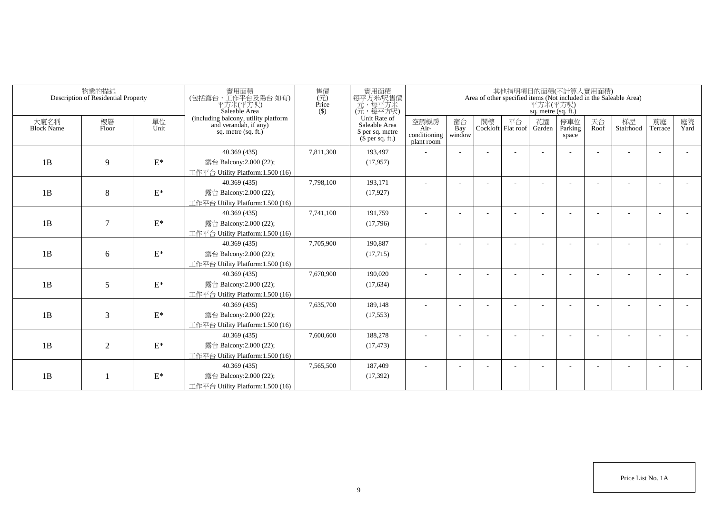|                           | 物業的描述<br>Description of Residential Property |                 | 實用面積<br>(包括露台,工作平台及陽台如有)<br>平方米(平方呎)<br>Saleable Area                                  | 售價<br>(元)<br>Price<br>$($ \$) | 實用面積<br>每平方米吧售價<br>元,每平方米<br>(元,每平方呎)                                 |                                            |                          |    |                          | 平方米(平方呎)<br>sq. metre (sq. ft.) | 其他指明項目的面積(不計算入實用面積)     |            | Area of other specified items (Not included in the Saleable Area) |               |            |
|---------------------------|----------------------------------------------|-----------------|----------------------------------------------------------------------------------------|-------------------------------|-----------------------------------------------------------------------|--------------------------------------------|--------------------------|----|--------------------------|---------------------------------|-------------------------|------------|-------------------------------------------------------------------|---------------|------------|
| 大廈名稱<br><b>Block Name</b> | 樓層<br>Floor                                  | 單位<br>Unit      | (including balcony, utility platform<br>and verandah, if any)<br>sq. metre $(sq, ft.)$ |                               | Unit Rate of<br>Saleable Area<br>\$ per sq. metre<br>$$$ per sq. ft.) | 空調機房<br>Air-<br>conditioning<br>plant room | 窗台<br>Bay<br>window      | 閣樓 | 平台<br>Cockloft Flat roof | 花園<br>Garden                    | 停車位<br>Parking<br>space | 天台<br>Roof | 梯屋<br>Stairhood                                                   | 前庭<br>Terrace | 庭院<br>Yard |
|                           |                                              |                 | 40.369 (435)                                                                           | 7,811,300                     | 193,497                                                               |                                            |                          |    |                          |                                 |                         |            |                                                                   |               |            |
| 1B                        | 9                                            | $\mathcal{E}^*$ | 露台 Balcony:2.000 (22);                                                                 |                               | (17, 957)                                                             |                                            |                          |    |                          |                                 |                         |            |                                                                   |               |            |
|                           |                                              |                 | 工作平台 Utility Platform:1.500 (16)                                                       |                               |                                                                       |                                            |                          |    |                          |                                 |                         |            |                                                                   |               |            |
|                           |                                              |                 | 40.369 (435)                                                                           | 7,798,100                     | 193,171                                                               |                                            |                          |    |                          |                                 |                         |            |                                                                   |               |            |
| 1B                        | 8                                            | $\mathbf{E}^*$  | 露台 Balcony:2.000 (22);                                                                 |                               | (17, 927)                                                             |                                            |                          |    |                          |                                 |                         |            |                                                                   |               |            |
|                           |                                              |                 | 工作平台 Utility Platform:1.500 (16)                                                       |                               |                                                                       |                                            |                          |    |                          |                                 |                         |            |                                                                   |               |            |
|                           |                                              |                 | 40.369 (435)                                                                           | 7,741,100                     | 191,759                                                               | $\sim$                                     | $\overline{\phantom{a}}$ |    |                          |                                 |                         |            |                                                                   |               |            |
| 1B                        | $\tau$                                       | $\mathcal{E}^*$ | 露台 Balcony: 2.000 (22);                                                                |                               | (17,796)                                                              |                                            |                          |    |                          |                                 |                         |            |                                                                   |               |            |
|                           |                                              |                 | 工作平台 Utility Platform: 1.500 (16)                                                      |                               |                                                                       |                                            |                          |    |                          |                                 |                         |            |                                                                   |               |            |
|                           |                                              |                 | 40.369 (435)                                                                           | 7,705,900                     | 190,887                                                               |                                            |                          |    |                          |                                 |                         |            |                                                                   |               |            |
| 1B                        | 6                                            | $\mathbf{E}^*$  | 露台 Balcony:2.000 (22);                                                                 |                               | (17, 715)                                                             |                                            |                          |    |                          |                                 |                         |            |                                                                   |               |            |
|                           |                                              |                 | 工作平台 Utility Platform:1.500 (16)                                                       |                               |                                                                       |                                            |                          |    |                          |                                 |                         |            |                                                                   |               |            |
|                           |                                              |                 | 40.369 (435)                                                                           | 7,670,900                     | 190,020                                                               |                                            |                          |    |                          |                                 |                         |            |                                                                   |               |            |
| 1B                        | 5                                            | $\mathcal{E}^*$ | 露台 Balcony:2.000 (22);                                                                 |                               | (17, 634)                                                             |                                            |                          |    |                          |                                 |                         |            |                                                                   |               |            |
|                           |                                              |                 | 工作平台 Utility Platform: 1.500 (16)                                                      |                               |                                                                       |                                            |                          |    |                          |                                 |                         |            |                                                                   |               |            |
|                           |                                              |                 | 40.369 (435)                                                                           | 7,635,700                     | 189,148                                                               |                                            |                          |    |                          |                                 |                         |            |                                                                   |               |            |
| 1B                        | 3                                            | $\mathcal{E}^*$ | 露台 Balcony: 2.000 (22);                                                                |                               | (17, 553)                                                             |                                            |                          |    |                          |                                 |                         |            |                                                                   |               |            |
|                           |                                              |                 | 工作平台 Utility Platform:1.500 (16)                                                       |                               |                                                                       |                                            |                          |    |                          |                                 |                         |            |                                                                   |               |            |
|                           |                                              |                 | 40.369 (435)                                                                           | 7,600,600                     | 188,278                                                               |                                            |                          |    |                          |                                 |                         |            |                                                                   |               |            |
| 1B                        | $\overline{2}$                               | $\mathcal{E}^*$ | 露台 Balcony: 2.000 (22);                                                                |                               | (17, 473)                                                             |                                            |                          |    |                          |                                 |                         |            |                                                                   |               |            |
|                           |                                              |                 | 工作平台 Utility Platform: 1.500 (16)                                                      |                               |                                                                       |                                            |                          |    |                          |                                 |                         |            |                                                                   |               |            |
|                           |                                              |                 | 40.369 (435)                                                                           | 7,565,500                     | 187,409                                                               |                                            |                          |    |                          |                                 |                         |            |                                                                   |               |            |
| 1B                        |                                              | $\mathbf{E}^*$  | 露台 Balcony: 2.000 (22);                                                                |                               | (17, 392)                                                             |                                            |                          |    |                          |                                 |                         |            |                                                                   |               |            |
|                           |                                              |                 | 工作平台 Utility Platform:1.500 (16)                                                       |                               |                                                                       |                                            |                          |    |                          |                                 |                         |            |                                                                   |               |            |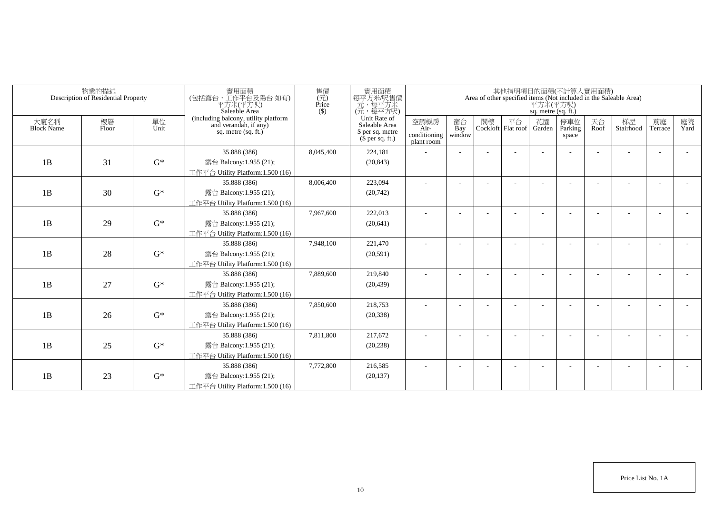| (including balcony, utility platform<br>and verandah, if any)<br>Unit Rate of<br>花園<br>天台<br>樓層<br>空調機房<br>窗台<br>閣樓<br>平台<br>停車位<br>梯屋<br>前庭<br>大廈名稱<br>單位<br>Unit<br>Saleable Area<br><b>Block Name</b><br>Bay<br>Parking<br>Stairhood<br>Floor<br>Cockloft Flat roof<br>Roof<br>Air-<br>Garden<br>Terrace<br>sq. metre $(sq, ft.)$<br>\$ per sq. metre<br>conditioning<br>window<br>space<br>$$$ per sq. ft.)<br>plant room<br>35.888 (386)<br>224,181<br>8,045,400<br>$G^*$<br>1B<br>31<br>露台 Balcony:1.955 (21);<br>(20, 843)<br>工作平台 Utility Platform:1.500 (16)<br>223,094<br>35.888 (386)<br>8,006,400<br>$G^*$<br>1B<br>30<br>露台 Balcony:1.955 (21);<br>(20, 742)<br>工作平台 Utility Platform:1.500 (16)<br>35.888 (386)<br>7,967,600<br>222,013<br>$\sim$<br>$\overline{\phantom{a}}$<br>$\overline{\phantom{a}}$<br>1B<br>29<br>$G^*$<br>露台 Balcony:1.955 (21);<br>(20, 641)<br>工作平台 Utility Platform:1.500 (16) |            | Area of other specified items (Not included in the Saleable Area) |  | 平方米(平方呎)<br>sq. metre (sq. ft.) | 其他指明項目的面積(不計算入實用面積) |  | 實用面積<br>每平方米吧售價<br>元,每平方米<br>(元,每平方呎) | 售價<br>$(\vec{\pi})$<br>Price<br>$($ \$ | 實用面積<br>(包括露台,工作平台及陽台如有)<br>平方米(平方呎)<br>Saleable Area | 物業的描述<br>Description of Residential Property |  |
|-------------------------------------------------------------------------------------------------------------------------------------------------------------------------------------------------------------------------------------------------------------------------------------------------------------------------------------------------------------------------------------------------------------------------------------------------------------------------------------------------------------------------------------------------------------------------------------------------------------------------------------------------------------------------------------------------------------------------------------------------------------------------------------------------------------------------------------------------------------------------------------------------------------------------|------------|-------------------------------------------------------------------|--|---------------------------------|---------------------|--|---------------------------------------|----------------------------------------|-------------------------------------------------------|----------------------------------------------|--|
|                                                                                                                                                                                                                                                                                                                                                                                                                                                                                                                                                                                                                                                                                                                                                                                                                                                                                                                         | 庭院<br>Yard |                                                                   |  |                                 |                     |  |                                       |                                        |                                                       |                                              |  |
|                                                                                                                                                                                                                                                                                                                                                                                                                                                                                                                                                                                                                                                                                                                                                                                                                                                                                                                         |            |                                                                   |  |                                 |                     |  |                                       |                                        |                                                       |                                              |  |
|                                                                                                                                                                                                                                                                                                                                                                                                                                                                                                                                                                                                                                                                                                                                                                                                                                                                                                                         |            |                                                                   |  |                                 |                     |  |                                       |                                        |                                                       |                                              |  |
|                                                                                                                                                                                                                                                                                                                                                                                                                                                                                                                                                                                                                                                                                                                                                                                                                                                                                                                         |            |                                                                   |  |                                 |                     |  |                                       |                                        |                                                       |                                              |  |
|                                                                                                                                                                                                                                                                                                                                                                                                                                                                                                                                                                                                                                                                                                                                                                                                                                                                                                                         |            |                                                                   |  |                                 |                     |  |                                       |                                        |                                                       |                                              |  |
|                                                                                                                                                                                                                                                                                                                                                                                                                                                                                                                                                                                                                                                                                                                                                                                                                                                                                                                         |            |                                                                   |  |                                 |                     |  |                                       |                                        |                                                       |                                              |  |
|                                                                                                                                                                                                                                                                                                                                                                                                                                                                                                                                                                                                                                                                                                                                                                                                                                                                                                                         |            |                                                                   |  |                                 |                     |  |                                       |                                        |                                                       |                                              |  |
|                                                                                                                                                                                                                                                                                                                                                                                                                                                                                                                                                                                                                                                                                                                                                                                                                                                                                                                         |            |                                                                   |  |                                 |                     |  |                                       |                                        |                                                       |                                              |  |
|                                                                                                                                                                                                                                                                                                                                                                                                                                                                                                                                                                                                                                                                                                                                                                                                                                                                                                                         |            |                                                                   |  |                                 |                     |  |                                       |                                        |                                                       |                                              |  |
|                                                                                                                                                                                                                                                                                                                                                                                                                                                                                                                                                                                                                                                                                                                                                                                                                                                                                                                         |            |                                                                   |  |                                 |                     |  |                                       |                                        |                                                       |                                              |  |
| 7,948,100<br>221,470<br>35.888 (386)                                                                                                                                                                                                                                                                                                                                                                                                                                                                                                                                                                                                                                                                                                                                                                                                                                                                                    |            |                                                                   |  |                                 |                     |  |                                       |                                        |                                                       |                                              |  |
| $G^*$<br>1B<br>28<br>露台 Balcony:1.955 (21);<br>(20,591)                                                                                                                                                                                                                                                                                                                                                                                                                                                                                                                                                                                                                                                                                                                                                                                                                                                                 |            |                                                                   |  |                                 |                     |  |                                       |                                        |                                                       |                                              |  |
| 工作平台 Utility Platform:1.500 (16)                                                                                                                                                                                                                                                                                                                                                                                                                                                                                                                                                                                                                                                                                                                                                                                                                                                                                        |            |                                                                   |  |                                 |                     |  |                                       |                                        |                                                       |                                              |  |
| 35.888 (386)<br>7,889,600<br>219,840                                                                                                                                                                                                                                                                                                                                                                                                                                                                                                                                                                                                                                                                                                                                                                                                                                                                                    |            |                                                                   |  |                                 |                     |  |                                       |                                        |                                                       |                                              |  |
| $G^*$<br>1B<br>27<br>露台 Balcony:1.955 (21);<br>(20, 439)                                                                                                                                                                                                                                                                                                                                                                                                                                                                                                                                                                                                                                                                                                                                                                                                                                                                |            |                                                                   |  |                                 |                     |  |                                       |                                        |                                                       |                                              |  |
| 工作平台 Utility Platform: 1.500 (16)                                                                                                                                                                                                                                                                                                                                                                                                                                                                                                                                                                                                                                                                                                                                                                                                                                                                                       |            |                                                                   |  |                                 |                     |  |                                       |                                        |                                                       |                                              |  |
| 7,850,600<br>35.888 (386)<br>218,753                                                                                                                                                                                                                                                                                                                                                                                                                                                                                                                                                                                                                                                                                                                                                                                                                                                                                    |            |                                                                   |  |                                 |                     |  |                                       |                                        |                                                       |                                              |  |
| 1B<br>$G^*$<br>26<br>露台 Balcony:1.955 (21);<br>(20, 338)                                                                                                                                                                                                                                                                                                                                                                                                                                                                                                                                                                                                                                                                                                                                                                                                                                                                |            |                                                                   |  |                                 |                     |  |                                       |                                        |                                                       |                                              |  |
| 工作平台 Utility Platform:1.500 (16)                                                                                                                                                                                                                                                                                                                                                                                                                                                                                                                                                                                                                                                                                                                                                                                                                                                                                        |            |                                                                   |  |                                 |                     |  |                                       |                                        |                                                       |                                              |  |
| 35.888 (386)<br>7,811,800<br>217,672<br>$\overline{\phantom{a}}$                                                                                                                                                                                                                                                                                                                                                                                                                                                                                                                                                                                                                                                                                                                                                                                                                                                        |            |                                                                   |  |                                 |                     |  |                                       |                                        |                                                       |                                              |  |
| 1B<br>$G^*$<br>25<br>露台 Balcony:1.955 (21);<br>(20, 238)                                                                                                                                                                                                                                                                                                                                                                                                                                                                                                                                                                                                                                                                                                                                                                                                                                                                |            |                                                                   |  |                                 |                     |  |                                       |                                        |                                                       |                                              |  |
| 工作平台 Utility Platform: 1.500 (16)                                                                                                                                                                                                                                                                                                                                                                                                                                                                                                                                                                                                                                                                                                                                                                                                                                                                                       |            |                                                                   |  |                                 |                     |  |                                       |                                        |                                                       |                                              |  |
| 7,772,800<br>216,585<br>35.888 (386)                                                                                                                                                                                                                                                                                                                                                                                                                                                                                                                                                                                                                                                                                                                                                                                                                                                                                    |            |                                                                   |  |                                 |                     |  |                                       |                                        |                                                       |                                              |  |
| $G^*$<br>1B<br>23<br>露台 Balcony:1.955 (21);<br>(20, 137)<br>工作平台 Utility Platform:1.500 (16)                                                                                                                                                                                                                                                                                                                                                                                                                                                                                                                                                                                                                                                                                                                                                                                                                            |            |                                                                   |  |                                 |                     |  |                                       |                                        |                                                       |                                              |  |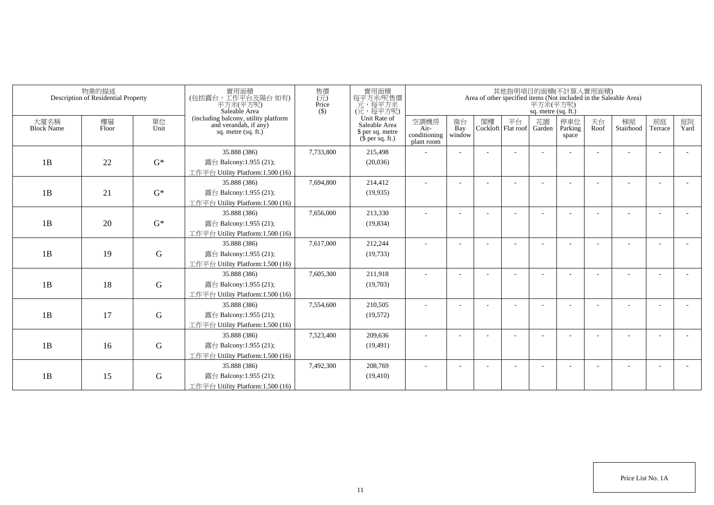|                           | 物業的描述<br>Description of Residential Property |             | 實用面積<br>(包括露台,工作平台及陽台 如有)<br>平方米(平方呎)<br>Saleable Area                                 | 售價<br>(元)<br>Price<br>$($ \$) | 實用面積<br>每平方米/呎售價<br>一元,每平方米<br>(元,每平方呎)                               |                                            |                          |    |                          | 平方米(平方呎)<br>sq. metre (sq. ft.) | 其他指明項目的面積(不計算入實用面積)     |            | Area of other specified items (Not included in the Saleable Area) |                          |            |
|---------------------------|----------------------------------------------|-------------|----------------------------------------------------------------------------------------|-------------------------------|-----------------------------------------------------------------------|--------------------------------------------|--------------------------|----|--------------------------|---------------------------------|-------------------------|------------|-------------------------------------------------------------------|--------------------------|------------|
| 大廈名稱<br><b>Block Name</b> | 樓層<br>Floor                                  | 單位<br>Unit  | (including balcony, utility platform<br>and verandah, if any)<br>sq. metre $(sq, ft.)$ |                               | Unit Rate of<br>Saleable Area<br>\$ per sq. metre<br>$$$ per sq. ft.) | 空調機房<br>Air-<br>conditioning<br>plant room | 窗台<br>Bay<br>window      | 閣樓 | 平台<br>Cockloft Flat roof | 花園<br>Garden                    | 停車位<br>Parking<br>space | 天台<br>Roof | 梯屋<br>Stairhood                                                   | 前庭<br>Terrace            | 庭院<br>Yard |
|                           |                                              |             | 35.888 (386)                                                                           | 7,733,800                     | 215,498                                                               |                                            |                          |    |                          |                                 |                         |            |                                                                   |                          |            |
| 1B                        | 22                                           | $G^*$       | 露台 Balcony:1.955 (21);                                                                 |                               | (20,036)                                                              |                                            |                          |    |                          |                                 |                         |            |                                                                   |                          |            |
|                           |                                              |             | 工作平台 Utility Platform:1.500 (16)                                                       |                               |                                                                       |                                            |                          |    |                          |                                 |                         |            |                                                                   |                          |            |
|                           |                                              |             | 35.888 (386)                                                                           | 7,694,800                     | 214,412                                                               |                                            |                          |    |                          |                                 |                         |            |                                                                   |                          |            |
| 1B                        | 21                                           | $G^*$       | 露台 Balcony:1.955 (21);                                                                 |                               | (19,935)                                                              |                                            |                          |    |                          |                                 |                         |            |                                                                   |                          |            |
|                           |                                              |             | 工作平台 Utility Platform:1.500 (16)                                                       |                               |                                                                       |                                            |                          |    |                          |                                 |                         |            |                                                                   |                          |            |
|                           |                                              |             | 35.888 (386)                                                                           | 7,656,000                     | 213,330                                                               | ٠                                          | $\overline{\phantom{a}}$ |    |                          |                                 |                         |            |                                                                   |                          |            |
| 1B                        | 20                                           | $G^*$       | 露台 Balcony:1.955 (21);                                                                 |                               | (19, 834)                                                             |                                            |                          |    |                          |                                 |                         |            |                                                                   |                          |            |
|                           |                                              |             | 工作平台 Utility Platform: 1.500 (16)                                                      |                               |                                                                       |                                            |                          |    |                          |                                 |                         |            |                                                                   |                          |            |
|                           |                                              |             | 35.888 (386)                                                                           | 7,617,000                     | 212,244                                                               |                                            |                          |    |                          |                                 |                         |            |                                                                   |                          |            |
| 1B                        | 19                                           | G           | 露台 Balcony:1.955 (21);                                                                 |                               | (19, 733)                                                             |                                            |                          |    |                          |                                 |                         |            |                                                                   |                          |            |
|                           |                                              |             | 工作平台 Utility Platform:1.500 (16)                                                       |                               |                                                                       |                                            |                          |    |                          |                                 |                         |            |                                                                   |                          |            |
|                           |                                              |             | 35.888 (386)                                                                           | 7,605,300                     | 211,918                                                               |                                            |                          |    |                          |                                 |                         |            |                                                                   |                          |            |
| 1B                        | 18                                           | $\mathbf G$ | 露台 Balcony:1.955 (21);                                                                 |                               | (19,703)                                                              |                                            |                          |    |                          |                                 |                         |            |                                                                   |                          |            |
|                           |                                              |             | 工作平台 Utility Platform: 1.500 (16)                                                      |                               |                                                                       |                                            |                          |    |                          |                                 |                         |            |                                                                   |                          |            |
|                           |                                              |             | 35.888 (386)                                                                           | 7,554,600                     | 210,505                                                               |                                            |                          |    |                          |                                 |                         |            |                                                                   |                          |            |
| 1B                        | 17                                           | G           | 露台 Balcony:1.955 (21);                                                                 |                               | (19,572)                                                              |                                            |                          |    |                          |                                 |                         |            |                                                                   |                          |            |
|                           |                                              |             | 工作平台 Utility Platform: 1.500 (16)                                                      |                               |                                                                       |                                            |                          |    |                          |                                 |                         |            |                                                                   |                          |            |
|                           |                                              |             | 35.888 (386)                                                                           | 7,523,400                     | 209,636                                                               |                                            |                          |    |                          |                                 |                         |            |                                                                   | $\overline{\phantom{a}}$ |            |
| 1B                        | 16                                           | ${\bf G}$   | 露台 Balcony:1.955 (21);                                                                 |                               | (19, 491)                                                             |                                            |                          |    |                          |                                 |                         |            |                                                                   |                          |            |
|                           |                                              |             | 工作平台 Utility Platform: 1.500 (16)<br>35.888 (386)                                      | 7,492,300                     | 208,769                                                               |                                            |                          |    |                          |                                 |                         |            |                                                                   |                          |            |
| 1B                        | 15                                           | G           | 露台 Balcony:1.955 (21);                                                                 |                               | (19, 410)                                                             |                                            |                          |    |                          |                                 |                         |            |                                                                   |                          |            |
|                           |                                              |             | 工作平台 Utility Platform:1.500 (16)                                                       |                               |                                                                       |                                            |                          |    |                          |                                 |                         |            |                                                                   |                          |            |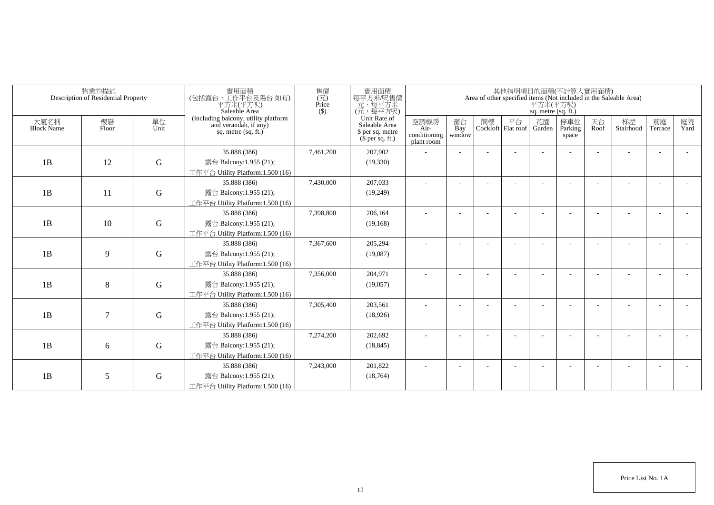|                           | 物業的描述<br>Description of Residential Property |             | 實用面積<br>(包括露台,工作平台及陽台 如有)<br>平方米(平方呎)<br>Saleable Area                                 | 售價<br>(元)<br>Price<br>$($ \$) | 實用面積<br>每平方米/呎售價<br>一元,每平方米<br>(元,每平方呎)                               |                                            |                          |    |                          | 平方米(平方呎)<br>sq. metre (sq. ft.) | 其他指明項目的面積(不計算入實用面積)     |            | Area of other specified items (Not included in the Saleable Area) |               |            |
|---------------------------|----------------------------------------------|-------------|----------------------------------------------------------------------------------------|-------------------------------|-----------------------------------------------------------------------|--------------------------------------------|--------------------------|----|--------------------------|---------------------------------|-------------------------|------------|-------------------------------------------------------------------|---------------|------------|
| 大廈名稱<br><b>Block Name</b> | 樓層<br>Floor                                  | 單位<br>Unit  | (including balcony, utility platform<br>and verandah, if any)<br>sq. metre $(sq, ft.)$ |                               | Unit Rate of<br>Saleable Area<br>\$ per sq. metre<br>$$$ per sq. ft.) | 空調機房<br>Air-<br>conditioning<br>plant room | 窗台<br>Bay<br>window      | 閣樓 | 平台<br>Cockloft Flat roof | 花園<br>Garden                    | 停車位<br>Parking<br>space | 天台<br>Roof | 梯屋<br>Stairhood                                                   | 前庭<br>Terrace | 庭院<br>Yard |
|                           |                                              |             | 35.888 (386)                                                                           | 7,461,200                     | 207,902                                                               |                                            |                          |    |                          |                                 |                         |            |                                                                   |               |            |
| 1B                        | 12                                           | $\mathbf G$ | 露台 Balcony:1.955 (21);                                                                 |                               | (19,330)                                                              |                                            |                          |    |                          |                                 |                         |            |                                                                   |               |            |
|                           |                                              |             | 工作平台 Utility Platform:1.500 (16)                                                       |                               |                                                                       |                                            |                          |    |                          |                                 |                         |            |                                                                   |               |            |
|                           |                                              |             | 35.888 (386)                                                                           | 7,430,000                     | 207,033                                                               |                                            |                          |    |                          |                                 |                         |            |                                                                   |               |            |
| 1B                        | 11                                           | $\mathbf G$ | 露台 Balcony:1.955 (21);                                                                 |                               | (19,249)                                                              |                                            |                          |    |                          |                                 |                         |            |                                                                   |               |            |
|                           |                                              |             | 工作平台 Utility Platform:1.500 (16)                                                       |                               |                                                                       |                                            |                          |    |                          |                                 |                         |            |                                                                   |               |            |
|                           |                                              |             | 35.888 (386)                                                                           | 7,398,800                     | 206,164                                                               | ٠                                          | $\overline{\phantom{a}}$ |    |                          |                                 |                         |            |                                                                   |               |            |
| 1B                        | 10                                           | $\mathbf G$ | 露台 Balcony:1.955 (21);                                                                 |                               | (19, 168)                                                             |                                            |                          |    |                          |                                 |                         |            |                                                                   |               |            |
|                           |                                              |             | 工作平台 Utility Platform: 1.500 (16)                                                      |                               |                                                                       |                                            |                          |    |                          |                                 |                         |            |                                                                   |               |            |
|                           |                                              |             | 35.888 (386)                                                                           | 7,367,600                     | 205,294                                                               |                                            |                          |    |                          |                                 |                         |            |                                                                   |               |            |
| 1B                        | 9                                            | G           | 露台 Balcony:1.955 (21);                                                                 |                               | (19,087)                                                              |                                            |                          |    |                          |                                 |                         |            |                                                                   |               |            |
|                           |                                              |             | 工作平台 Utility Platform:1.500 (16)                                                       |                               |                                                                       |                                            |                          |    |                          |                                 |                         |            |                                                                   |               |            |
|                           |                                              |             | 35.888 (386)                                                                           | 7,356,000                     | 204,971                                                               |                                            |                          |    |                          |                                 |                         |            |                                                                   |               |            |
| 1B                        | 8                                            | $\mathbf G$ | 露台 Balcony:1.955 (21);                                                                 |                               | (19,057)                                                              |                                            |                          |    |                          |                                 |                         |            |                                                                   |               |            |
|                           |                                              |             | 工作平台 Utility Platform: 1.500 (16)<br>35.888 (386)                                      | 7,305,400                     | 203,561                                                               |                                            |                          |    |                          |                                 |                         |            |                                                                   |               |            |
| 1B                        | 7                                            | G           | 露台 Balcony:1.955 (21);                                                                 |                               | (18,926)                                                              |                                            |                          |    |                          |                                 |                         |            |                                                                   |               |            |
|                           |                                              |             | 工作平台 Utility Platform:1.500 (16)                                                       |                               |                                                                       |                                            |                          |    |                          |                                 |                         |            |                                                                   |               |            |
|                           |                                              |             | 35.888 (386)                                                                           | 7,274,200                     | 202,692                                                               |                                            |                          |    |                          |                                 |                         |            |                                                                   |               |            |
| 1B                        | 6                                            | ${\bf G}$   | 露台 Balcony:1.955 (21);                                                                 |                               | (18, 845)                                                             |                                            |                          |    |                          |                                 |                         |            |                                                                   |               |            |
|                           |                                              |             | 工作平台 Utility Platform: 1.500 (16)                                                      |                               |                                                                       |                                            |                          |    |                          |                                 |                         |            |                                                                   |               |            |
|                           |                                              |             | 35.888 (386)                                                                           | 7,243,000                     | 201,822                                                               |                                            |                          |    |                          |                                 |                         |            |                                                                   |               |            |
| 1B                        | 5                                            | G           | 露台 Balcony:1.955 (21);                                                                 |                               | (18, 764)                                                             |                                            |                          |    |                          |                                 |                         |            |                                                                   |               |            |
|                           |                                              |             | 工作平台 Utility Platform:1.500 (16)                                                       |                               |                                                                       |                                            |                          |    |                          |                                 |                         |            |                                                                   |               |            |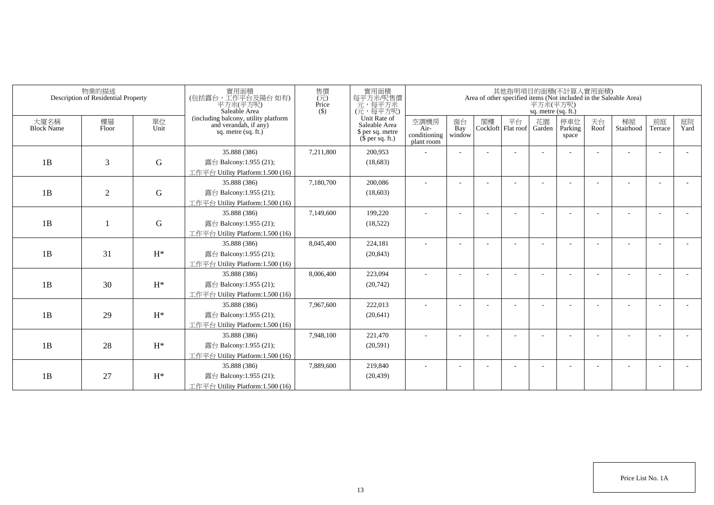|                           | 物業的描述<br>Description of Residential Property |             | 實用面積<br>(包括露台,工作平台及陽台如有)<br>平方米(平方呎)<br>Saleable Area                                  | 售價<br>$(\vec{\pi})$<br>Price<br>$($ \$) | 實用面積<br>每平方米吧售價<br>元,每平方米<br>(元,每平方呎)                                 |                                            |                          |    |                          | 平方米(平方呎)<br>sq. metre (sq. ft.) | 其他指明項目的面積(不計算入實用面積)     |            | Area of other specified items (Not included in the Saleable Area) |                          |            |
|---------------------------|----------------------------------------------|-------------|----------------------------------------------------------------------------------------|-----------------------------------------|-----------------------------------------------------------------------|--------------------------------------------|--------------------------|----|--------------------------|---------------------------------|-------------------------|------------|-------------------------------------------------------------------|--------------------------|------------|
| 大廈名稱<br><b>Block Name</b> | 樓層<br>Floor                                  | 單位<br>Unit  | (including balcony, utility platform<br>and verandah, if any)<br>sq. metre $(sq, ft.)$ |                                         | Unit Rate of<br>Saleable Area<br>\$ per sq. metre<br>$$$ per sq. ft.) | 空調機房<br>Air-<br>conditioning<br>plant room | 窗台<br>Bay<br>window      | 閣樓 | 平台<br>Cockloft Flat roof | 花園<br>Garden                    | 停車位<br>Parking<br>space | 天台<br>Roof | 梯屋<br>Stairhood                                                   | 前庭<br>Terrace            | 庭院<br>Yard |
|                           |                                              |             | 35.888 (386)                                                                           | 7,211,800                               | 200,953                                                               |                                            |                          |    |                          |                                 |                         |            |                                                                   |                          |            |
| 1B                        | 3                                            | $\mathbf G$ | 露台 Balcony:1.955 (21);                                                                 |                                         | (18,683)                                                              |                                            |                          |    |                          |                                 |                         |            |                                                                   |                          |            |
|                           |                                              |             | 工作平台 Utility Platform:1.500 (16)                                                       |                                         |                                                                       |                                            |                          |    |                          |                                 |                         |            |                                                                   |                          |            |
|                           |                                              |             | 35.888 (386)                                                                           | 7,180,700                               | 200,086                                                               |                                            |                          |    |                          |                                 |                         |            |                                                                   |                          |            |
| 1B                        | $\overline{2}$                               | $\mathbf G$ | 露台 Balcony:1.955 (21);                                                                 |                                         | (18,603)                                                              |                                            |                          |    |                          |                                 |                         |            |                                                                   |                          |            |
|                           |                                              |             | 工作平台 Utility Platform:1.500 (16)                                                       |                                         |                                                                       |                                            |                          |    |                          |                                 |                         |            |                                                                   |                          |            |
|                           |                                              |             | 35.888 (386)                                                                           | 7,149,600                               | 199,220                                                               | ٠                                          | $\overline{\phantom{a}}$ |    |                          |                                 |                         |            |                                                                   |                          |            |
| 1B                        |                                              | $\mathbf G$ | 露台 Balcony:1.955 (21);                                                                 |                                         | (18, 522)                                                             |                                            |                          |    |                          |                                 |                         |            |                                                                   |                          |            |
|                           |                                              |             | 工作平台 Utility Platform: 1.500 (16)                                                      |                                         |                                                                       |                                            |                          |    |                          |                                 |                         |            |                                                                   |                          |            |
|                           |                                              |             | 35.888 (386)                                                                           | 8,045,400                               | 224,181                                                               |                                            |                          |    |                          |                                 |                         |            |                                                                   |                          |            |
| 1B                        | 31                                           | $H^*$       | 露台 Balcony:1.955 (21);                                                                 |                                         | (20, 843)                                                             |                                            |                          |    |                          |                                 |                         |            |                                                                   |                          |            |
|                           |                                              |             | 工作平台 Utility Platform:1.500 (16)                                                       |                                         |                                                                       |                                            |                          |    |                          |                                 |                         |            |                                                                   |                          |            |
|                           |                                              |             | 35.888 (386)                                                                           | 8,006,400                               | 223,094                                                               |                                            |                          |    |                          |                                 |                         |            |                                                                   |                          |            |
| 1B                        | 30                                           | $H^*$       | 露台 Balcony:1.955 (21);                                                                 |                                         | (20, 742)                                                             |                                            |                          |    |                          |                                 |                         |            |                                                                   |                          |            |
|                           |                                              |             | 工作平台 Utility Platform: 1.500 (16)                                                      |                                         |                                                                       |                                            |                          |    |                          |                                 |                         |            |                                                                   |                          |            |
|                           |                                              |             | 35.888 (386)                                                                           | 7,967,600                               | 222,013                                                               |                                            |                          |    |                          |                                 |                         |            |                                                                   |                          |            |
| 1B                        | 29                                           | $H^*$       | 露台 Balcony:1.955 (21);                                                                 |                                         | (20, 641)                                                             |                                            |                          |    |                          |                                 |                         |            |                                                                   |                          |            |
|                           |                                              |             | 工作平台 Utility Platform:1.500 (16)                                                       |                                         |                                                                       |                                            |                          |    |                          |                                 |                         |            |                                                                   |                          |            |
|                           |                                              |             | 35.888 (386)                                                                           | 7,948,100                               | 221,470                                                               |                                            |                          |    |                          |                                 |                         |            |                                                                   | $\overline{\phantom{a}}$ |            |
| 1B                        | 28                                           | $H^*$       | 露台 Balcony:1.955 (21);                                                                 |                                         | (20,591)                                                              |                                            |                          |    |                          |                                 |                         |            |                                                                   |                          |            |
|                           |                                              |             | 工作平台 Utility Platform: 1.500 (16)                                                      |                                         |                                                                       |                                            |                          |    |                          |                                 |                         |            |                                                                   |                          |            |
|                           |                                              |             | 35.888 (386)                                                                           | 7,889,600                               | 219,840                                                               |                                            |                          |    |                          |                                 |                         |            |                                                                   |                          |            |
| 1B                        | 27                                           | $H^*$       | 露台 Balcony:1.955 (21);                                                                 |                                         | (20, 439)                                                             |                                            |                          |    |                          |                                 |                         |            |                                                                   |                          |            |
|                           |                                              |             | 工作平台 Utility Platform:1.500 (16)                                                       |                                         |                                                                       |                                            |                          |    |                          |                                 |                         |            |                                                                   |                          |            |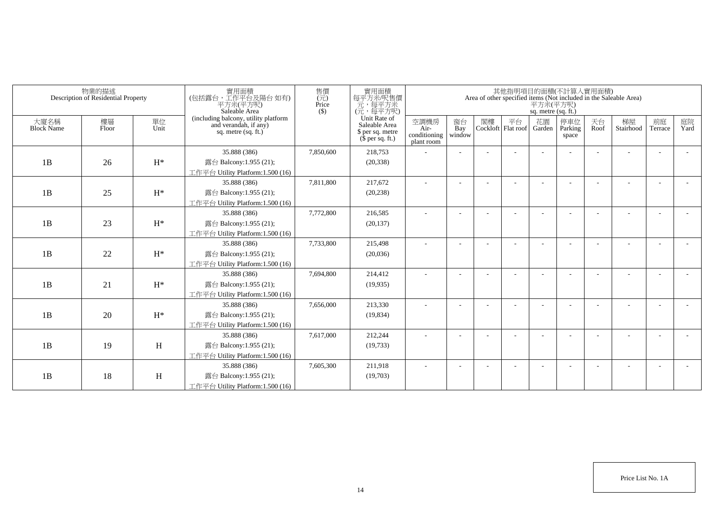|                           | 物業的描述<br>Description of Residential Property |                | 實用面積<br>(包括露台,工作平台及陽台如有)<br>平方米(平方呎)<br>Saleable Area                                  | 售價<br>$(\vec{\pi})$<br>Price<br>$($ \$) | 實用面積<br>每平方米/呎售價<br>一元,每平方米<br>(元,每平方呎)                               |                                            |                          |    |                          | 平方米(平方呎)<br>sq. metre (sq. ft.) | 其他指明項目的面積(不計算入實用面積)     |            | Area of other specified items (Not included in the Saleable Area) |                          |            |
|---------------------------|----------------------------------------------|----------------|----------------------------------------------------------------------------------------|-----------------------------------------|-----------------------------------------------------------------------|--------------------------------------------|--------------------------|----|--------------------------|---------------------------------|-------------------------|------------|-------------------------------------------------------------------|--------------------------|------------|
| 大廈名稱<br><b>Block Name</b> | 樓層<br>Floor                                  | 單位<br>Unit     | (including balcony, utility platform<br>and verandah, if any)<br>sq. metre $(sq, ft.)$ |                                         | Unit Rate of<br>Saleable Area<br>\$ per sq. metre<br>$$$ per sq. ft.) | 空調機房<br>Air-<br>conditioning<br>plant room | 窗台<br>Bay<br>window      | 閣樓 | 平台<br>Cockloft Flat roof | 花園<br>Garden                    | 停車位<br>Parking<br>space | 天台<br>Roof | 梯屋<br>Stairhood                                                   | 前庭<br>Terrace            | 庭院<br>Yard |
|                           |                                              |                | 35.888 (386)                                                                           | 7,850,600                               | 218,753                                                               |                                            |                          |    |                          |                                 |                         |            |                                                                   |                          |            |
| 1B                        | 26                                           | $\mathrm{H}^*$ | 露台 Balcony:1.955 (21);                                                                 |                                         | (20, 338)                                                             |                                            |                          |    |                          |                                 |                         |            |                                                                   |                          |            |
|                           |                                              |                | 工作平台 Utility Platform:1.500 (16)                                                       |                                         |                                                                       |                                            |                          |    |                          |                                 |                         |            |                                                                   |                          |            |
|                           |                                              |                | 35.888 (386)                                                                           | 7,811,800                               | 217,672                                                               |                                            |                          |    |                          |                                 |                         |            |                                                                   |                          |            |
| 1B                        | 25                                           | $H^*$          | 露台 Balcony:1.955 (21);                                                                 |                                         | (20, 238)                                                             |                                            |                          |    |                          |                                 |                         |            |                                                                   |                          |            |
|                           |                                              |                | 工作平台 Utility Platform:1.500 (16)                                                       |                                         |                                                                       |                                            |                          |    |                          |                                 |                         |            |                                                                   |                          |            |
|                           |                                              |                | 35.888 (386)                                                                           | 7,772,800                               | 216,585                                                               | ٠                                          | $\overline{\phantom{a}}$ |    |                          |                                 |                         |            |                                                                   | $\overline{\phantom{a}}$ |            |
| 1B                        | 23                                           | $H^*$          | 露台 Balcony:1.955 (21);                                                                 |                                         | (20, 137)                                                             |                                            |                          |    |                          |                                 |                         |            |                                                                   |                          |            |
|                           |                                              |                | 工作平台 Utility Platform:1.500 (16)                                                       |                                         |                                                                       |                                            |                          |    |                          |                                 |                         |            |                                                                   |                          |            |
|                           |                                              |                | 35.888 (386)                                                                           | 7,733,800                               | 215,498                                                               |                                            |                          |    |                          |                                 |                         |            |                                                                   |                          |            |
| 1B                        | 22                                           | $H^*$          | 露台 Balcony:1.955 (21);                                                                 |                                         | (20,036)                                                              |                                            |                          |    |                          |                                 |                         |            |                                                                   |                          |            |
|                           |                                              |                | 工作平台 Utility Platform:1.500 (16)                                                       |                                         |                                                                       |                                            |                          |    |                          |                                 |                         |            |                                                                   |                          |            |
|                           |                                              |                | 35.888 (386)                                                                           | 7,694,800                               | 214,412                                                               | ä,                                         |                          |    |                          |                                 |                         |            |                                                                   |                          |            |
| 1B                        | 21                                           | $H^*$          | 露台 Balcony:1.955 (21);                                                                 |                                         | (19,935)                                                              |                                            |                          |    |                          |                                 |                         |            |                                                                   |                          |            |
|                           |                                              |                | 工作平台 Utility Platform: 1.500 (16)                                                      |                                         |                                                                       |                                            |                          |    |                          |                                 |                         |            |                                                                   |                          |            |
|                           |                                              |                | 35.888 (386)                                                                           | 7,656,000                               | 213,330                                                               |                                            |                          |    |                          |                                 |                         |            |                                                                   |                          |            |
| 1B                        | 20                                           | $H^*$          | 露台 Balcony:1.955 (21);                                                                 |                                         | (19, 834)                                                             |                                            |                          |    |                          |                                 |                         |            |                                                                   |                          |            |
|                           |                                              |                | 工作平台 Utility Platform:1.500 (16)                                                       |                                         |                                                                       |                                            |                          |    |                          |                                 |                         |            |                                                                   |                          |            |
|                           |                                              |                | 35.888 (386)                                                                           | 7,617,000                               | 212,244                                                               |                                            |                          |    |                          |                                 |                         |            |                                                                   | $\overline{\phantom{a}}$ |            |
| 1B                        | 19                                           | H              | 露台 Balcony:1.955 (21);                                                                 |                                         | (19, 733)                                                             |                                            |                          |    |                          |                                 |                         |            |                                                                   |                          |            |
|                           |                                              |                | 工作平台 Utility Platform: 1.500 (16)                                                      |                                         |                                                                       |                                            |                          |    |                          |                                 |                         |            |                                                                   |                          |            |
|                           |                                              |                | 35.888 (386)                                                                           | 7,605,300                               | 211,918                                                               |                                            |                          |    |                          |                                 |                         |            |                                                                   | <b>.</b>                 |            |
| 1B                        | 18                                           | H              | 露台 Balcony:1.955 (21);<br>工作平台 Utility Platform:1.500 (16)                             |                                         | (19,703)                                                              |                                            |                          |    |                          |                                 |                         |            |                                                                   |                          |            |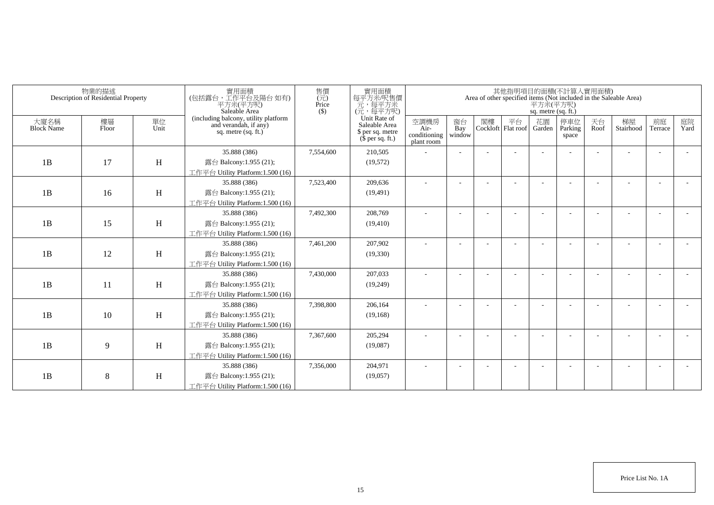|                           | 物業的描述<br>Description of Residential Property |            | 實用面積<br>(包括露台,工作平台及陽台 如有)<br>平方米(平方呎)<br>Saleable Area                                 | 售價<br>$\overline{(\overline{\tau}\overline{\tau})}$<br>Price<br>$($ \$ | 實用面積<br>每平方米/呎售價<br>元,每平方米<br>(元,每平方呎)                                |                                            |                          |    |                                 | 平方米(平方呎)<br>sq. metre (sq. ft.) | 其他指明項目的面積(不計算入實用面積)      |            | Area of other specified items (Not included in the Saleable Area) |                          |            |
|---------------------------|----------------------------------------------|------------|----------------------------------------------------------------------------------------|------------------------------------------------------------------------|-----------------------------------------------------------------------|--------------------------------------------|--------------------------|----|---------------------------------|---------------------------------|--------------------------|------------|-------------------------------------------------------------------|--------------------------|------------|
| 大廈名稱<br><b>Block Name</b> | 樓層<br>Floor                                  | 單位<br>Unit | (including balcony, utility platform<br>and verandah, if any)<br>sq. metre $(sq, ft.)$ |                                                                        | Unit Rate of<br>Saleable Area<br>\$ per sq. metre<br>$$$ per sq. ft.) | 空調機房<br>Air-<br>conditioning<br>plant room | 窗台<br>Bay<br>window      | 閣樓 | 平台<br>Cockloft Flat roof Garden | 花園                              | 停車位<br>Parking<br>space  | 天台<br>Roof | 梯屋<br>Stairhood                                                   | 前庭<br>Terrace            | 庭院<br>Yard |
|                           |                                              |            | 35.888 (386)                                                                           | 7,554,600                                                              | 210,505                                                               |                                            |                          |    |                                 |                                 |                          |            |                                                                   | ÷                        |            |
| 1B                        | 17                                           | H          | 露台 Balcony:1.955 (21);                                                                 |                                                                        | (19, 572)                                                             |                                            |                          |    |                                 |                                 |                          |            |                                                                   |                          |            |
|                           |                                              |            | 工作平台 Utility Platform:1.500 (16)                                                       |                                                                        |                                                                       |                                            |                          |    |                                 |                                 |                          |            |                                                                   |                          |            |
|                           |                                              |            | 35.888 (386)                                                                           | 7,523,400                                                              | 209,636                                                               | ٠                                          | $\overline{\phantom{a}}$ |    |                                 |                                 | $\overline{\phantom{a}}$ |            |                                                                   | $\overline{\phantom{a}}$ |            |
| 1B                        | 16                                           | H          | 露台 Balcony:1.955 (21);                                                                 |                                                                        | (19, 491)                                                             |                                            |                          |    |                                 |                                 |                          |            |                                                                   |                          |            |
|                           |                                              |            | 工作平台 Utility Platform: 1.500 (16)                                                      |                                                                        |                                                                       |                                            |                          |    |                                 |                                 |                          |            |                                                                   |                          |            |
|                           |                                              |            | 35.888 (386)                                                                           | 7,492,300                                                              | 208,769                                                               | ٠                                          |                          |    |                                 |                                 |                          |            |                                                                   |                          |            |
| 1B                        | 15                                           | H          | 露台 Balcony:1.955 (21);                                                                 |                                                                        | (19, 410)                                                             |                                            |                          |    |                                 |                                 |                          |            |                                                                   |                          |            |
|                           |                                              |            | 工作平台 Utility Platform: 1.500 (16)                                                      |                                                                        |                                                                       |                                            |                          |    |                                 |                                 |                          |            |                                                                   |                          |            |
|                           |                                              |            | 35.888 (386)                                                                           | 7,461,200                                                              | 207,902                                                               |                                            |                          |    |                                 |                                 |                          |            |                                                                   |                          |            |
| 1B                        | 12                                           | H          | 露台 Balcony:1.955 (21);                                                                 |                                                                        | (19,330)                                                              |                                            |                          |    |                                 |                                 |                          |            |                                                                   |                          |            |
|                           |                                              |            | 工作平台 Utility Platform:1.500 (16)                                                       |                                                                        |                                                                       |                                            |                          |    |                                 |                                 |                          |            |                                                                   |                          |            |
|                           |                                              |            | 35.888 (386)                                                                           | 7,430,000                                                              | 207,033                                                               |                                            |                          |    |                                 |                                 |                          |            |                                                                   | $\overline{\phantom{a}}$ |            |
| 1B                        | 11                                           | H          | 露台 Balcony:1.955 (21);                                                                 |                                                                        | (19,249)                                                              |                                            |                          |    |                                 |                                 |                          |            |                                                                   |                          |            |
|                           |                                              |            | 工作平台 Utility Platform:1.500 (16)                                                       |                                                                        |                                                                       |                                            |                          |    |                                 |                                 |                          |            |                                                                   |                          |            |
|                           |                                              |            | 35.888 (386)                                                                           | 7,398,800                                                              | 206,164                                                               |                                            |                          |    |                                 |                                 |                          |            |                                                                   |                          |            |
| 1B                        | 10                                           | H          | 露台 Balcony:1.955 (21);                                                                 |                                                                        | (19, 168)                                                             |                                            |                          |    |                                 |                                 |                          |            |                                                                   |                          |            |
|                           |                                              |            | 工作平台 Utility Platform:1.500 (16)                                                       |                                                                        |                                                                       |                                            |                          |    |                                 |                                 |                          |            |                                                                   |                          |            |
|                           |                                              |            | 35.888 (386)                                                                           | 7,367,600                                                              | 205,294                                                               |                                            |                          |    |                                 |                                 |                          |            |                                                                   |                          |            |
| 1B                        | 9                                            | H          | 露台 Balcony:1.955 (21);                                                                 |                                                                        | (19,087)                                                              |                                            |                          |    |                                 |                                 |                          |            |                                                                   |                          |            |
|                           |                                              |            | 工作平台 Utility Platform: 1.500 (16)                                                      |                                                                        |                                                                       |                                            |                          |    |                                 |                                 |                          |            |                                                                   |                          |            |
|                           |                                              |            | 35.888 (386)                                                                           | 7,356,000                                                              | 204,971                                                               |                                            |                          |    |                                 |                                 |                          |            |                                                                   |                          |            |
| 1B                        | 8                                            | H          | 露台 Balcony:1.955 (21);                                                                 |                                                                        | (19,057)                                                              |                                            |                          |    |                                 |                                 |                          |            |                                                                   |                          |            |
|                           |                                              |            | 工作平台 Utility Platform:1.500 (16)                                                       |                                                                        |                                                                       |                                            |                          |    |                                 |                                 |                          |            |                                                                   |                          |            |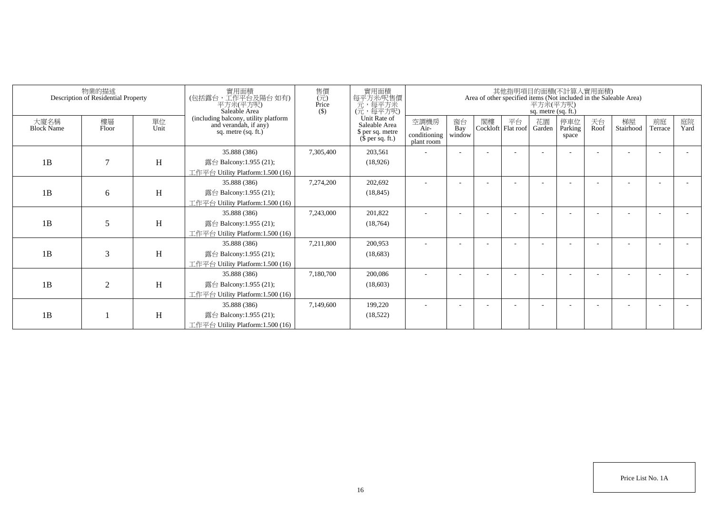|                           | 物業的描述<br>Description of Residential Property |            | 實用面積<br>(包括露台,工作平台及陽台如有)<br>平方米(平方呎)<br>Saleable Area                                | 售價<br>實用面積<br>每平方米/呎售價<br>元,每平方米<br>(元,每平方呎)<br>$\overline{(\vec{\pi})}$<br>Price<br>$($ \$) |                                                                       |                                            |                     |    |                          |              | 其他指明項目的面積(不計算入實用面積)<br>Area of other specified items (Not included in the Saleable Area)<br>平方米(平方呎)<br>sq. metre (sq. ft.) |            |                 |               |            |  |  |
|---------------------------|----------------------------------------------|------------|--------------------------------------------------------------------------------------|----------------------------------------------------------------------------------------------|-----------------------------------------------------------------------|--------------------------------------------|---------------------|----|--------------------------|--------------|-----------------------------------------------------------------------------------------------------------------------------|------------|-----------------|---------------|------------|--|--|
| 大廈名稱<br><b>Block Name</b> | 樓層<br>Floor                                  | 單位<br>Unit | (including balcony, utility platform<br>and verandah, if any)<br>sq. metre (sq. ft.) |                                                                                              | Unit Rate of<br>Saleable Area<br>\$ per sq. metre<br>$$$ per sq. ft.) | 空調機房<br>Air-<br>conditioning<br>plant room | 窗台<br>Bay<br>window | 閣樓 | 平台<br>Cockloft Flat roof | 花園<br>Garden | 停車位<br>Parking<br>space                                                                                                     | 天台<br>Roof | 梯屋<br>Stairhood | 前庭<br>Terrace | 庭院<br>Yard |  |  |
| 1B                        | $\overline{7}$                               | H          | 35.888 (386)<br>露台 Balcony:1.955 (21);<br>工作平台 Utility Platform:1.500 (16)           | 7,305,400                                                                                    | 203,561<br>(18,926)                                                   |                                            |                     |    |                          |              |                                                                                                                             |            |                 |               |            |  |  |
| 1B                        | 6                                            | Η          | 35.888 (386)<br>露台 Balcony:1.955 (21);<br>工作平台 Utility Platform:1.500 (16)           | 7,274,200                                                                                    | 202,692<br>(18, 845)                                                  |                                            |                     |    |                          |              |                                                                                                                             |            |                 |               |            |  |  |
| 1B                        | 5                                            | H          | 35.888 (386)<br>露台 Balcony:1.955 (21);<br>工作平台 Utility Platform:1.500 (16)           | 7,243,000                                                                                    | 201,822<br>(18, 764)                                                  |                                            |                     |    |                          |              |                                                                                                                             |            |                 |               |            |  |  |
| 1B                        | 3                                            | H          | 35.888 (386)<br>露台 Balcony:1.955 (21);<br>工作平台 Utility Platform:1.500 (16)           | 7,211,800                                                                                    | 200,953<br>(18,683)                                                   |                                            |                     |    |                          |              |                                                                                                                             |            |                 |               |            |  |  |
| 1B                        | $\overline{2}$                               | H          | 35.888 (386)<br>露台 Balcony:1.955 (21);<br>工作平台 Utility Platform:1.500 (16)           | 7.180.700                                                                                    | 200,086<br>(18,603)                                                   |                                            |                     |    |                          |              |                                                                                                                             |            |                 |               |            |  |  |
| 1B                        |                                              | H          | 35.888 (386)<br>露台 Balcony:1.955 (21);<br>工作平台 Utility Platform:1.500 (16)           | 7.149.600                                                                                    | 199,220<br>(18, 522)                                                  |                                            |                     |    |                          |              |                                                                                                                             |            |                 |               |            |  |  |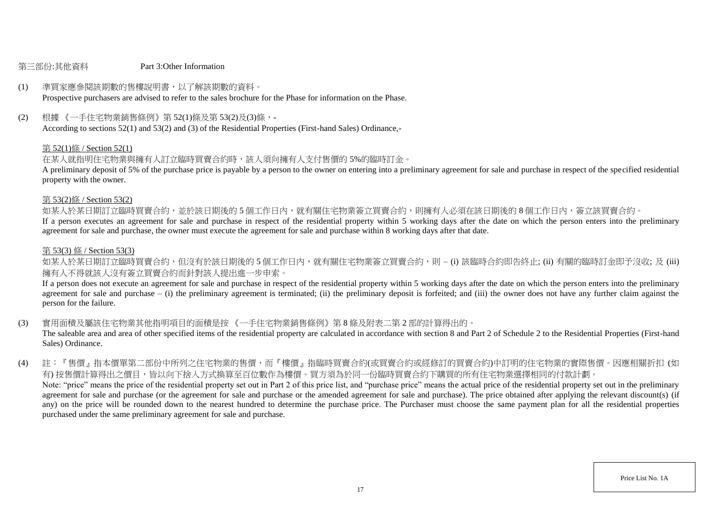#### 第三部份:其他資料 Part 3:Other Information

# (1) 準買家應參閱該期數的售樓說明書,以了解該期數的資料。

Prospective purchasers are advised to refer to the sales brochure for the Phase for information on the Phase.

## (2) 根據 《一手住宅物業銷售條例》第 52(1)條及第 53(2)及(3)條,-

According to sections 52(1) and 53(2) and (3) of the Residential Properties (First-hand Sales) Ordinance,-

#### 第 52(1)條 / Section 52(1)

#### 在某人就指明住宅物業與擁有人訂立臨時買賣合約時,該人須向擁有人支付售價的 5%的臨時訂金。

A preliminary deposit of 5% of the purchase price is payable by a person to the owner on entering into a preliminary agreement for sale and purchase in respect of the specified residential property with the owner.

#### 第 53(2)條 / Section 53(2)

如某人於某日期訂立臨時買賣合約,並於該日期後的5個工作日內,就有關住宅物業簽立買賣合約,則擁有人必須在該日期後的8個工作日內,簽立該買賣合約。

If a person executes an agreement for sale and purchase in respect of the residential property within 5 working days after the date on which the person enters into the preliminary agreement for sale and purchase, the owner must execute the agreement for sale and purchase within 8 working days after that date.

#### 第 53(3) 條 / Section 53(3)

如某人於某日期訂立臨時買賣合約,但沒有於該日期後的 5 個工作日内,就有關住宅物業簽立買賣合約,則 – (i) 該臨時合約即告終止; (ii) 有關的臨時訂金即予沒收; 及 (iii) 擁有人不得就該人沒有簽立買賣合約而針對該人提出進一步申索。

If a person does not execute an agreement for sale and purchase in respect of the residential property within 5 working days after the date on which the person enters into the preliminary agreement for sale and purchase  $-$  (i) the preliminary agreement is terminated; (ii) the preliminary deposit is forfeited; and (iii) the owner does not have any further claim against the person for the failure.

(3) 實用面積及屬該住宅物業其他指明項目的面積是按 《一手住宅物業銷售條例》第 8 條及附表二第 2 部的計算得出的。

The saleable area and area of other specified items of the residential property are calculated in accordance with section 8 and Part 2 of Schedule 2 to the Residential Properties (First-hand Sales) Ordinance.

(4) 註:『售價』指本價單第二部份中所列之住宅物業的售價,而『樓價』指臨時買賣合約(或買賣合約或經修訂的買賣合約)中訂明的住宅物業的實際售價。因應相關折扣 (如 有) 按售價計算得出之價目,皆以向下捨入方式換算至百位數作為樓價。買方須為於同一份臨時買賣合約下購買的所有住宅物業選擇相同的付款計劃。 Note: "price" means the price of the residential property set out in Part 2 of this price list, and "purchase price" means the actual price of the residential property set out in the preliminary agreement for sale and purchase (or the agreement for sale and purchase or the amended agreement for sale and purchase). The price obtained after applying the relevant discount(s) (if any) on the price will be rounded down to the nearest hundred to determine the purchase price. The Purchaser must choose the same payment plan for all the residential properties purchased under the same preliminary agreement for sale and purchase.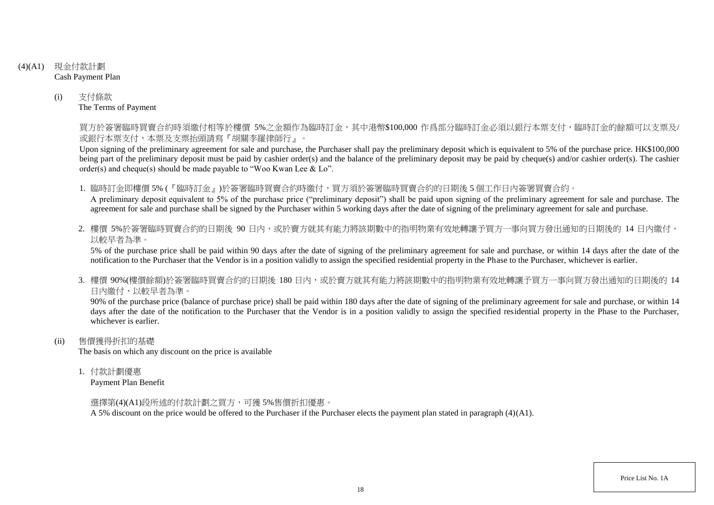- (4)(A1) 現金付款計劃 Cash Payment Plan
	- (i) 支付條款 The Terms of Payment

買方於簽署臨時買賣合約時須繳付相等於樓價 5%之金額作為臨時訂金,其中港幣\$100,000 作爲部分臨時訂金必須以銀行本票支付,臨時訂金的餘額可以支票及/ 或銀行本票支付,本票及支票抬頭請寫『胡關李羅律師行』。

Upon signing of the preliminary agreement for sale and purchase, the Purchaser shall pay the preliminary deposit which is equivalent to 5% of the purchase price. HK\$100,000 being part of the preliminary deposit must be paid by cashier order(s) and the balance of the preliminary deposit may be paid by cheque(s) and/or cashier order(s). The cashier order(s) and cheque(s) should be made payable to "Woo Kwan Lee & Lo".

1. 臨時訂金即樓價 5% (『臨時訂金』)於簽署臨時買賣合約時繳付,買方須於簽署臨時買賣合約的日期後 5 個工作日內簽署買賣合約。

A preliminary deposit equivalent to 5% of the purchase price ("preliminary deposit") shall be paid upon signing of the preliminary agreement for sale and purchase. The agreement for sale and purchase shall be signed by the Purchaser within 5 working days after the date of signing of the preliminary agreement for sale and purchase.

2. 樓價 5%於簽署臨時買賣合約的日期後 90 日内,或於賣方就其有能力將該期數中的指明物業有效地轉讓予買方一事向買方發出通知的日期後的 14 日內繳付, 以較早者為準。

5% of the purchase price shall be paid within 90 days after the date of signing of the preliminary agreement for sale and purchase, or within 14 days after the date of the notification to the Purchaser that the Vendor is in a position validly to assign the specified residential property in the Phase to the Purchaser, whichever is earlier.

3. 樓價 90%(樓價餘額)於簽署臨時買賣合約的日期後 180 日内,或於賣方就其有能力將該期數中的指明物業有效地轉讓予買方一事向買方發出涌知的日期後的 14 日內繳付,以較早者為準。

90% of the purchase price (balance of purchase price) shall be paid within 180 days after the date of signing of the preliminary agreement for sale and purchase, or within 14 days after the date of the notification to the Purchaser that the Vendor is in a position validly to assign the specified residential property in the Phase to the Purchaser. whichever is earlier.

(ii) 售價獲得折扣的基礎

The basis on which any discount on the price is available

1. 付款計劃優惠

Payment Plan Benefit

選擇第(4)(A1)段所述的付款計劃之買方,可獲 5%售價折扣優惠。

A 5% discount on the price would be offered to the Purchaser if the Purchaser elects the payment plan stated in paragraph (4)(A1).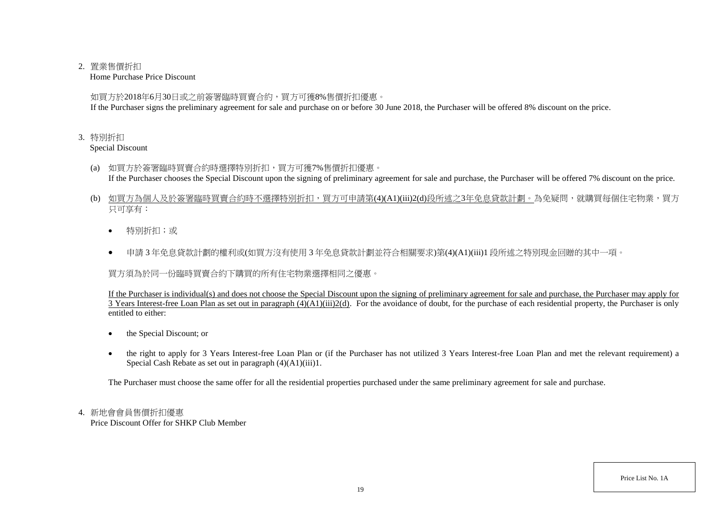### 2. 置業售價折扣

Home Purchase Price Discount

如買方於2018年6月30日或之前簽署臨時買賣合約,買方可獲8%售價折扣優惠。

If the Purchaser signs the preliminary agreement for sale and purchase on or before 30 June 2018, the Purchaser will be offered 8% discount on the price.

## 3. 特別折扣

Special Discount

- (a) 如買方於簽署臨時買賣合約時選擇特別折扣,買方可獲7%售價折扣優惠。 If the Purchaser chooses the Special Discount upon the signing of preliminary agreement for sale and purchase, the Purchaser will be offered 7% discount on the price.
- (b) 如買方為個人及於簽署臨時買賣合約時不選擇特別折扣,買方可申請第(4)(A1)(iii)2(d)段所述之3年免息貸款計劃。為免疑問,就購買每個住宅物業,買方 只可享有:
	- 特別折扣;或
	- 申請 3 年免息貸款計劃的權利或(如買方沒有使用 3 年免息貸款計劃並符合相關要求)第(4)(A1)(iii)1 段所述之特別現金回贈的其中一項。

買方須為於同一份臨時買賣合約下購買的所有住宅物業選擇相同之優惠。

If the Purchaser is individual(s) and does not choose the Special Discount upon the signing of preliminary agreement for sale and purchase, the Purchaser may apply for 3 Years Interest-free Loan Plan as set out in paragraph (4)(A1)(iii)2(d). For the avoidance of doubt, for the purchase of each residential property, the Purchaser is only entitled to either:

- the Special Discount; or
- the right to apply for 3 Years Interest-free Loan Plan or (if the Purchaser has not utilized 3 Years Interest-free Loan Plan and met the relevant requirement) a Special Cash Rebate as set out in paragraph (4)(A1)(iii)1.

The Purchaser must choose the same offer for all the residential properties purchased under the same preliminary agreement for sale and purchase.

# 4. 新地會會員售價折扣優惠

Price Discount Offer for SHKP Club Member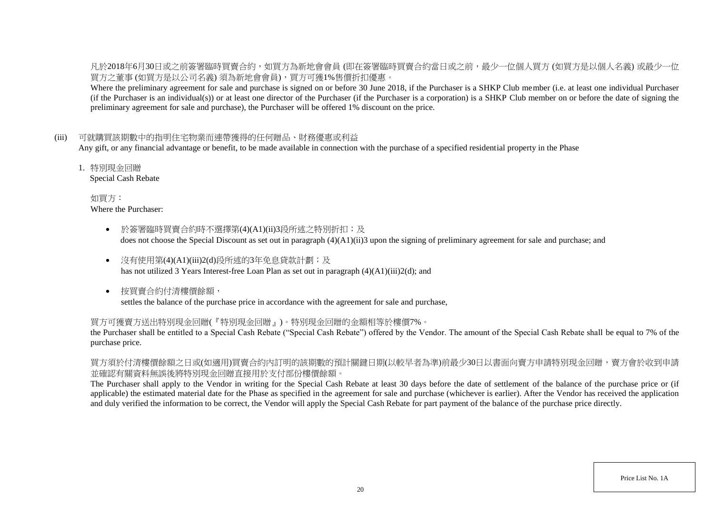凡於2018年6月30日或之前簽署臨時買賣合約,如買方為新地會會員 (即在簽署臨時買賣合約當日或之前,最少一位個人買方 (如買方是以個人名義) 或最少一位 買方之董事 (如買方是以公司名義) 須為新地會會員),買方可獲1%售價折扣優惠。

Where the preliminary agreement for sale and purchase is signed on or before 30 June 2018, if the Purchaser is a SHKP Club member (i.e. at least one individual Purchaser (if the Purchaser is an individual(s)) or at least one director of the Purchaser (if the Purchaser is a corporation) is a SHKP Club member on or before the date of signing the preliminary agreement for sale and purchase), the Purchaser will be offered 1% discount on the price.

### (iii) 可就購買該期數中的指明住宅物業而連帶獲得的任何贈品、財務優惠或利益

Any gift, or any financial advantage or benefit, to be made available in connection with the purchase of a specified residential property in the Phase

1. 特別現金回贈

Special Cash Rebate

如買方: Where the Purchaser:

- 於簽署臨時買賣合約時不選擇第(4)(A1)(ii)3段所述之特別折扣;及 does not choose the Special Discount as set out in paragraph (4)(A1)(ii)3 upon the signing of preliminary agreement for sale and purchase; and
- 沒有使用第(4)(A1)(iii)2(d)段所述的3年免息貸款計劃;及 has not utilized 3 Years Interest-free Loan Plan as set out in paragraph  $(4)(A1)(iii)2(d)$ ; and
- 按買賣合約付清樓價餘額, settles the balance of the purchase price in accordance with the agreement for sale and purchase,

#### 買方可獲賣方送出特別現金回贈(『特別現金回贈』)。特別現金回贈的金額相等於樓價7%。

the Purchaser shall be entitled to a Special Cash Rebate ("Special Cash Rebate") offered by the Vendor. The amount of the Special Cash Rebate shall be equal to 7% of the purchase price.

買方須於付清樓價餘額之日或(如適用)買賣合約內訂明的該期數的預計關鍵日期(以較早者為準)前最少30日以書面向賣方申請特別現金回贈,賣方會於收到申請 並確認有關資料無誤後將特別現金回贈直接用於支付部份樓價餘額。

The Purchaser shall apply to the Vendor in writing for the Special Cash Rebate at least 30 days before the date of settlement of the balance of the purchase price or (if applicable) the estimated material date for the Phase as specified in the agreement for sale and purchase (whichever is earlier). After the Vendor has received the application and duly verified the information to be correct, the Vendor will apply the Special Cash Rebate for part payment of the balance of the purchase price directly.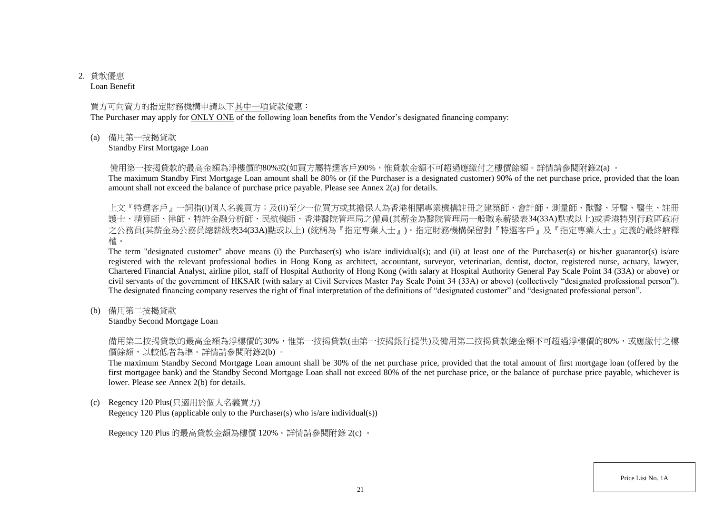# 2. 貸款優惠

Loan Benefit

#### 買方可向賣方的指定財務機構申請以下其中一項貸款優惠:

The Purchaser may apply for ONLY ONE of the following loan benefits from the Vendor's designated financing company:

(a) 備用第一按揭貸款

Standby First Mortgage Loan

備用第一按揭貸款的最高金額為淨樓價的80%或(如買方屬特選客戶)90%,惟貸款金額不可超過應繳付之樓價餘額。詳情請參閱附錄2(a) 。

The maximum Standby First Mortgage Loan amount shall be 80% or (if the Purchaser is a designated customer) 90% of the net purchase price, provided that the loan amount shall not exceed the balance of purchase price payable. Please see Annex 2(a) for details.

上文『特選客戶』一詞指(i)個人名義買方;及(ii)至少一位買方或其擔保人為香港相關專業機構註冊之建築師、會計師、測量師、獸醫、牙醫、醫生、註冊 護士、精算師、律師、特許金融分析師、民航機師、香港醫院管理局之僱員(其薪金為醫院管理局一般職系薪級表34(33A)點或以上)或香港特別行政區政府 之公務員(其薪金為公務員總薪級表34(33A)點或以上) (統稱為『指定專業人士』)。指定財務機構保留對『特選客戶』及『指定專業人士』定義的最終解釋 權。

The term "designated customer" above means (i) the Purchaser(s) who is/are individual(s); and (ii) at least one of the Purchaser(s) or his/her guarantor(s) is/are registered with the relevant professional bodies in Hong Kong as architect, accountant, surveyor, veterinarian, dentist, doctor, registered nurse, actuary, lawyer, Chartered Financial Analyst, airline pilot, staff of Hospital Authority of Hong Kong (with salary at Hospital Authority General Pay Scale Point 34 (33A) or above) or civil servants of the government of HKSAR (with salary at Civil Services Master Pay Scale Point 34 (33A) or above) (collectively "designated professional person"). The designated financing company reserves the right of final interpretation of the definitions of "designated customer" and "designated professional person".

(b) 備用第二按揭貸款

Standby Second Mortgage Loan

備用第二按揭貸款的最高金額為淨樓價的30%,惟第一按揭貸款(由第一按揭銀行提供)及備用第二按揭貸款總金額不可超過淨樓價的80%,或應繳付之樓 價餘額,以較低者為準。詳情請參閱附錄2(b) 。

The maximum Standby Second Mortgage Loan amount shall be 30% of the net purchase price, provided that the total amount of first mortgage loan (offered by the first mortgagee bank) and the Standby Second Mortgage Loan shall not exceed 80% of the net purchase price, or the balance of purchase price payable, whichever is lower. Please see Annex 2(b) for details.

(c) Regency 120 Plus(只適用於個人名義買方)

Regency 120 Plus (applicable only to the Purchaser(s) who is/are individual(s))

Regency 120 Plus 的最高貸款金額為樓價 120%。詳情請參閱附錄 2(c) 。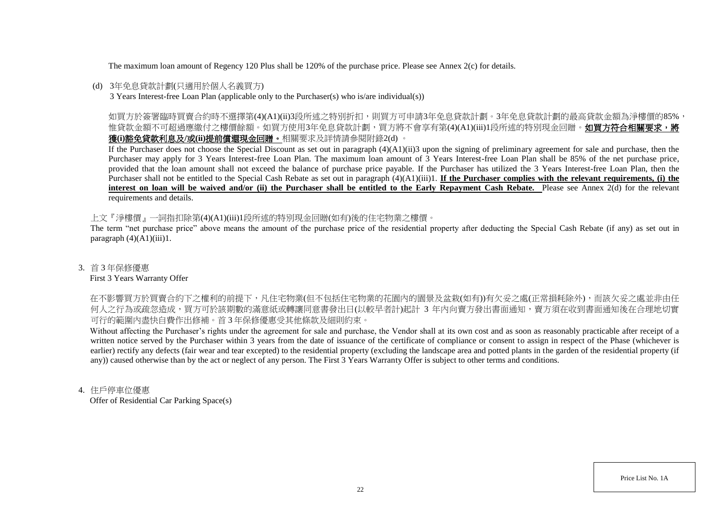The maximum loan amount of Regency 120 Plus shall be 120% of the purchase price. Please see Annex 2(c) for details.

## (d) 3年免息貸款計劃(只適用於個人名義買方)

3 Years Interest-free Loan Plan (applicable only to the Purchaser(s) who is/are individual(s))

如買方於簽署臨時買賣合約時不選擇第(4)(A1)(ii)3段所述之特別折扣,則買方可申請3年免息貸款計劃。3年免息貸款計劃的最高貸款金額為淨樓價的85%, 惟貸款金額不可超過應繳付之樓價餘額。如買方使用3年免息貸款計劃,買方將不會享有第(4)(A1)(iii)1段所述的特別現金回贈。如買方符合相關要求,將 獲**(i)**豁免貸款利息及**/**或**(ii)**提前償還現金回贈。相關要求及詳情請參閱附錄2(d) 。

If the Purchaser does not choose the Special Discount as set out in paragraph (4)(A1)(ii)3 upon the signing of preliminary agreement for sale and purchase, then the Purchaser may apply for 3 Years Interest-free Loan Plan. The maximum loan amount of 3 Years Interest-free Loan Plan shall be 85% of the net purchase price, provided that the loan amount shall not exceed the balance of purchase price payable. If the Purchaser has utilized the 3 Years Interest-free Loan Plan, then the Purchaser shall not be entitled to the Special Cash Rebate as set out in paragraph (4)(A1)(iii)1. **If the Purchaser complies with the relevant requirements, (i) the** interest on loan will be waived and/or (ii) the Purchaser shall be entitled to the Early Repayment Cash Rebate. Please see Annex 2(d) for the relevant requirements and details.

上文『淨樓價』一詞指扣除第(4)(A1)(iii)1段所述的特別現金回贈(如有)後的住宅物業之樓價。

The term "net purchase price" above means the amount of the purchase price of the residential property after deducting the Special Cash Rebate (if any) as set out in paragraph  $(4)(A1)(iii)1$ .

### 3. 首 3 年保修優惠

#### First 3 Years Warranty Offer

在不影響買方於買賣合約下之權利的前提下,凡住宅物業(但不包括住宅物業的花園内的園景及盆栽(如有))有欠妥之處(正常損耗除外),而該欠妥之處並非由任 何人之行為或疏忽造成,買方可於該期數的滿意紙或轉讓同意書發出日(以較早者計)起計 3 年内向賣方發出書面通知,賣方須在收到書面通知後在合理地切實 可行的範圍內盡快自費作出修補。首 3 年保修優惠受其他條款及細則約束。

Without affecting the Purchaser's rights under the agreement for sale and purchase, the Vendor shall at its own cost and as soon as reasonably practicable after receipt of a written notice served by the Purchaser within 3 years from the date of issuance of the certificate of compliance or consent to assign in respect of the Phase (whichever is earlier) rectify any defects (fair wear and tear excepted) to the residential property (excluding the landscape area and potted plants in the garden of the residential property (if any)) caused otherwise than by the act or neglect of any person. The First 3 Years Warranty Offer is subject to other terms and conditions.

### 4. 住戶停車位優惠

Offer of Residential Car Parking Space(s)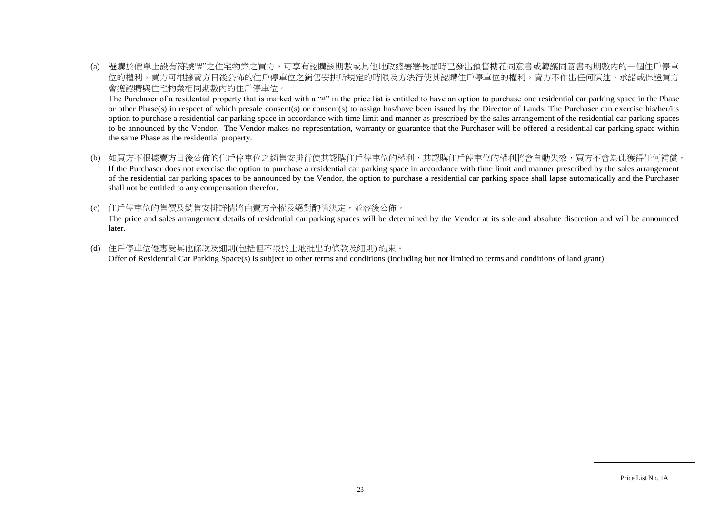(a) 選購於價單上設有符號"#"之住宅物業之買方,可享有認購該期數或其他地政總署署長屆時已發出預售樓花同意書或轉讓同意書的期數內的一個住戶停車 位的權利。買方可根據賣方日後公佈的住戶停車位之銷售安排所規定的時限及方法行使其認購住戶停車位的權利。賣方不作出任何陳述、承諾或保證買方 會獲認購與住宅物業相同期數內的住戶停車位。

The Purchaser of a residential property that is marked with a "#" in the price list is entitled to have an option to purchase one residential car parking space in the Phase or other Phase(s) in respect of which presale consent(s) or consent(s) to assign has/have been issued by the Director of Lands. The Purchaser can exercise his/her/its option to purchase a residential car parking space in accordance with time limit and manner as prescribed by the sales arrangement of the residential car parking spaces to be announced by the Vendor. The Vendor makes no representation, warranty or guarantee that the Purchaser will be offered a residential car parking space within the same Phase as the residential property.

- (b) 如買方不根據賣方日後公佈的住戶停車位之銷售安排行使其認購住戶停車位的權利,其認購住戶停車位的權利將會自動失效,買方不會為此獲得任何補償。 If the Purchaser does not exercise the option to purchase a residential car parking space in accordance with time limit and manner prescribed by the sales arrangement of the residential car parking spaces to be announced by the Vendor, the option to purchase a residential car parking space shall lapse automatically and the Purchaser shall not be entitled to any compensation therefor.
- (c) 住戶停車位的售價及銷售安排詳情將由賣方全權及絕對酌情決定,並容後公佈。 The price and sales arrangement details of residential car parking spaces will be determined by the Vendor at its sole and absolute discretion and will be announced later.
- (d) 住戶停車位優惠受其他條款及細則(包括但不限於土地批出的條款及細則) 約束。 Offer of Residential Car Parking Space(s) is subject to other terms and conditions (including but not limited to terms and conditions of land grant).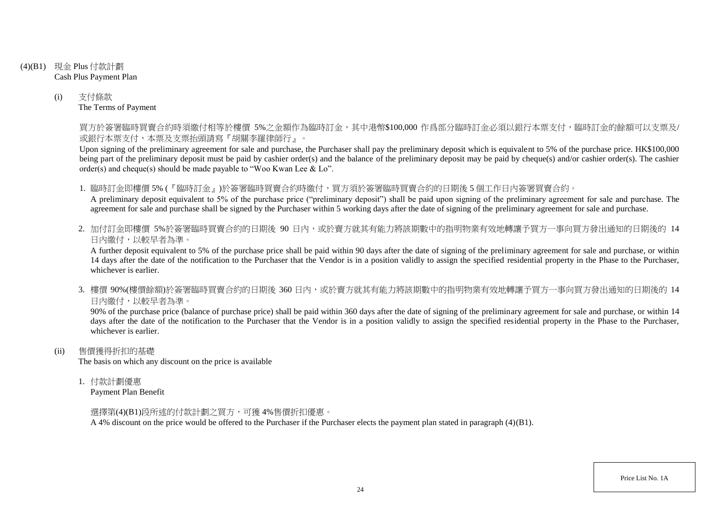- (4)(B1) 現金 Plus 付款計劃 Cash Plus Payment Plan
	- (i) 支付條款 The Terms of Payment

買方於簽署臨時買賣合約時須繳付相等於樓價 5%之金額作為臨時訂金,其中港幣\$100,000 作爲部分臨時訂金必須以銀行本票支付,臨時訂金的餘額可以支票及/ 或銀行本票支付,本票及支票抬頭請寫『胡關李羅律師行』。

Upon signing of the preliminary agreement for sale and purchase, the Purchaser shall pay the preliminary deposit which is equivalent to 5% of the purchase price. HK\$100,000 being part of the preliminary deposit must be paid by cashier order(s) and the balance of the preliminary deposit may be paid by cheque(s) and/or cashier order(s). The cashier order(s) and cheque(s) should be made payable to "Woo Kwan Lee & Lo".

1. 臨時訂金即樓價 5% (『臨時訂金』)於簽署臨時買賣合約時繳付,買方須於簽署臨時買賣合約的日期後 5 個工作日內簽署買賣合約。

A preliminary deposit equivalent to 5% of the purchase price ("preliminary deposit") shall be paid upon signing of the preliminary agreement for sale and purchase. The agreement for sale and purchase shall be signed by the Purchaser within 5 working days after the date of signing of the preliminary agreement for sale and purchase.

2. 加付訂金即樓價 5%於簽署臨時買賣合約的日期後 90 日内,或於賣方就其有能力將該期數中的指明物業有效地轉讓予買方一事向買方發出通知的日期後的 14 日內繳付,以較早者為準。

A further deposit equivalent to 5% of the purchase price shall be paid within 90 days after the date of signing of the preliminary agreement for sale and purchase, or within 14 days after the date of the notification to the Purchaser that the Vendor is in a position validly to assign the specified residential property in the Phase to the Purchaser, whichever is earlier.

3. 樓價 90%(樓價餘額)於簽署臨時買賣合約的日期後 360 日內,或於賣方就其有能力將該期數中的指明物業有效地轉讓予買方一事向買方發出通知的日期後的 14 日內繳付,以較早者為準。

90% of the purchase price (balance of purchase price) shall be paid within 360 days after the date of signing of the preliminary agreement for sale and purchase, or within 14 days after the date of the notification to the Purchaser that the Vendor is in a position validly to assign the specified residential property in the Phase to the Purchaser, whichever is earlier.

(ii) 售價獲得折扣的基礎

The basis on which any discount on the price is available

1. 付款計劃優惠

Payment Plan Benefit

選擇第(4)(B1)段所述的付款計劃之買方,可獲 4%售價折扣優惠。

A 4% discount on the price would be offered to the Purchaser if the Purchaser elects the payment plan stated in paragraph (4)(B1).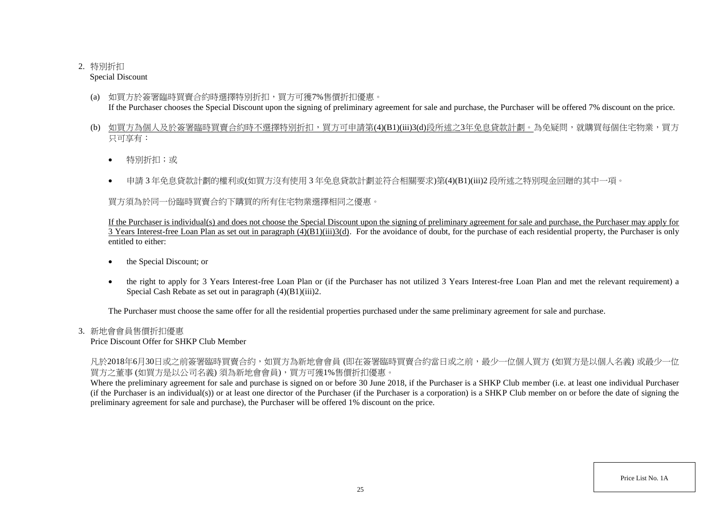# 2. 特別折扣

Special Discount

- (a) 如買方於簽署臨時買賣合約時選擇特別折扣,買方可獲7%售價折扣優惠。 If the Purchaser chooses the Special Discount upon the signing of preliminary agreement for sale and purchase, the Purchaser will be offered 7% discount on the price.
- (b) 如買方為個人及於簽署臨時買賣合約時不選擇特別折扣,買方可申請第(4)(B1)(iii)3(d)段所述之3年免息貸款計劃。為免疑問,就購買每個住宅物業,買方 只可享有:
	- 特別折扣;或
	- 申請 3 年免息貸款計劃的權利或(如買方沒有使用 3 年免息貸款計劃並符合相關要求)第(4)(B1)(iii)2 段所述之特別現金回贈的其中一項。

買方須為於同一份臨時買賣合約下購買的所有住宅物業選擇相同之優惠。

If the Purchaser is individual(s) and does not choose the Special Discount upon the signing of preliminary agreement for sale and purchase, the Purchaser may apply for  $\overline{3}$  Years Interest-free Loan Plan as set out in paragraph  $(4)(B1)(iii)3(d)$ . For the avoidance of doubt, for the purchase of each residential property, the Purchaser is only entitled to either:

- the Special Discount; or
- the right to apply for 3 Years Interest-free Loan Plan or (if the Purchaser has not utilized 3 Years Interest-free Loan Plan and met the relevant requirement) a Special Cash Rebate as set out in paragraph (4)(B1)(iii)2.

The Purchaser must choose the same offer for all the residential properties purchased under the same preliminary agreement for sale and purchase.

# 3. 新地會會員售價折扣優惠

Price Discount Offer for SHKP Club Member

凡於2018年6月30日或之前簽署臨時買賣合約,如買方為新地會會員 (即在簽署臨時買賣合約當日或之前,最少一位個人買方 (如買方是以個人名義) 或最少一位 買方之董事 (如買方是以公司名義) 須為新地會會員),買方可獲1%售價折扣優惠。

Where the preliminary agreement for sale and purchase is signed on or before 30 June 2018, if the Purchaser is a SHKP Club member (i.e. at least one individual Purchaser (if the Purchaser is an individual(s)) or at least one director of the Purchaser (if the Purchaser is a corporation) is a SHKP Club member on or before the date of signing the preliminary agreement for sale and purchase), the Purchaser will be offered 1% discount on the price.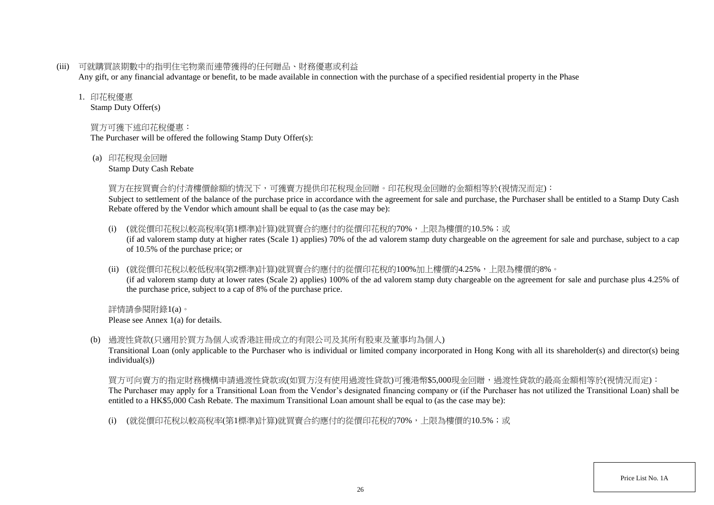(iii) 可就購買該期數中的指明住宅物業而連帶獲得的任何贈品、財務優惠或利益

Any gift, or any financial advantage or benefit, to be made available in connection with the purchase of a specified residential property in the Phase

#### 1. 印花稅優惠

Stamp Duty Offer(s)

# 買方可獲下述印花稅優惠:

The Purchaser will be offered the following Stamp Duty Offer(s):

(a) 印花稅現金回贈

Stamp Duty Cash Rebate

### 買方在按買賣合約付清樓價餘額的情況下,可獲賣方提供印花稅現金回贈。印花稅現金回贈的金額相等於(視情況而定):

Subject to settlement of the balance of the purchase price in accordance with the agreement for sale and purchase, the Purchaser shall be entitled to a Stamp Duty Cash Rebate offered by the Vendor which amount shall be equal to (as the case may be):

- (i) (就從價印花稅以較高稅率(第1標準)計算)就買賣合約應付的從價印花稅的70%,上限為樓價的10.5%;或 (if ad valorem stamp duty at higher rates (Scale 1) applies) 70% of the ad valorem stamp duty chargeable on the agreement for sale and purchase, subject to a cap of 10.5% of the purchase price; or
- (ii) (就從價印花稅以較低稅率(第2標準)計算)就買賣合約應付的從價印花稅的100%加上樓價的4.25%,上限為樓價的8%。 (if ad valorem stamp duty at lower rates (Scale 2) applies) 100% of the ad valorem stamp duty chargeable on the agreement for sale and purchase plus 4.25% of the purchase price, subject to a cap of 8% of the purchase price.

詳情請參閱附錄1(a)。 Please see Annex 1(a) for details.

(b) 過渡性貸款(只適用於買方為個人或香港註冊成立的有限公司及其所有股東及董事均為個人)

Transitional Loan (only applicable to the Purchaser who is individual or limited company incorporated in Hong Kong with all its shareholder(s) and director(s) being individual(s))

買方可向賣方的指定財務機構申請過渡性貸款或(如買方沒有使用過渡性貸款)可獲港幣\$5,000現金回贈,過渡性貸款的最高金額相等於(視情況而定): The Purchaser may apply for a Transitional Loan from the Vendor's designated financing company or (if the Purchaser has not utilized the Transitional Loan) shall be entitled to a HK\$5,000 Cash Rebate. The maximum Transitional Loan amount shall be equal to (as the case may be):

(i) (就從價印花稅以較高稅率(第1標準)計算)就買賣合約應付的從價印花稅的70%,上限為樓價的10.5%;或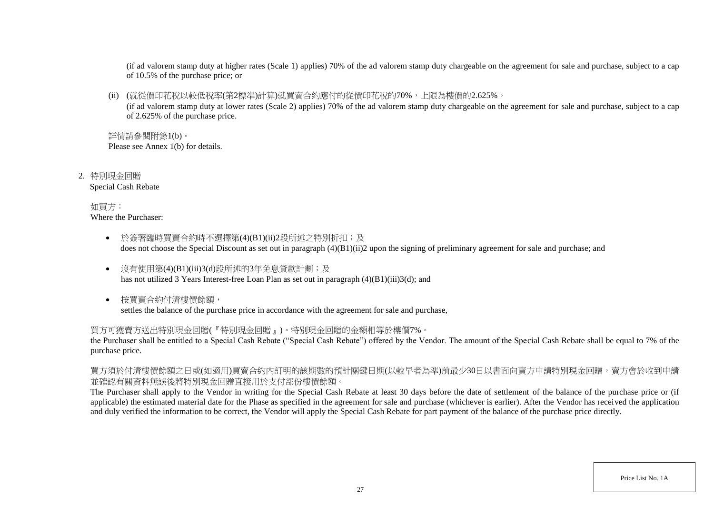(if ad valorem stamp duty at higher rates (Scale 1) applies) 70% of the ad valorem stamp duty chargeable on the agreement for sale and purchase, subject to a cap of 10.5% of the purchase price; or

(ii) (就從價印花稅以較低稅率(第2標準)計算)就買賣合約應付的從價印花稅的70%,上限為樓價的2.625%。

(if ad valorem stamp duty at lower rates (Scale 2) applies) 70% of the ad valorem stamp duty chargeable on the agreement for sale and purchase, subject to a cap of 2.625% of the purchase price.

詳情請參閱附錄1(b)。 Please see Annex 1(b) for details.

2. 特別現金回贈 Special Cash Rebate

> 如買方: Where the Purchaser:

- 於簽署臨時買賣合約時不選擇第(4)(B1)(ii)2段所述之特別折扣;及 does not choose the Special Discount as set out in paragraph (4)(B1)(ii)2 upon the signing of preliminary agreement for sale and purchase; and
- 沒有使用第(4)(B1)(iii)3(d)段所述的3年免息貸款計劃;及 has not utilized 3 Years Interest-free Loan Plan as set out in paragraph (4)(B1)(iii)3(d); and
- 按買賣合約付清樓價餘額, settles the balance of the purchase price in accordance with the agreement for sale and purchase,

買方可獲賣方送出特別現金回贈(『特別現金回贈』)。特別現金回贈的金額相等於樓價7%。

the Purchaser shall be entitled to a Special Cash Rebate ("Special Cash Rebate") offered by the Vendor. The amount of the Special Cash Rebate shall be equal to 7% of the purchase price.

買方須於付清樓價餘額之日或(如適用)買賣合約內訂明的該期數的預計關鍵日期(以較早者為準)前最少30日以書面向賣方申請特別現金回贈,賣方會於收到申請 並確認有關資料無誤後將特別現金回贈直接用於支付部份樓價餘額。

The Purchaser shall apply to the Vendor in writing for the Special Cash Rebate at least 30 days before the date of settlement of the balance of the purchase price or (if applicable) the estimated material date for the Phase as specified in the agreement for sale and purchase (whichever is earlier). After the Vendor has received the application and duly verified the information to be correct, the Vendor will apply the Special Cash Rebate for part payment of the balance of the purchase price directly.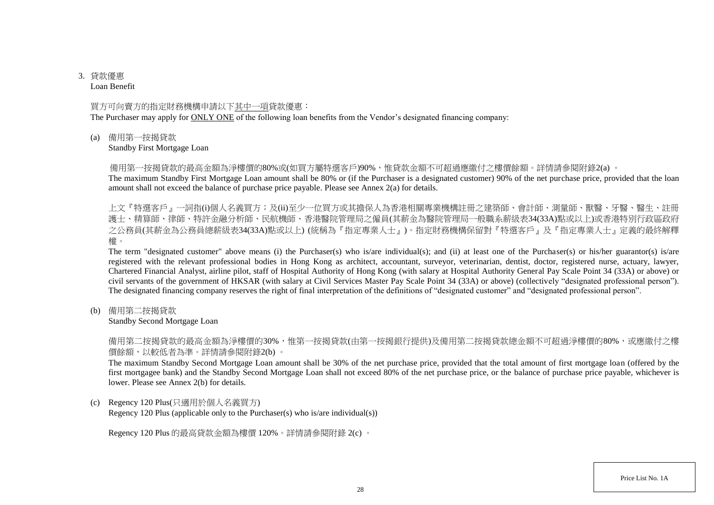# 3. 貸款優惠

Loan Benefit

### 買方可向賣方的指定財務機構申請以下其中一項貸款優惠:

The Purchaser may apply for ONLY ONE of the following loan benefits from the Vendor's designated financing company:

(a) 備用第一按揭貸款

Standby First Mortgage Loan

備用第一按揭貸款的最高金額為淨樓價的80%或(如買方屬特選客戶)90%,惟貸款金額不可超過應繳付之樓價餘額。詳情請參閱附錄2(a) 。

The maximum Standby First Mortgage Loan amount shall be 80% or (if the Purchaser is a designated customer) 90% of the net purchase price, provided that the loan amount shall not exceed the balance of purchase price payable. Please see Annex 2(a) for details.

上文『特選客戶』一詞指(i)個人名義買方;及(ii)至少一位買方或其擔保人為香港相關專業機構註冊之建築師、會計師、測量師、獸醫、牙醫、醫生、註冊 護士、精算師、律師、特許金融分析師、民航機師、香港醫院管理局之僱員(其薪金為醫院管理局一般職系薪級表34(33A)點或以上)或香港特別行政區政府 之公務員(其薪金為公務員總薪級表34(33A)點或以上) (統稱為『指定專業人士』)。指定財務機構保留對『特選客戶』及『指定專業人士』定義的最終解釋 權。

The term "designated customer" above means (i) the Purchaser(s) who is/are individual(s); and (ii) at least one of the Purchaser(s) or his/her guarantor(s) is/are registered with the relevant professional bodies in Hong Kong as architect, accountant, surveyor, veterinarian, dentist, doctor, registered nurse, actuary, lawyer, Chartered Financial Analyst, airline pilot, staff of Hospital Authority of Hong Kong (with salary at Hospital Authority General Pay Scale Point 34 (33A) or above) or civil servants of the government of HKSAR (with salary at Civil Services Master Pay Scale Point 34 (33A) or above) (collectively "designated professional person"). The designated financing company reserves the right of final interpretation of the definitions of "designated customer" and "designated professional person".

(b) 備用第二按揭貸款

Standby Second Mortgage Loan

備用第二按揭貸款的最高金額為淨樓價的30%,惟第一按揭貸款(由第一按揭銀行提供)及備用第二按揭貸款總金額不可超過淨樓價的80%,或應繳付之樓 價餘額,以較低者為準。詳情請參閱附錄2(b) 。

The maximum Standby Second Mortgage Loan amount shall be 30% of the net purchase price, provided that the total amount of first mortgage loan (offered by the first mortgagee bank) and the Standby Second Mortgage Loan shall not exceed 80% of the net purchase price, or the balance of purchase price payable, whichever is lower. Please see Annex 2(b) for details.

(c) Regency 120 Plus(只適用於個人名義買方)

Regency 120 Plus (applicable only to the Purchaser(s) who is/are individual(s))

Regency 120 Plus 的最高貸款金額為樓價 120%。詳情請參閱附錄 2(c) 。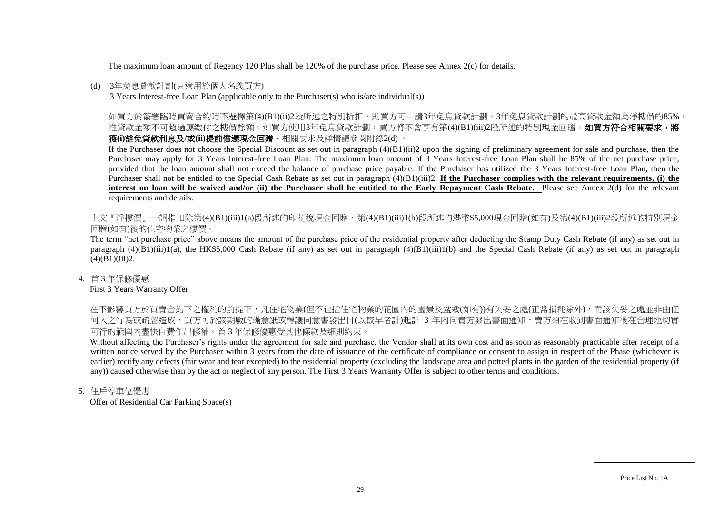The maximum loan amount of Regency 120 Plus shall be 120% of the purchase price. Please see Annex 2(c) for details.

#### (d) 3年免息貸款計劃(只適用於個人名義買方)

3 Years Interest-free Loan Plan (applicable only to the Purchaser(s) who is/are individual(s))

如買方於簽署臨時買賣合約時不選擇第(4)(B1)(ii)2段所述之特別折扣,則買方可申請3年免息貸款計劃。3年免息貸款計劃的最高貸款金額為淨樓價的85%, 惟貸款金額不可超過應繳付之樓價餘額。如買方使用3年免息貸款計劃,買方將不會享有第(4)(B1)(iii)2段所述的特別現金回贈。**如買方符合相關要求,將** 獲**(i)**豁免貸款利息及**/**或**(ii)**提前償還現金回贈。相關要求及詳情請參閱附錄2(d) 。

If the Purchaser does not choose the Special Discount as set out in paragraph (4)(B1)(ii)2 upon the signing of preliminary agreement for sale and purchase, then the Purchaser may apply for 3 Years Interest-free Loan Plan. The maximum loan amount of 3 Years Interest-free Loan Plan shall be 85% of the net purchase price, provided that the loan amount shall not exceed the balance of purchase price payable. If the Purchaser has utilized the 3 Years Interest-free Loan Plan, then the Purchaser shall not be entitled to the Special Cash Rebate as set out in paragraph (4)(B1)(iii)2. **If the Purchaser complies with the relevant requirements, (i) the interest on loan will be waived and/or (ii) the Purchaser shall be entitled to the Early Repayment Cash Rebate.** Please see Annex 2(d) for the relevant requirements and details.

上文『淨樓價』一詞指扣除第(4)(B1)(iii)1(a)段所述的印花稅現金回贈、第(4)(B1)(iii)1(b)段所述的港幣\$5,000現金回贈(如有)及第(4)(B1)(iii)2段所述的特別現金 回贈(如有)後的住宅物業之樓價。

The term "net purchase price" above means the amount of the purchase price of the residential property after deducting the Stamp Duty Cash Rebate (if any) as set out in paragraph  $(4)(B1)(iii)1(a)$ , the HK\$5,000 Cash Rebate (if any) as set out in paragraph  $(4)(B1)(iii)1(b)$  and the Special Cash Rebate (if any) as set out in paragraph  $(4)(B1)(iii)2.$ 

4. 首 3 年保修優惠

First 3 Years Warranty Offer

在不影響買方於買賣合約下之權利的前提下,凡住宅物業(但不包括住宅物業的花園內的園景及盆栽(如有))有欠妥之處(正常損耗除外),而該欠妥之處並非由任 何人之行為或疏忽造成,買方可於該期數的滿意紙或轉讓同意書發出日(以較早者計)起計 3 年内向賣方發出書面通知,賣方須在收到書面通知後在合理地切實 可行的範圍內盡快自費作出修補。首 3 年保修優惠受其他條款及細則約束。

Without affecting the Purchaser's rights under the agreement for sale and purchase, the Vendor shall at its own cost and as soon as reasonably practicable after receipt of a written notice served by the Purchaser within 3 years from the date of issuance of the certificate of compliance or consent to assign in respect of the Phase (whichever is earlier) rectify any defects (fair wear and tear excepted) to the residential property (excluding the landscape area and potted plants in the garden of the residential property (if any)) caused otherwise than by the act or neglect of any person. The First 3 Years Warranty Offer is subject to other terms and conditions.

5. 住戶停車位優惠

Offer of Residential Car Parking Space(s)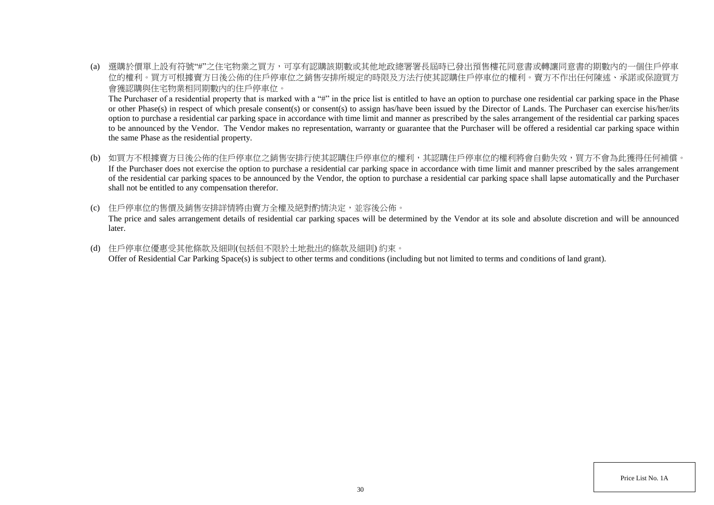(a) 選購於價單上設有符號"#"之住宅物業之買方,可享有認購該期數或其他地政總署署長屆時已發出預售樓花同意書或轉讓同意書的期數內的一個住戶停車 位的權利。買方可根據賣方日後公佈的住戶停車位之銷售安排所規定的時限及方法行使其認購住戶停車位的權利。賣方不作出任何陳述、承諾或保證買方 會獲認購與住宅物業相同期數內的住戶停車位。

The Purchaser of a residential property that is marked with a "#" in the price list is entitled to have an option to purchase one residential car parking space in the Phase or other Phase(s) in respect of which presale consent(s) or consent(s) to assign has/have been issued by the Director of Lands. The Purchaser can exercise his/her/its option to purchase a residential car parking space in accordance with time limit and manner as prescribed by the sales arrangement of the residential car parking spaces to be announced by the Vendor. The Vendor makes no representation, warranty or guarantee that the Purchaser will be offered a residential car parking space within the same Phase as the residential property.

- (b) 如買方不根據賣方日後公佈的住戶停車位之銷售安排行使其認購住戶停車位的權利,其認購住戶停車位的權利將會自動失效,買方不會為此獲得任何補償。 If the Purchaser does not exercise the option to purchase a residential car parking space in accordance with time limit and manner prescribed by the sales arrangement of the residential car parking spaces to be announced by the Vendor, the option to purchase a residential car parking space shall lapse automatically and the Purchaser shall not be entitled to any compensation therefor.
- (c) 住戶停車位的售價及銷售安排詳情將由賣方全權及絕對酌情決定,並容後公佈。 The price and sales arrangement details of residential car parking spaces will be determined by the Vendor at its sole and absolute discretion and will be announced later.
- (d) 住戶停車位優惠受其他條款及細則(包括但不限於土地批出的條款及細則) 約束。 Offer of Residential Car Parking Space(s) is subject to other terms and conditions (including but not limited to terms and conditions of land grant).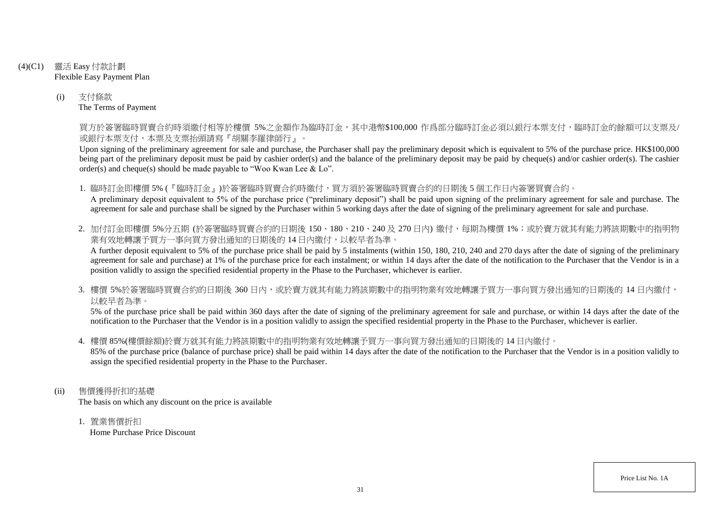- (4)(C1) 靈活 Easy 付款計劃 Flexible Easy Payment Plan
	- (i) 支付條款 The Terms of Payment

買方於簽署臨時買賣合約時須繳付相等於樓價 5%之金額作為臨時訂金,其中港幣\$100,000 作爲部分臨時訂金必須以銀行本票支付,臨時訂金的餘額可以支票及/ 或銀行本票支付,本票及支票抬頭請寫『胡關李羅律師行』。

Upon signing of the preliminary agreement for sale and purchase, the Purchaser shall pay the preliminary deposit which is equivalent to 5% of the purchase price. HK\$100,000 being part of the preliminary deposit must be paid by cashier order(s) and the balance of the preliminary deposit may be paid by cheque(s) and/or cashier order(s). The cashier order(s) and cheque(s) should be made payable to "Woo Kwan Lee & Lo".

1. 臨時訂金即樓價 5% (『臨時訂金』)於簽署臨時買賣合約時繳付,買方須於簽署臨時買賣合約的日期後 5 個工作日內簽署買賣合約。 A preliminary deposit equivalent to 5% of the purchase price ("preliminary deposit") shall be paid upon signing of the preliminary agreement for sale and purchase. The agreement for sale and purchase shall be signed by the Purchaser within 5 working days after the date of signing of the preliminary agreement for sale and purchase.

2. 加付訂金即樓價 5%分五期 (於簽署臨時買賣合約的日期後 150、180、210、240及 270日內) 繳付, 每期為樓價 1%; 或於賣方就其有能力將該期數中的指明物 業有效地轉讓予買方一事向買方發出通知的日期後的14日內繳付,以較早者為準。

A further deposit equivalent to 5% of the purchase price shall be paid by 5 instalments (within 150, 180, 210, 240 and 270 days after the date of signing of the preliminary agreement for sale and purchase) at 1% of the purchase price for each instalment; or within 14 days after the date of the notification to the Purchaser that the Vendor is in a position validly to assign the specified residential property in the Phase to the Purchaser, whichever is earlier.

3. 樓價 5%於簽署臨時買賣合約的日期後 360 日内,或於賣方就其有能力將該期數中的指明物業有效地轉讓予買方一事向買方發出通知的日期後的 14 日內繳付, 以較早者為準。

5% of the purchase price shall be paid within 360 days after the date of signing of the preliminary agreement for sale and purchase, or within 14 days after the date of the notification to the Purchaser that the Vendor is in a position validly to assign the specified residential property in the Phase to the Purchaser, whichever is earlier.

4. 樓價 85%(樓價餘額)於賣方就其有能力將該期數中的指明物業有效地轉讓予買方一事向買方發出通知的日期後的 14 日內繳付。

85% of the purchase price (balance of purchase price) shall be paid within 14 days after the date of the notification to the Purchaser that the Vendor is in a position validly to assign the specified residential property in the Phase to the Purchaser.

- (ii) 售價獲得折扣的基礎 The basis on which any discount on the price is available
	- 1. 置業售價折扣 Home Purchase Price Discount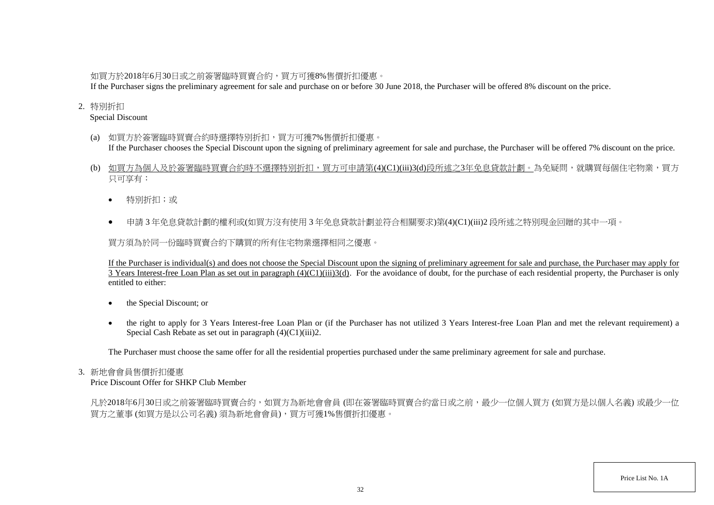## 如買方於2018年6月30日或之前簽署臨時買賣合約,買方可獲8%售價折扣優惠。

If the Purchaser signs the preliminary agreement for sale and purchase on or before 30 June 2018, the Purchaser will be offered 8% discount on the price.

## 2. 特別折扣

Special Discount

- (a) 如買方於簽署臨時買賣合約時選擇特別折扣,買方可獲7%售價折扣優惠。 If the Purchaser chooses the Special Discount upon the signing of preliminary agreement for sale and purchase, the Purchaser will be offered 7% discount on the price.
- (b) 如買方為個人及於簽署臨時買賣合約時不選擇特別折扣,買方可申請第(4)(C1)(iii)3(d)段所述之3年免息貸款計劃。為免疑問,就購買每個住宅物業,買方 只可享有:
	- 特別折扣;或
	- 申請 3 年免息貸款計劃的權利或(如買方沒有使用 3 年免息貸款計劃並符合相關要求)第(4)(C1)(iii)2 段所述之特別現金回贈的其中一項。

買方須為於同一份臨時買賣合約下購買的所有住宅物業選擇相同之優惠。

If the Purchaser is individual(s) and does not choose the Special Discount upon the signing of preliminary agreement for sale and purchase, the Purchaser may apply for 3 Years Interest-free Loan Plan as set out in paragraph  $(4)(C1)(iii)3(d)$ . For the avoidance of doubt, for the purchase of each residential property, the Purchaser is only entitled to either:

- the Special Discount; or
- the right to apply for 3 Years Interest-free Loan Plan or (if the Purchaser has not utilized 3 Years Interest-free Loan Plan and met the relevant requirement) a Special Cash Rebate as set out in paragraph (4)(C1)(iii)2.

The Purchaser must choose the same offer for all the residential properties purchased under the same preliminary agreement for sale and purchase.

### 3. 新地會會員售價折扣優惠

Price Discount Offer for SHKP Club Member

凡於2018年6月30日或之前簽署臨時買賣合約,如買方為新地會會員 (即在簽署臨時買賣合約當日或之前,最少一位個人買方 (如買方是以個人名義) 或最少一位 買方之董事 (如買方是以公司名義) 須為新地會會員),買方可獲1%售價折扣優惠。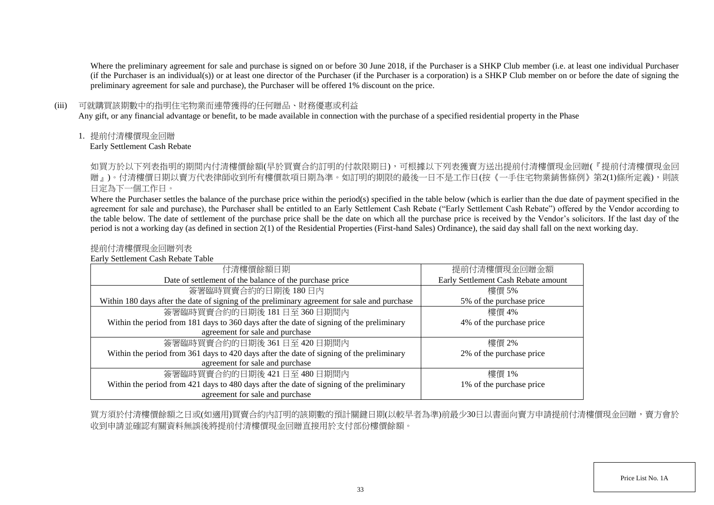Where the preliminary agreement for sale and purchase is signed on or before 30 June 2018, if the Purchaser is a SHKP Club member (i.e. at least one individual Purchaser (if the Purchaser is an individual(s)) or at least one director of the Purchaser (if the Purchaser is a corporation) is a SHKP Club member on or before the date of signing the preliminary agreement for sale and purchase), the Purchaser will be offered 1% discount on the price.

#### (iii) 可就購買該期數中的指明住宅物業而連帶獲得的任何贈品、財務優惠或利益

Any gift, or any financial advantage or benefit, to be made available in connection with the purchase of a specified residential property in the Phase

1. 提前付清樓價現金回贈

Early Settlement Cash Rebate

如買方於以下列表指明的期間内付清樓價餘額(早於買賣合約訂明的付款限期日),可根據以下列表獲賣方送出提前付清樓價現金回贈(『提前付清樓價現金回 贈」)。付清樓價日期以賣方代表律師收到所有樓價款項日期為準。如訂明的期限的最後一日不是工作日(按《一手住宅物業銷售條例》第2(1)條所定義),則該 日定為下一個工作日。

Where the Purchaser settles the balance of the purchase price within the period(s) specified in the table below (which is earlier than the due date of payment specified in the agreement for sale and purchase), the Purchaser shall be entitled to an Early Settlement Cash Rebate ("Early Settlement Cash Rebate") offered by the Vendor according to the table below. The date of settlement of the purchase price shall be the date on which all the purchase price is received by the Vendor's solicitors. If the last day of the period is not a working day (as defined in section 2(1) of the Residential Properties (First-hand Sales) Ordinance), the said day shall fall on the next working day.

## 提前付清樓價現金回贈列表

Early Settlement Cash Rebate Table

| 付清樓價餘額日期                                                                                     | 提前付清樓價現金回贈金額                        |
|----------------------------------------------------------------------------------------------|-------------------------------------|
| Date of settlement of the balance of the purchase price                                      | Early Settlement Cash Rebate amount |
| 簽署臨時買賣合約的日期後180日內                                                                            | 樓價 5%                               |
| Within 180 days after the date of signing of the preliminary agreement for sale and purchase | 5% of the purchase price            |
| 簽署臨時買賣合約的日期後 181日至 360日期間內                                                                   | 樓價 4%                               |
| Within the period from 181 days to 360 days after the date of signing of the preliminary     | 4% of the purchase price            |
| agreement for sale and purchase                                                              |                                     |
| 簽署臨時買賣合約的日期後 361日至 420日期間內                                                                   | 樓價 2%                               |
| Within the period from 361 days to 420 days after the date of signing of the preliminary     | 2% of the purchase price            |
| agreement for sale and purchase                                                              |                                     |
| 簽署臨時買賣合約的日期後 421日至 480日期間內                                                                   | 樓價 1%                               |
| Within the period from 421 days to 480 days after the date of signing of the preliminary     | 1% of the purchase price            |
| agreement for sale and purchase                                                              |                                     |

買方須於付清樓價餘額之日或(如適用)買賣合約內訂明的該期數的預計關鍵日期(以較早者為準)前最少30日以書面向賣方申請提前付清樓價現金回贈,賣方會於 收到申請並確認有關資料無誤後將提前付清樓價現金回贈直接用於支付部份樓價餘額。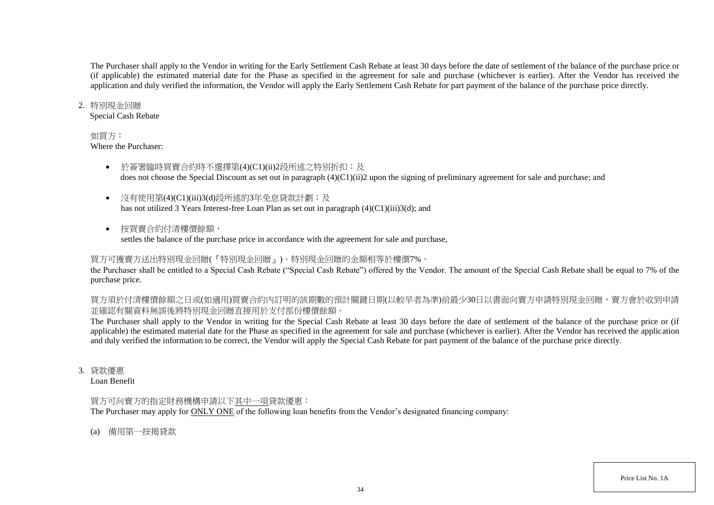The Purchaser shall apply to the Vendor in writing for the Early Settlement Cash Rebate at least 30 days before the date of settlement of the balance of the purchase price or (if applicable) the estimated material date for the Phase as specified in the agreement for sale and purchase (whichever is earlier). After the Vendor has received the application and duly verified the information, the Vendor will apply the Early Settlement Cash Rebate for part payment of the balance of the purchase price directly.

#### 2. 特別現金回贈

Special Cash Rebate

### 如買方:

Where the Purchaser:

- 於簽署臨時買賣合約時不選擇第(4)(C1)(ii)2段所述之特別折扣;及 does not choose the Special Discount as set out in paragraph (4)(C1)(ii)2 upon the signing of preliminary agreement for sale and purchase; and
- 沒有使用第(4)(C1)(iii)3(d)段所述的3年免息貸款計劃;及 has not utilized 3 Years Interest-free Loan Plan as set out in paragraph (4)(C1)(iii)3(d); and
- 按買賣合約付清樓價餘額, settles the balance of the purchase price in accordance with the agreement for sale and purchase,

## 買方可獲賣方送出特別現金回贈(『特別現金回贈』)。特別現金回贈的金額相等於樓價7%。

the Purchaser shall be entitled to a Special Cash Rebate ("Special Cash Rebate") offered by the Vendor. The amount of the Special Cash Rebate shall be equal to 7% of the purchase price.

買方須於付清樓價餘額之日或(如適用)買賣合約內訂明的該期數的預計關鍵日期(以較早者為準)前最少30日以書面向賣方申請特別現金回贈,賣方會於收到申請 並確認有關資料無誤後將特別現金回贈直接用於支付部份樓價餘額。

The Purchaser shall apply to the Vendor in writing for the Special Cash Rebate at least 30 days before the date of settlement of the balance of the purchase price or (if applicable) the estimated material date for the Phase as specified in the agreement for sale and purchase (whichever is earlier). After the Vendor has received the application and duly verified the information to be correct, the Vendor will apply the Special Cash Rebate for part payment of the balance of the purchase price directly.

3. 貸款優惠

Loan Benefit

## 買方可向賣方的指定財務機構申請以下其中一項貸款優惠:

The Purchaser may apply for ONLY ONE of the following loan benefits from the Vendor's designated financing company:

(a) 備用第一按揭貸款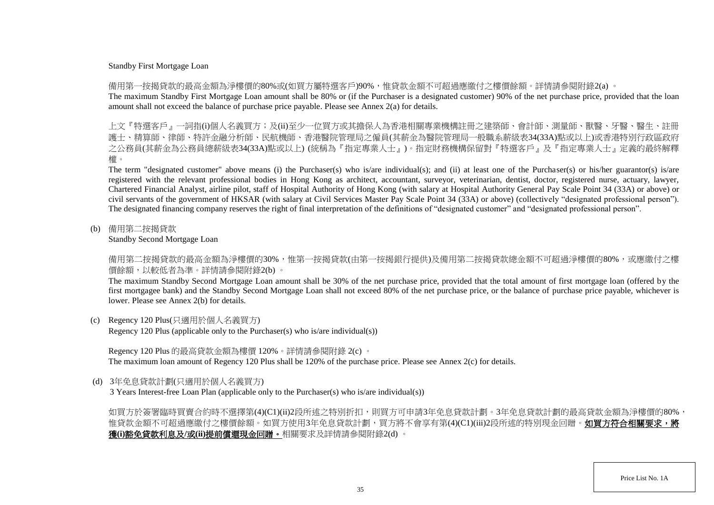#### Standby First Mortgage Loan

備用第一按揭貸款的最高金額為淨樓價的80%或(如買方屬特選客戶)90%,惟貸款金額不可超過應繳付之樓價餘額。詳情請參閱附錄2(a) 。

The maximum Standby First Mortgage Loan amount shall be 80% or (if the Purchaser is a designated customer) 90% of the net purchase price, provided that the loan amount shall not exceed the balance of purchase price payable. Please see Annex 2(a) for details.

上文『特選客戶』一詞指(i)個人名義買方;及(ii)至少一位買方或其擔保人為香港相關專業機構註冊之建築師、會計師、測量師、獸醫、牙醫、醫生、 護士、精算師、律師、特許金融分析師、民航機師、香港醫院管理局之僱員(其薪金為醫院管理局一般職系薪級表34(33A)點或以上)或香港特別行政區政府 之公務員(其薪金為公務員總薪級表34(33A)點或以上) (統稱為『指定專業人士』)。指定財務機構保留對『特選客戶』及『指定專業人士』定義的最終解釋 權。

The term "designated customer" above means (i) the Purchaser(s) who is/are individual(s); and (ii) at least one of the Purchaser(s) or his/her guarantor(s) is/are registered with the relevant professional bodies in Hong Kong as architect, accountant, surveyor, veterinarian, dentist, doctor, registered nurse, actuary, lawyer, Chartered Financial Analyst, airline pilot, staff of Hospital Authority of Hong Kong (with salary at Hospital Authority General Pay Scale Point 34 (33A) or above) or civil servants of the government of HKSAR (with salary at Civil Services Master Pay Scale Point 34 (33A) or above) (collectively "designated professional person"). The designated financing company reserves the right of final interpretation of the definitions of "designated customer" and "designated professional person".

(b) 備用第二按揭貸款

Standby Second Mortgage Loan

備用第二按揭貸款的最高金額為淨樓價的30%,惟第一按揭貸款(由第一按揭銀行提供)及備用第二按揭貸款總金額不可超過淨樓價的80%,或應繳付之樓 價餘額,以較低者為準。詳情請參閱附錄2(b) 。

The maximum Standby Second Mortgage Loan amount shall be 30% of the net purchase price, provided that the total amount of first mortgage loan (offered by the first mortgagee bank) and the Standby Second Mortgage Loan shall not exceed 80% of the net purchase price, or the balance of purchase price payable, whichever is lower. Please see Annex 2(b) for details.

(c) Regency 120 Plus(只適用於個人名義買方)

Regency 120 Plus (applicable only to the Purchaser(s) who is/are individual(s))

Regency 120 Plus 的最高貸款金額為樓價 120%。詳情請參閱附錄 2(c) 。 The maximum loan amount of Regency 120 Plus shall be 120% of the purchase price. Please see Annex 2(c) for details.

(d) 3年免息貸款計劃(只適用於個人名義買方)

3 Years Interest-free Loan Plan (applicable only to the Purchaser(s) who is/are individual(s))

如買方於簽署臨時買賣合約時不選擇第(4)(C1)(ii)2段所述之特別折扣,則買方可申請3年免息貸款計劃。3年免息貸款計劃的最高貸款金額為淨樓價的80%, 惟貸款金額不可超過應繳付之樓價餘額。如買方使用3年免息貸款計劃,買方將不會享有第(4)(C1)(iii)2段所述的特別現金回贈。**如買方符合相關要求,將** 獲**(i)**豁免貸款利息及**/**或**(ii)**提前償還現金回贈。相關要求及詳情請參閱附錄2(d) 。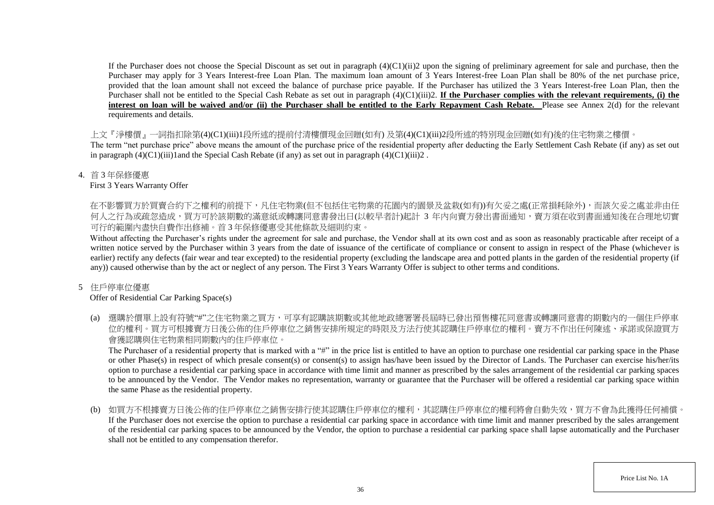If the Purchaser does not choose the Special Discount as set out in paragraph  $(4)(C1)(ii)$ ? upon the signing of preliminary agreement for sale and purchase, then the Purchaser may apply for 3 Years Interest-free Loan Plan. The maximum loan amount of 3 Years Interest-free Loan Plan shall be 80% of the net purchase price, provided that the loan amount shall not exceed the balance of purchase price payable. If the Purchaser has utilized the 3 Years Interest-free Loan Plan, then the Purchaser shall not be entitled to the Special Cash Rebate as set out in paragraph (4)(C1)(iii)2. **If the Purchaser complies with the relevant requirements, (i) the interest on loan will be waived and/or (ii) the Purchaser shall be entitled to the Early Repayment Cash Rebate.** Please see Annex 2(d) for the relevant requirements and details.

上文『淨樓價』一詞指扣除第(4)(C1)(iii)1段所述的提前付清樓價現金回贈(如有) 及第(4)(C1)(iii)2段所述的特別現金回贈(如有)後的住宅物業之樓價。

The term "net purchase price" above means the amount of the purchase price of the residential property after deducting the Early Settlement Cash Rebate (if any) as set out in paragraph  $(4)(C1)(iii)1$  and the Special Cash Rebate (if any) as set out in paragraph  $(4)(C1)(iii)2$ .

#### 4. 首 3 年保修優惠

#### First 3 Years Warranty Offer

在不影響買方於買賣合約下之權利的前提下,凡住宅物業(但不包括住宅物業的花園内的園景及盆栽(如有))有欠妥之處(正常損耗除外),而該欠妥之處並非由任 何人之行為或疏忽造成,買方可於該期數的滿意紙或轉讓同意書發出日(以較早者計)起計 3 年内向賣方發出書面通知,賣方須在收到書面通知後在合理地切實 可行的範圍內盡快自費作出修補。首 3 年保修優惠受其他條款及細則約束。

Without affecting the Purchaser's rights under the agreement for sale and purchase, the Vendor shall at its own cost and as soon as reasonably practicable after receipt of a written notice served by the Purchaser within 3 years from the date of issuance of the certificate of compliance or consent to assign in respect of the Phase (whichever is earlier) rectify any defects (fair wear and tear excepted) to the residential property (excluding the landscape area and potted plants in the garden of the residential property (if any)) caused otherwise than by the act or neglect of any person. The First 3 Years Warranty Offer is subject to other terms and conditions.

### 5 住戶停車位優惠

## Offer of Residential Car Parking Space(s)

(a) 選購於價單上設有符號"#"之住宅物業之買方,可享有認購該期數或其他地政總署署長屆時已發出預售樓花同意書或轉讓同意書的期數內的一個住戶停車 位的權利。買方可根據賣方日後公佈的住戶停車位之銷售安排所規定的時限及方法行使其認購住戶停車位的權利。賣方不作出任何陳述、承諾或保證買方 會獲認購與住宅物業相同期數內的住戶停車位。

The Purchaser of a residential property that is marked with a "#" in the price list is entitled to have an option to purchase one residential car parking space in the Phase or other Phase(s) in respect of which presale consent(s) or consent(s) to assign has/have been issued by the Director of Lands. The Purchaser can exercise his/her/its option to purchase a residential car parking space in accordance with time limit and manner as prescribed by the sales arrangement of the residential car parking spaces to be announced by the Vendor. The Vendor makes no representation, warranty or guarantee that the Purchaser will be offered a residential car parking space within the same Phase as the residential property.

(b) 如買方不根據賣方日後公佈的住戶停車位之銷售安排行使其認購住戶停車位的權利,其認購住戶停車位的權利將會自動失效,買方不會為此獲得任何補償。 If the Purchaser does not exercise the option to purchase a residential car parking space in accordance with time limit and manner prescribed by the sales arrangement of the residential car parking spaces to be announced by the Vendor, the option to purchase a residential car parking space shall lapse automatically and the Purchaser shall not be entitled to any compensation therefor.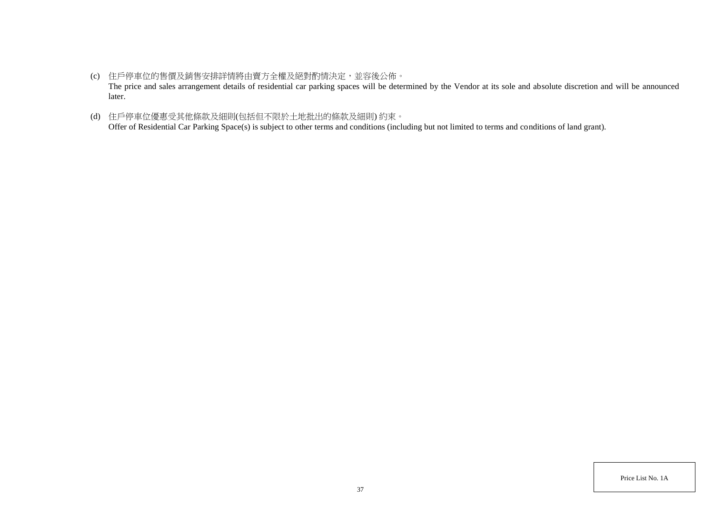- (c) 住戶停車位的售價及銷售安排詳情將由賣方全權及絕對酌情決定,並容後公佈。 The price and sales arrangement details of residential car parking spaces will be determined by the Vendor at its sole and absolute discretion and will be announced later.
- (d) 住戶停車位優惠受其他條款及細則(包括但不限於土地批出的條款及細則) 約束。 Offer of Residential Car Parking Space(s) is subject to other terms and conditions (including but not limited to terms and conditions of land grant).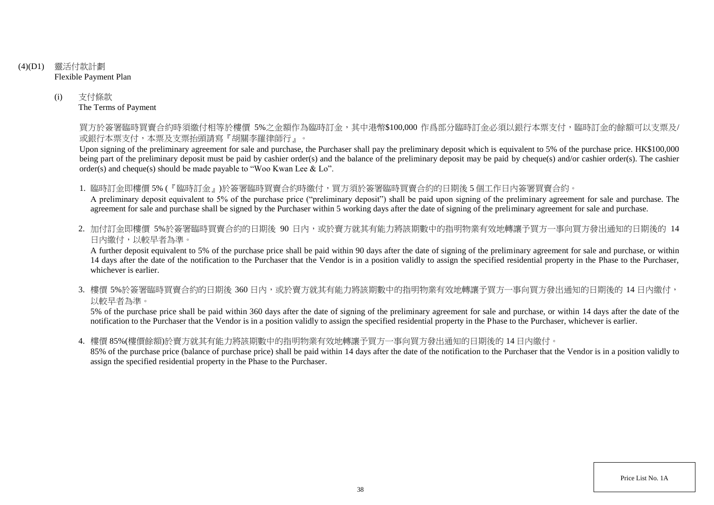- (4)(D1) 靈活付款計劃 Flexible Payment Plan
	- (i) 支付條款 The Terms of Payment

買方於簽署臨時買賣合約時須繳付相等於樓價 5%之金額作為臨時訂金,其中港幣\$100,000 作爲部分臨時訂金必須以銀行本票支付,臨時訂金的餘額可以支票及/ 或銀行本票支付,本票及支票抬頭請寫『胡關李羅律師行』。

Upon signing of the preliminary agreement for sale and purchase, the Purchaser shall pay the preliminary deposit which is equivalent to 5% of the purchase price. HK\$100,000 being part of the preliminary deposit must be paid by cashier order(s) and the balance of the preliminary deposit may be paid by cheque(s) and/or cashier order(s). The cashier order(s) and cheque(s) should be made payable to "Woo Kwan Lee & Lo".

1. 臨時訂金即樓價 5% (『臨時訂金』)於簽署臨時買賣合約時繳付,買方須於簽署臨時買賣合約的日期後 5 個工作日內簽署買賣合約。

A preliminary deposit equivalent to 5% of the purchase price ("preliminary deposit") shall be paid upon signing of the preliminary agreement for sale and purchase. The agreement for sale and purchase shall be signed by the Purchaser within 5 working days after the date of signing of the preliminary agreement for sale and purchase.

2. 加付訂金即樓價 5%於簽署臨時買賣合約的日期後 90 日内,或於賣方就其有能力將該期數中的指明物業有效地轉讓予買方一事向買方發出通知的日期後的 14 日內繳付,以較早者為準。

A further deposit equivalent to 5% of the purchase price shall be paid within 90 days after the date of signing of the preliminary agreement for sale and purchase, or within 14 days after the date of the notification to the Purchaser that the Vendor is in a position validly to assign the specified residential property in the Phase to the Purchaser, whichever is earlier.

3. 樓價 5%於簽署臨時買賣合約的日期後 360 日内,或於賣方就其有能力將該期數中的指明物業有效地轉讓予買方一事向買方發出通知的日期後的 14 日內繳付, 以較早者為準。

5% of the purchase price shall be paid within 360 days after the date of signing of the preliminary agreement for sale and purchase, or within 14 days after the date of the notification to the Purchaser that the Vendor is in a position validly to assign the specified residential property in the Phase to the Purchaser, whichever is earlier.

4. 樓價 85%(樓價餘額)於賣方就其有能力將該期數中的指明物業有效地轉讓予買方一事向買方發出通知的日期後的 14 日內繳付。

85% of the purchase price (balance of purchase price) shall be paid within 14 days after the date of the notification to the Purchaser that the Vendor is in a position validly to assign the specified residential property in the Phase to the Purchaser.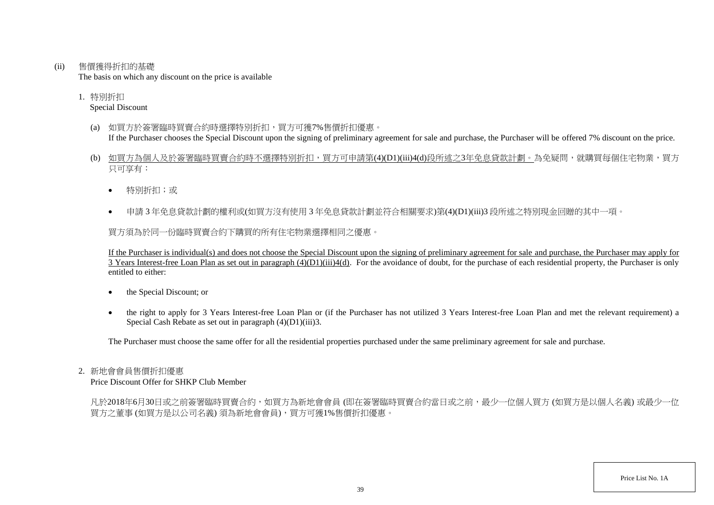(ii) 售價獲得折扣的基礎

The basis on which any discount on the price is available

1. 特別折扣 Special Discount

- (a) 如買方於簽署臨時買賣合約時選擇特別折扣,買方可獲7%售價折扣優惠。 If the Purchaser chooses the Special Discount upon the signing of preliminary agreement for sale and purchase, the Purchaser will be offered 7% discount on the price.
- (b) 如買方為個人及於簽署臨時買賣合約時不選擇特別折扣,買方可申請第(4)(D1)(iii)4(d)段所述之3年免息貸款計劃。為免疑問,就購買每個住宅物業,買方 只可享有:
	- 特別折扣;或
	- 申請 3 年免息貸款計劃的權利或(如買方沒有使用 3 年免息貸款計劃並符合相關要求)第(4)(D1)(iii)3 段所述之特別現金回贈的其中一項。

買方須為於同一份臨時買賣合約下購買的所有住宅物業選擇相同之優惠。

If the Purchaser is individual(s) and does not choose the Special Discount upon the signing of preliminary agreement for sale and purchase, the Purchaser may apply for  $\overline{3}$  Years Interest-free Loan Plan as set out in paragraph  $(4)(D1)(iii)4(d)$ . For the avoidance of doubt, for the purchase of each residential property, the Purchaser is only entitled to either:

- the Special Discount; or
- the right to apply for 3 Years Interest-free Loan Plan or (if the Purchaser has not utilized 3 Years Interest-free Loan Plan and met the relevant requirement) a Special Cash Rebate as set out in paragraph  $(4)(D1)(iii)3$ .

The Purchaser must choose the same offer for all the residential properties purchased under the same preliminary agreement for sale and purchase.

#### 2. 新地會會員售價折扣優惠

Price Discount Offer for SHKP Club Member

凡於2018年6月30日或之前簽署臨時買賣合約,如買方為新地會會員 (即在簽署臨時買賣合約當日或之前,最少一位個人買方 (如買方是以個人名義) 或最少一位 買方之董事 (如買方是以公司名義) 須為新地會會員),買方可獲1%售價折扣優惠。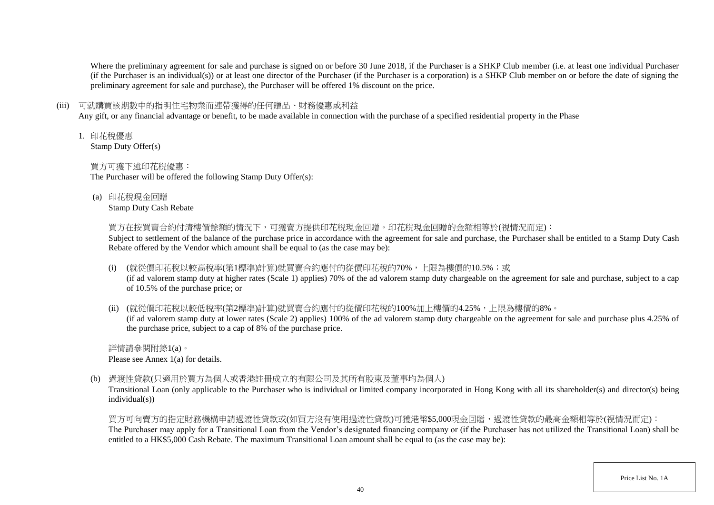Where the preliminary agreement for sale and purchase is signed on or before 30 June 2018, if the Purchaser is a SHKP Club member (i.e. at least one individual Purchaser (if the Purchaser is an individual(s)) or at least one director of the Purchaser (if the Purchaser is a corporation) is a SHKP Club member on or before the date of signing the preliminary agreement for sale and purchase), the Purchaser will be offered 1% discount on the price.

## (iii) 可就購買該期數中的指明住宅物業而連帶獲得的任何贈品、財務優惠或利益

Any gift, or any financial advantage or benefit, to be made available in connection with the purchase of a specified residential property in the Phase

1. 印花稅優惠

Stamp Duty Offer(s)

## 買方可獲下述印花稅優惠:

The Purchaser will be offered the following Stamp Duty Offer(s):

(a) 印花稅現金回贈

Stamp Duty Cash Rebate

買方在按買賣合約付清樓價餘額的情況下,可獲賣方提供印花稅現金回贈。印花稅現金回贈的金額相等於(視情況而定):

Subject to settlement of the balance of the purchase price in accordance with the agreement for sale and purchase, the Purchaser shall be entitled to a Stamp Duty Cash Rebate offered by the Vendor which amount shall be equal to (as the case may be):

(i) (就從價印花稅以較高稅率(第1標準)計算)就買賣合約應付的從價印花稅的70%,上限為樓價的10.5%;或

(if ad valorem stamp duty at higher rates (Scale 1) applies) 70% of the ad valorem stamp duty chargeable on the agreement for sale and purchase, subject to a cap of 10.5% of the purchase price; or

(ii) (就從價印花稅以較低稅率(第2標準)計算)就買賣合約應付的從價印花稅的100%加上樓價的4.25%,上限為樓價的8%。

(if ad valorem stamp duty at lower rates (Scale 2) applies) 100% of the ad valorem stamp duty chargeable on the agreement for sale and purchase plus 4.25% of the purchase price, subject to a cap of 8% of the purchase price.

詳情請參閱附錄1(a)。 Please see Annex 1(a) for details.

(b) 過渡性貸款(只適用於買方為個人或香港註冊成立的有限公司及其所有股東及董事均為個人)

Transitional Loan (only applicable to the Purchaser who is individual or limited company incorporated in Hong Kong with all its shareholder(s) and director(s) being individual(s))

買方可向賣方的指定財務機構申請過渡性貸款或(如買方沒有使用過渡性貸款)可獲港幣\$5,000現金回贈,過渡性貸款的最高金額相等於(視情況而定): The Purchaser may apply for a Transitional Loan from the Vendor's designated financing company or (if the Purchaser has not utilized the Transitional Loan) shall be entitled to a HK\$5,000 Cash Rebate. The maximum Transitional Loan amount shall be equal to (as the case may be):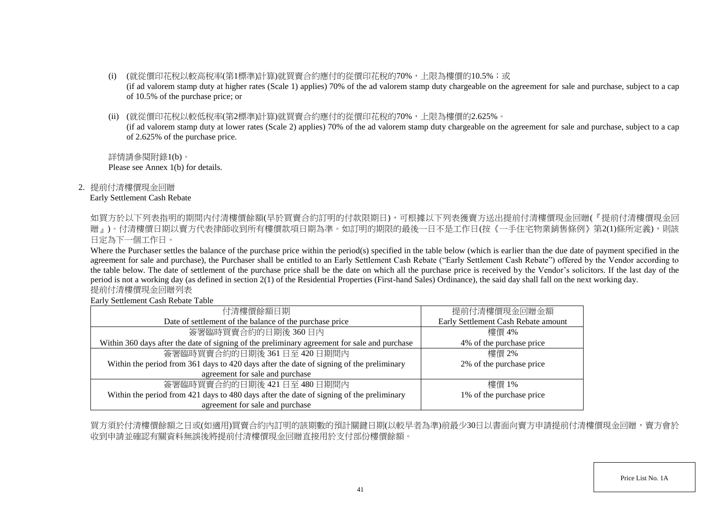- (i) (就從價印花稅以較高稅率(第1標準)計算)就買賣合約應付的從價印花稅的70%,上限為樓價的10.5%;或 (if ad valorem stamp duty at higher rates (Scale 1) applies) 70% of the ad valorem stamp duty chargeable on the agreement for sale and purchase, subject to a cap of 10.5% of the purchase price; or
- (ii) (就從價印花稅以較低稅率(第2標準)計算)就買賣合約應付的從價印花稅的70%,上限為樓價的2.625%。

(if ad valorem stamp duty at lower rates (Scale 2) applies) 70% of the ad valorem stamp duty chargeable on the agreement for sale and purchase, subject to a cap of 2.625% of the purchase price.

詳情請參閱附錄1(b)。 Please see Annex 1(b) for details.

2. 提前付清樓價現金回贈

#### Early Settlement Cash Rebate

如買方於以下列表指明的期間内付清樓價餘額(早於買賣合約訂明的付款限期日),可根據以下列表獲賣方送出提前付清樓價現金回贈(『提前付清樓價現金回 贈」)。付清樓價日期以賣方代表律師收到所有樓價款項日期為準。如訂明的期限的最後一日不是工作日(按《一手住宅物業銷售條例》第2(1)條所定義),則該 日定為下一個工作日。

Where the Purchaser settles the balance of the purchase price within the period(s) specified in the table below (which is earlier than the due date of payment specified in the agreement for sale and purchase), the Purchaser shall be entitled to an Early Settlement Cash Rebate ("Early Settlement Cash Rebate") offered by the Vendor according to the table below. The date of settlement of the purchase price shall be the date on which all the purchase price is received by the Vendor's solicitors. If the last day of the period is not a working day (as defined in section 2(1) of the Residential Properties (First-hand Sales) Ordinance), the said day shall fall on the next working day. 提前付清樓價現金回贈列表

Early Settlement Cash Rebate Table

| 付清樓價餘額日期                                                                                     | 提前付清樓價現金回贈金額                        |
|----------------------------------------------------------------------------------------------|-------------------------------------|
| Date of settlement of the balance of the purchase price                                      | Early Settlement Cash Rebate amount |
| 簽署臨時買賣合約的日期後360日內                                                                            | 樓價 4%                               |
| Within 360 days after the date of signing of the preliminary agreement for sale and purchase | 4% of the purchase price            |
| 簽署臨時買賣合約的日期後 361日至 420日期間内                                                                   | 樓價 2%                               |
| Within the period from 361 days to 420 days after the date of signing of the preliminary     | 2% of the purchase price            |
| agreement for sale and purchase                                                              |                                     |
| 簽署臨時買賣合約的日期後 421日至 480日期間内                                                                   | 樓價 1%                               |
| Within the period from 421 days to 480 days after the date of signing of the preliminary     | 1% of the purchase price            |
| agreement for sale and purchase                                                              |                                     |

買方須於付清樓價餘額之日或(如適用)買賣合約內訂明的該期數的預計關鍵日期(以較早者為準)前最少30日以書面向賣方申請提前付清樓價現金回贈,賣方會於 收到申請並確認有關資料無誤後將提前付清樓價現金回贈直接用於支付部份樓價餘額。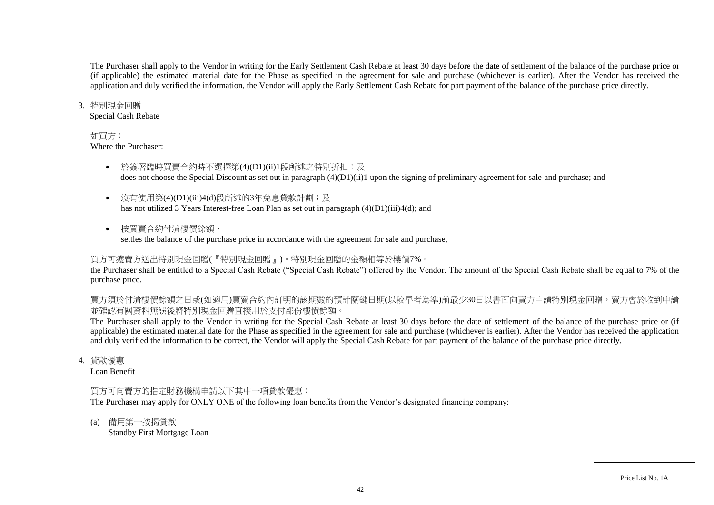The Purchaser shall apply to the Vendor in writing for the Early Settlement Cash Rebate at least 30 days before the date of settlement of the balance of the purchase price or (if applicable) the estimated material date for the Phase as specified in the agreement for sale and purchase (whichever is earlier). After the Vendor has received the application and duly verified the information, the Vendor will apply the Early Settlement Cash Rebate for part payment of the balance of the purchase price directly.

#### 3. 特別現金回贈

Special Cash Rebate

#### 如買方:

Where the Purchaser:

- 於簽署臨時買賣合約時不選擇第(4)(D1)(ii)1段所述之特別折扣;及 does not choose the Special Discount as set out in paragraph (4)(D1)(ii)1 upon the signing of preliminary agreement for sale and purchase; and
- 沒有使用第(4)(D1)(iii)4(d)段所述的3年免息貸款計劃;及 has not utilized 3 Years Interest-free Loan Plan as set out in paragraph (4)(D1)(iii)4(d); and
- 按買賣合約付清樓價餘額, settles the balance of the purchase price in accordance with the agreement for sale and purchase,

# 買方可獲賣方送出特別現金回贈(『特別現金回贈』)。特別現金回贈的金額相等於樓價7%。

the Purchaser shall be entitled to a Special Cash Rebate ("Special Cash Rebate") offered by the Vendor. The amount of the Special Cash Rebate shall be equal to 7% of the purchase price.

買方須於付清樓價餘額之日或(如適用)買賣合約內訂明的該期數的預計關鍵日期(以較早者為準)前最少30日以書面向賣方申請特別現金回贈,賣方會於收到申請 並確認有關資料無誤後將特別現金回贈直接用於支付部份樓價餘額。

The Purchaser shall apply to the Vendor in writing for the Special Cash Rebate at least 30 days before the date of settlement of the balance of the purchase price or (if applicable) the estimated material date for the Phase as specified in the agreement for sale and purchase (whichever is earlier). After the Vendor has received the application and duly verified the information to be correct, the Vendor will apply the Special Cash Rebate for part payment of the balance of the purchase price directly.

4. 貸款優惠

Loan Benefit

## 買方可向賣方的指定財務機構申請以下其中一項貸款優惠:

The Purchaser may apply for ONLY ONE of the following loan benefits from the Vendor's designated financing company:

(a) 備用第一按揭貸款

Standby First Mortgage Loan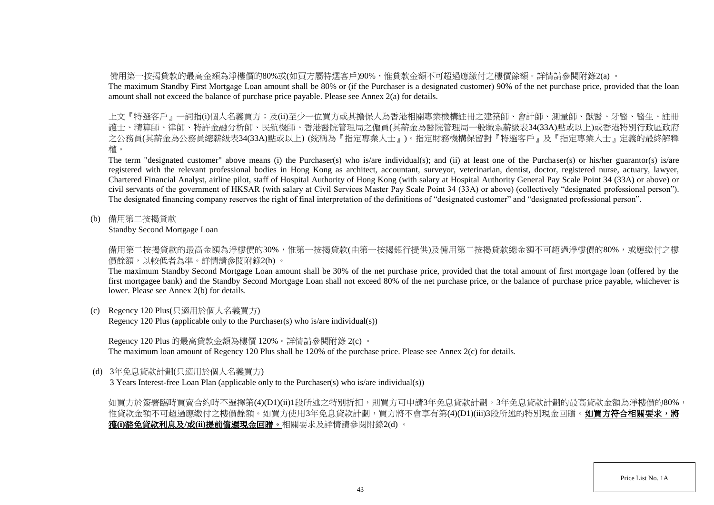備用第一按揭貸款的最高金額為淨樓價的80%或(如買方屬特選客戶)90%,惟貸款金額不可超過應繳付之樓價餘額。詳情請參閱附錄2(a) 。

The maximum Standby First Mortgage Loan amount shall be 80% or (if the Purchaser is a designated customer) 90% of the net purchase price, provided that the loan amount shall not exceed the balance of purchase price payable. Please see Annex 2(a) for details.

上文『特選客戶』一詞指(i)個人名義買方;及(ii)至少一位買方或其擔保人為香港相關專業機構註冊之建築師、會計師、測量師、獸醫、牙醫、醫生、註冊 護士、精算師、律師、特許金融分析師、民航機師、香港醫院管理局之僱員(其薪金為醫院管理局一般職系薪級表34(33A)點或以上)或香港特別行政區政府 之公務員(其薪金為公務員總薪級表34(33A)點或以上) (統稱為『指定專業人士』)。指定財務機構保留對『特選客戶』及『指定專業人士』定義的最終解釋 權。

The term "designated customer" above means (i) the Purchaser(s) who is/are individual(s); and (ii) at least one of the Purchaser(s) or his/her guarantor(s) is/are registered with the relevant professional bodies in Hong Kong as architect, accountant, surveyor, veterinarian, dentist, doctor, registered nurse, actuary, lawyer, Chartered Financial Analyst, airline pilot, staff of Hospital Authority of Hong Kong (with salary at Hospital Authority General Pay Scale Point 34 (33A) or above) or civil servants of the government of HKSAR (with salary at Civil Services Master Pay Scale Point 34 (33A) or above) (collectively "designated professional person"). The designated financing company reserves the right of final interpretation of the definitions of "designated customer" and "designated professional person".

(b) 備用第二按揭貸款

Standby Second Mortgage Loan

備用第二按揭貸款的最高金額為淨樓價的30%,惟第一按揭貸款(由第一按揭銀行提供)及備用第二按揭貸款總金額不可超過淨樓價的80%,或應繳付之樓 價餘額,以較低者為準。詳情請參閱附錄2(b) 。

The maximum Standby Second Mortgage Loan amount shall be 30% of the net purchase price, provided that the total amount of first mortgage loan (offered by the first mortgagee bank) and the Standby Second Mortgage Loan shall not exceed 80% of the net purchase price, or the balance of purchase price payable, whichever is lower. Please see Annex 2(b) for details.

(c) Regency 120 Plus(只適用於個人名義買方)

Regency 120 Plus (applicable only to the Purchaser(s) who is/are individual(s))

Regency 120 Plus 的最高貸款金額為樓價 120%。詳情請參閱附錄 2(c) 。

The maximum loan amount of Regency 120 Plus shall be 120% of the purchase price. Please see Annex 2(c) for details.

(d) 3年免息貸款計劃(只適用於個人名義買方)

3 Years Interest-free Loan Plan (applicable only to the Purchaser(s) who is/are individual(s))

如買方於簽署臨時買賣合約時不選擇第(4)(D1)(ii)1段所述之特別折扣,則買方可申請3年免息貸款計劃。3年免息貸款計劃的最高貸款金額為淨樓價的80%, 惟貸款金額不可超過應繳付之樓價餘額。如買方使用3年免息貸款計劃,買方將不會享有第(4)(D1)(iii)3段所述的特別現金回贈。**如買方符合相關要求,將** 獲**(i)**豁免貸款利息及**/**或**(ii)**提前償還現金回贈。相關要求及詳情請參閱附錄2(d) 。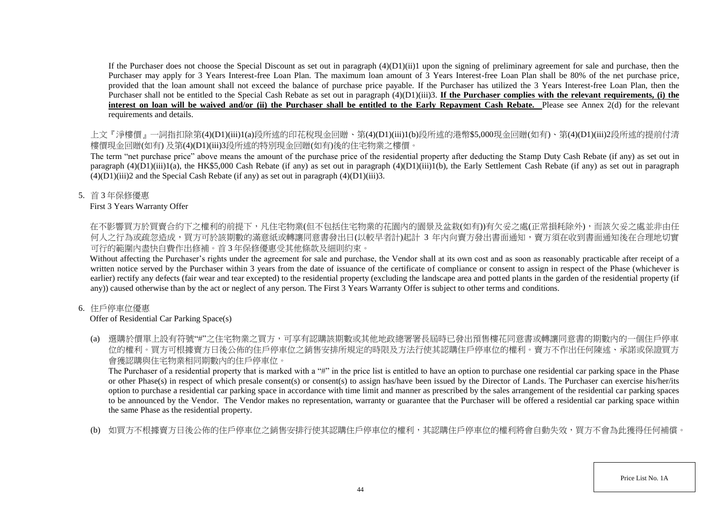If the Purchaser does not choose the Special Discount as set out in paragraph  $(4)(D1)(ii)1$  upon the signing of preliminary agreement for sale and purchase, then the Purchaser may apply for 3 Years Interest-free Loan Plan. The maximum loan amount of 3 Years Interest-free Loan Plan shall be 80% of the net purchase price, provided that the loan amount shall not exceed the balance of purchase price payable. If the Purchaser has utilized the 3 Years Interest-free Loan Plan, then the Purchaser shall not be entitled to the Special Cash Rebate as set out in paragraph (4)(D1)(iii)3. **If the Purchaser complies with the relevant requirements, (i) the** interest on loan will be waived and/or (ii) the Purchaser shall be entitled to the Early Repayment Cash Rebate. Please see Annex 2(d) for the relevant requirements and details.

上文『淨樓價』一詞指扣除第(4)(D1)(iii)1(a)段所述的印花稅現金回贈、第(4)(D1)(iii)1(b)段所述的港幣\$5,000現金回贈(如有)、第(4)(D1)(iii)2段所述的提前付清 樓價現金回贈(如有) 及第(4)(D1)(iii)3段所述的特別現金回贈(如有)後的住宅物業之樓價。

The term "net purchase price" above means the amount of the purchase price of the residential property after deducting the Stamp Duty Cash Rebate (if any) as set out in paragraph  $(4)(D1)(iii)1(a)$ , the HK\$5,000 Cash Rebate (if any) as set out in paragraph  $(4)(D1)(iii)1(b)$ , the Early Settlement Cash Rebate (if any) as set out in paragraph  $(4)(D1)(iii)2$  and the Special Cash Rebate (if any) as set out in paragraph  $(4)(D1)(iii)3$ .

5. 首 3 年保修優惠

## First 3 Years Warranty Offer

在不影響買方於買賣合約下之權利的前提下,凡住宅物業(但不包括住宅物業的花園内的園景及盆栽(如有))有欠妥之處(正常損耗除外),而該欠妥之處並非由任 何人之行為或疏忽造成,買方可於該期數的滿意紙或轉讓同意書發出日(以較早者計)起計 3 年內向賣方發出書面通知,賣方須在收到書面通知後在合理地切實 可行的範圍內盡快自費作出修補。首 3 年保修優惠受其他條款及細則約束。

Without affecting the Purchaser's rights under the agreement for sale and purchase, the Vendor shall at its own cost and as soon as reasonably practicable after receipt of a written notice served by the Purchaser within 3 years from the date of issuance of the certificate of compliance or consent to assign in respect of the Phase (whichever is earlier) rectify any defects (fair wear and tear excepted) to the residential property (excluding the landscape area and potted plants in the garden of the residential property (if any)) caused otherwise than by the act or neglect of any person. The First 3 Years Warranty Offer is subject to other terms and conditions.

# 6. 住戶停車位優惠

# Offer of Residential Car Parking Space(s)

(a) 選購於價單上設有符號"#"之住宅物業之買方,可享有認購該期數或其他地政總署署長屆時已發出預售樓花同意書或轉讓同意書的期數內的一個住戶停車 位的權利。買方可根據賣方日後公佈的住戶停車位之銷售安排所規定的時限及方法行使其認購住戶停車位的權利。賣方不作出任何陳述、承諾或保證買方 會獲認購與住宅物業相同期數內的住戶停車位。

The Purchaser of a residential property that is marked with a "#" in the price list is entitled to have an option to purchase one residential car parking space in the Phase or other Phase(s) in respect of which presale consent(s) or consent(s) to assign has/have been issued by the Director of Lands. The Purchaser can exercise his/her/its option to purchase a residential car parking space in accordance with time limit and manner as prescribed by the sales arrangement of the residential car parking spaces to be announced by the Vendor. The Vendor makes no representation, warranty or guarantee that the Purchaser will be offered a residential car parking space within the same Phase as the residential property.

(b) 如買方不根據賣方日後公佈的住戶停車位之銷售安排行使其認購住戶停車位的權利,其認購住戶停車位的權利將會自動失效,買方不會為此獲得任何補償。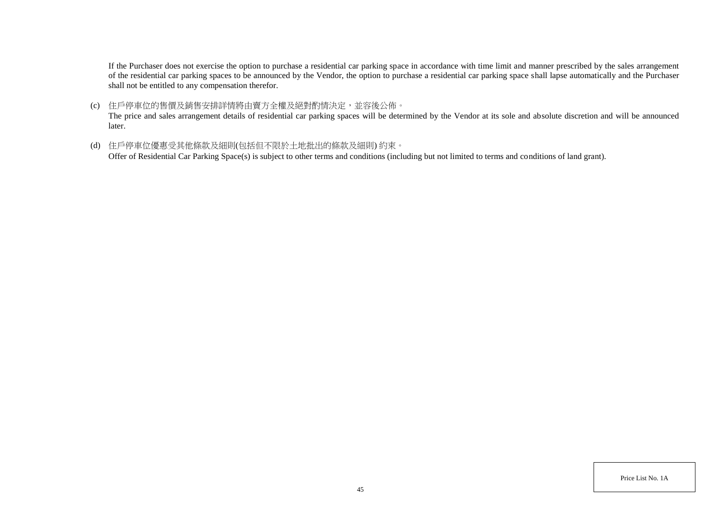If the Purchaser does not exercise the option to purchase a residential car parking space in accordance with time limit and manner prescribed by the sales arrangement of the residential car parking spaces to be announced by the Vendor, the option to purchase a residential car parking space shall lapse automatically and the Purchaser shall not be entitled to any compensation therefor.

(c) 住戶停車位的售價及銷售安排詳情將由賣方全權及絕對酌情決定,並容後公佈。

The price and sales arrangement details of residential car parking spaces will be determined by the Vendor at its sole and absolute discretion and will be announced later.

(d) 住戶停車位優惠受其他條款及細則(包括但不限於土地批出的條款及細則) 約束。

Offer of Residential Car Parking Space(s) is subject to other terms and conditions (including but not limited to terms and conditions of land grant).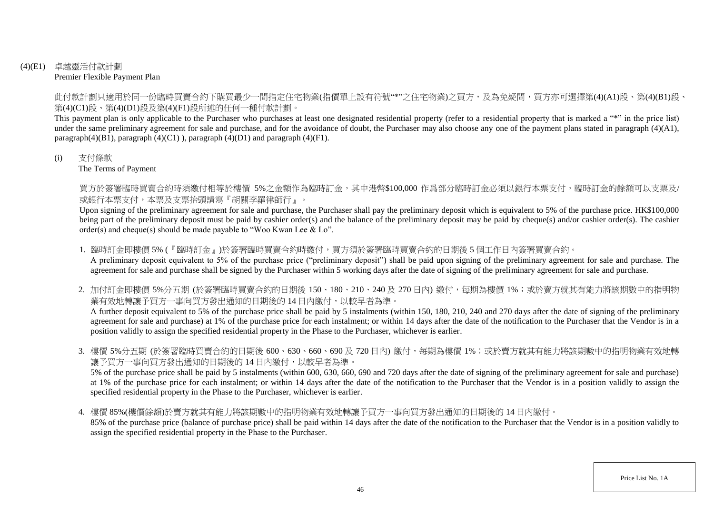## (4)(E1) 卓越靈活付款計劃 Premier Flexible Payment Plan

此付款計劃只適用於同一份臨時買賣合約下購買最少一間指定住宅物業(指價單上設有符號"\*"之住宅物業)之買方,及為免疑問,買方亦可選擇第(4)(A1)段、第(4)(B1)段、 第(4)(C1)段、第(4)(D1)段及第(4)(F1)段所述的任何一種付款計劃。

This payment plan is only applicable to the Purchaser who purchases at least one designated residential property (refer to a residential property that is marked a "\*" in the price list) under the same preliminary agreement for sale and purchase, and for the avoidance of doubt, the Purchaser may also choose any one of the payment plans stated in paragraph (4)(A1), paragraph $(4)(B1)$ , paragraph  $(4)(C1)$ ), paragraph  $(4)(D1)$  and paragraph  $(4)(F1)$ .

#### (i) 支付條款

The Terms of Payment

買方於簽署臨時買賣合約時須繳付相等於樓價 5%之金額作為臨時訂金,其中港幣\$100,000 作爲部分臨時訂金必須以銀行本票支付,臨時訂金的餘額可以支票及/ 或銀行本票支付,本票及支票抬頭請寫『胡關李羅律師行』。

Upon signing of the preliminary agreement for sale and purchase, the Purchaser shall pay the preliminary deposit which is equivalent to 5% of the purchase price. HK\$100,000 being part of the preliminary deposit must be paid by cashier order(s) and the balance of the preliminary deposit may be paid by cheque(s) and/or cashier order(s). The cashier order(s) and cheque(s) should be made payable to "Woo Kwan Lee & Lo".

1. 臨時訂金即樓價 5% (『臨時訂金』)於簽署臨時買賣合約時繳付,買方須於簽署臨時買賣合約的日期後 5 個工作日内簽署買賣合約。

A preliminary deposit equivalent to 5% of the purchase price ("preliminary deposit") shall be paid upon signing of the preliminary agreement for sale and purchase. The agreement for sale and purchase shall be signed by the Purchaser within 5 working days after the date of signing of the preliminary agreement for sale and purchase.

2. 加付訂金即樓價 5%分五期 (於簽署臨時買賣合約的日期後 150、180、210、240 及 270 日内) 繳付,每期為樓價 1%;或於賣方就其有能力將該期數中的指明物 業有效地轉讓予買方一事向買方發出通知的日期後的 14 日内繳付,以較早者為準。

A further deposit equivalent to 5% of the purchase price shall be paid by 5 instalments (within 150, 180, 210, 240 and 270 days after the date of signing of the preliminary agreement for sale and purchase) at 1% of the purchase price for each instalment; or within 14 days after the date of the notification to the Purchaser that the Vendor is in a position validly to assign the specified residential property in the Phase to the Purchaser, whichever is earlier.

3. 樓價 5%分五期 (於簽署臨時買賣合約的日期後 600、630、660、690 及 720 日內) 繳付,每期為樓價 1%;或於賣方就其有能力將該期數中的指明物業有效地轉 讓予買方一事向買方發出通知的日期後的 14 日內繳付,以較早者為準。

5% of the purchase price shall be paid by 5 instalments (within 600, 630, 660, 690 and 720 days after the date of signing of the preliminary agreement for sale and purchase) at 1% of the purchase price for each instalment; or within 14 days after the date of the notification to the Purchaser that the Vendor is in a position validly to assign the specified residential property in the Phase to the Purchaser, whichever is earlier.

4. 樓價 85%(樓價餘額)於賣方就其有能力將該期數中的指明物業有效地轉讓予買方一事向買方發出通知的日期後的 14 日內繳付。

85% of the purchase price (balance of purchase price) shall be paid within 14 days after the date of the notification to the Purchaser that the Vendor is in a position validly to assign the specified residential property in the Phase to the Purchaser.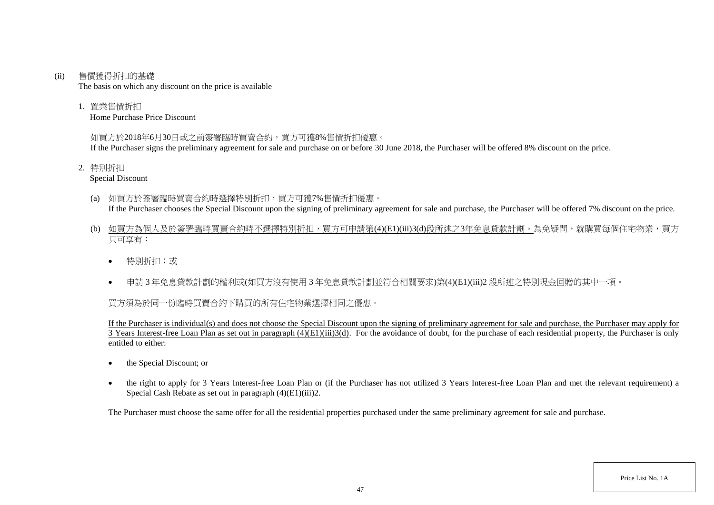#### (ii) 售價獲得折扣的基礎

The basis on which any discount on the price is available

1. 置業售價折扣

Home Purchase Price Discount

## 如買方於2018年6月30日或之前簽署臨時買賣合約,買方可獲8%售價折扣優惠。

If the Purchaser signs the preliminary agreement for sale and purchase on or before 30 June 2018, the Purchaser will be offered 8% discount on the price.

2. 特別折扣

Special Discount

- (a) 如買方於簽署臨時買賣合約時選擇特別折扣,買方可獲7%售價折扣優惠。 If the Purchaser chooses the Special Discount upon the signing of preliminary agreement for sale and purchase, the Purchaser will be offered 7% discount on the price.
- (b) 如買方為個人及於簽署臨時買賣合約時不選擇特別折扣,買方可申請第(4)(E1)(iii)3(d)段所述之3年免息貸款計劃。為免疑問,就購買每個住宅物業,買方 只可享有:
	- 特別折扣;或
	- 申請 3 年免息貸款計劃的權利或(如買方沒有使用 3 年免息貸款計劃並符合相關要求)第(4)(E1)(iii)2 段所述之特別現金回贈的其中一項。

# 買方須為於同一份臨時買賣合約下購買的所有住宅物業選擇相同之優惠。

If the Purchaser is individual(s) and does not choose the Special Discount upon the signing of preliminary agreement for sale and purchase, the Purchaser may apply for  $\overline{3}$  Years Interest-free Loan Plan as set out in paragraph (4)(E1)(iii)3(d). For the avoidance of doubt, for the purchase of each residential property, the Purchaser is only entitled to either:

- the Special Discount: or
- the right to apply for 3 Years Interest-free Loan Plan or (if the Purchaser has not utilized 3 Years Interest-free Loan Plan and met the relevant requirement) a Special Cash Rebate as set out in paragraph (4)(E1)(iii)2.

The Purchaser must choose the same offer for all the residential properties purchased under the same preliminary agreement for sale and purchase.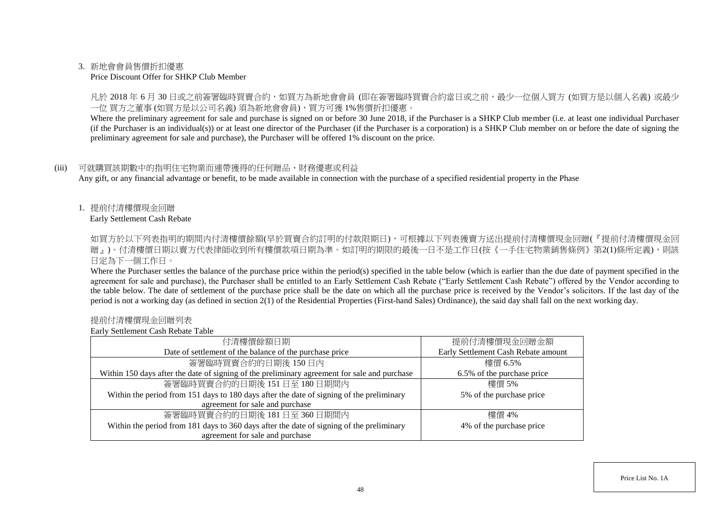#### 3. 新地會會員售價折扣優惠

#### Price Discount Offer for SHKP Club Member

凡於 2018 年 6 月 30 日或之前簽署臨時買賣合約,如買方為新地會會員 (即在簽署臨時買賣合約當日或之前,最少一位個人買方 (如買方是以個人名義) 或最少 一位 買方之董事 (如買方是以公司名義) 須為新地會會員),買方可獲 1%售價折扣優惠。

Where the preliminary agreement for sale and purchase is signed on or before 30 June 2018, if the Purchaser is a SHKP Club member (i.e. at least one individual Purchaser (if the Purchaser is an individual(s)) or at least one director of the Purchaser (if the Purchaser is a corporation) is a SHKP Club member on or before the date of signing the preliminary agreement for sale and purchase), the Purchaser will be offered 1% discount on the price.

#### (iii) 可就購買該期數中的指明住宅物業而連帶獲得的任何贈品、財務優惠或利益

Any gift, or any financial advantage or benefit, to be made available in connection with the purchase of a specified residential property in the Phase

1. 提前付清樓價現金回贈

Early Settlement Cash Rebate

如買方於以下列表指明的期間内付清樓價餘額(早於買賣合約訂明的付款限期日),可根據以下列表獲賣方送出提前付清樓價現金回贈(『提前付清樓價現金回 贈』)。付清樓價日期以賣方代表律師收到所有樓價款項日期為準。如訂明的期限的最後一日不是工作日(按《一手住宅物業銷售條例》第2(1)條所定義),則該 日定為下一個工作日。

Where the Purchaser settles the balance of the purchase price within the period(s) specified in the table below (which is earlier than the due date of payment specified in the agreement for sale and purchase), the Purchaser shall be entitled to an Early Settlement Cash Rebate ("Early Settlement Cash Rebate") offered by the Vendor according to the table below. The date of settlement of the purchase price shall be the date on which all the purchase price is received by the Vendor's solicitors. If the last day of the period is not a working day (as defined in section 2(1) of the Residential Properties (First-hand Sales) Ordinance), the said day shall fall on the next working day.

#### 提前付清樓價現金回贈列表

Early Settlement Cash Rebate Table

| 付清樓價餘額日期                                                                                     | 提前付清樓價現金回贈金額                        |
|----------------------------------------------------------------------------------------------|-------------------------------------|
| Date of settlement of the balance of the purchase price                                      | Early Settlement Cash Rebate amount |
| 簽署臨時買賣合約的日期後150日內                                                                            | 樓價 6.5%                             |
| Within 150 days after the date of signing of the preliminary agreement for sale and purchase | 6.5% of the purchase price          |
| 簽署臨時買賣合約的日期後 151日至 180日期間內                                                                   | 樓價 5%                               |
| Within the period from 151 days to 180 days after the date of signing of the preliminary     | 5% of the purchase price            |
| agreement for sale and purchase                                                              |                                     |
| 簽署臨時買賣合約的日期後 181日至 360日期間內                                                                   | 樓價 4%                               |
| Within the period from 181 days to 360 days after the date of signing of the preliminary     | 4% of the purchase price            |
| agreement for sale and purchase                                                              |                                     |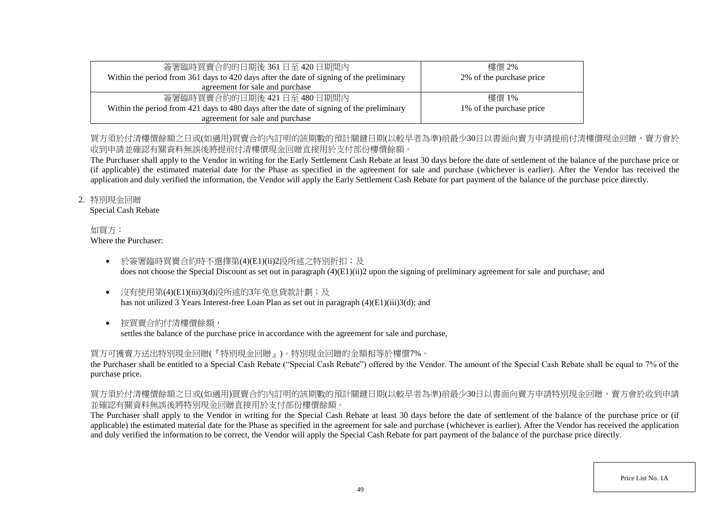| 簽署臨時買賣合約的日期後 361 日至 420 日期間內                                                             | 樓價 2%                    |
|------------------------------------------------------------------------------------------|--------------------------|
| Within the period from 361 days to 420 days after the date of signing of the preliminary | 2% of the purchase price |
| agreement for sale and purchase                                                          |                          |
| 簽署臨時買賣合約的日期後 421日至 480日期間内                                                               | 樓價 1%                    |
| Within the period from 421 days to 480 days after the date of signing of the preliminary | 1% of the purchase price |
| agreement for sale and purchase                                                          |                          |

# 買方須於付清樓價餘額之日或(如適用)買賣合約內訂明的該期數的預計關鍵日期(以較早者為進)前最少30日以書面向賣方申請提前付清樓價現金回贈,賣方會於 收到申請並確認有關資料無誤後將提前付清樓價現金回贈直接用於支付部份樓價餘額。

The Purchaser shall apply to the Vendor in writing for the Early Settlement Cash Rebate at least 30 days before the date of settlement of the balance of the purchase price or (if applicable) the estimated material date for the Phase as specified in the agreement for sale and purchase (whichever is earlier). After the Vendor has received the application and duly verified the information, the Vendor will apply the Early Settlement Cash Rebate for part payment of the balance of the purchase price directly.

## 2. 特別現金回贈

Special Cash Rebate

#### 如買方: Where the Purchaser:

- 於簽署臨時買賣合約時不選擇第(4)(E1)(ii)2段所述之特別折扣;及 does not choose the Special Discount as set out in paragraph (4)(E1)(ii)2 upon the signing of preliminary agreement for sale and purchase; and
- 沒有使用第(4)(E1)(iii)3(d)段所述的3年免息貸款計劃;及 has not utilized 3 Years Interest-free Loan Plan as set out in paragraph (4)(E1)(iii)3(d); and
- 按買賣合約付清樓價餘額,

settles the balance of the purchase price in accordance with the agreement for sale and purchase,

# 買方可獲賣方送出特別現金回贈(『特別現金回贈』)。特別現金回贈的金額相等於樓價7%。

the Purchaser shall be entitled to a Special Cash Rebate ("Special Cash Rebate") offered by the Vendor. The amount of the Special Cash Rebate shall be equal to 7% of the purchase price.

# 買方須於付清樓價餘額之日或(如適用)買賣合約內訂明的該期數的預計關鍵日期(以較早者為準)前最少30日以書面向賣方申請特別現金回贈,賣方會於收到申請 並確認有關資料無誤後將特別現金回贈直接用於支付部份樓價餘額。

The Purchaser shall apply to the Vendor in writing for the Special Cash Rebate at least 30 days before the date of settlement of the balance of the purchase price or (if applicable) the estimated material date for the Phase as specified in the agreement for sale and purchase (whichever is earlier). After the Vendor has received the application and duly verified the information to be correct, the Vendor will apply the Special Cash Rebate for part payment of the balance of the purchase price directly.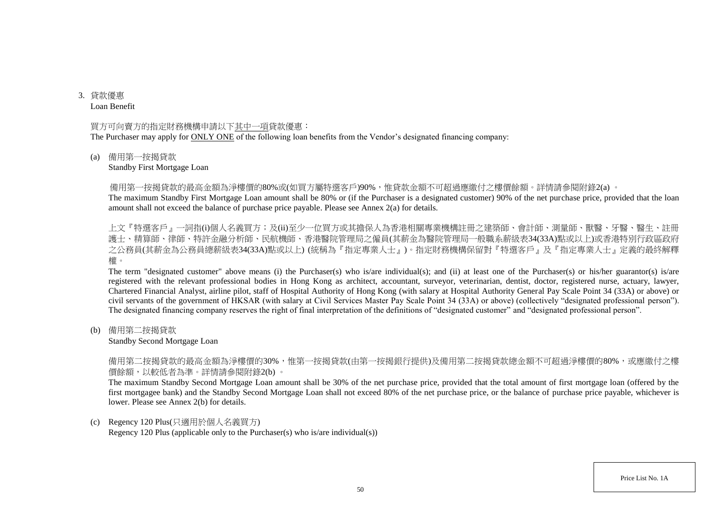3. 貸款優惠 Loan Benefit

#### 買方可向賣方的指定財務機構申請以下其中一項貸款優惠:

The Purchaser may apply for ONLY ONE of the following loan benefits from the Vendor's designated financing company:

#### (a) 備用第一按揭貸款

#### Standby First Mortgage Loan

備用第一按揭貸款的最高金額為淨樓價的80%或(如買方屬特選客戶)90%,惟貸款金額不可超過應繳付之樓價餘額。詳情請參閱附錄2(a) 。

The maximum Standby First Mortgage Loan amount shall be 80% or (if the Purchaser is a designated customer) 90% of the net purchase price, provided that the loan amount shall not exceed the balance of purchase price payable. Please see Annex 2(a) for details.

上文『特選客戶』一詞指(i)個人名義買方;及(ii)至少一位買方或其擔保人為香港相關專業機構註冊之建築師、會計師、測量師、獸醫、牙醫、醫生、註冊 護士、精算師、律師、特許金融分析師、民航機師、香港醫院管理局之僱員(其薪金為醫院管理局一般職系薪級表34(33A)點或以上)或香港特別行政區政府 之公務員(其薪金為公務員總薪級表34(33A)點或以上) (統稱為『指定專業人士』)。指定財務機構保留對『特選客戶』及『指定專業人士』定義的最終解釋 權。

The term "designated customer" above means (i) the Purchaser(s) who is/are individual(s); and (ii) at least one of the Purchaser(s) or his/her guarantor(s) is/are registered with the relevant professional bodies in Hong Kong as architect, accountant, surveyor, veterinarian, dentist, doctor, registered nurse, actuary, lawyer, Chartered Financial Analyst, airline pilot, staff of Hospital Authority of Hong Kong (with salary at Hospital Authority General Pay Scale Point 34 (33A) or above) or civil servants of the government of HKSAR (with salary at Civil Services Master Pay Scale Point 34 (33A) or above) (collectively "designated professional person"). The designated financing company reserves the right of final interpretation of the definitions of "designated customer" and "designated professional person".

(b) 備用第二按揭貸款

#### Standby Second Mortgage Loan

備用第二按揭貸款的最高金額為淨樓價的30%,惟第一按揭貸款(由第一按揭銀行提供)及備用第二按揭貸款總金額不可超過淨樓價的80%,或應繳付之樓 價餘額,以較低者為準。詳情請參閱附錄2(b) 。

The maximum Standby Second Mortgage Loan amount shall be 30% of the net purchase price, provided that the total amount of first mortgage loan (offered by the first mortgagee bank) and the Standby Second Mortgage Loan shall not exceed 80% of the net purchase price, or the balance of purchase price payable, whichever is lower. Please see Annex 2(b) for details.

#### (c) Regency 120 Plus(只適用於個人名義買方)

Regency 120 Plus (applicable only to the Purchaser(s) who is/are individual(s))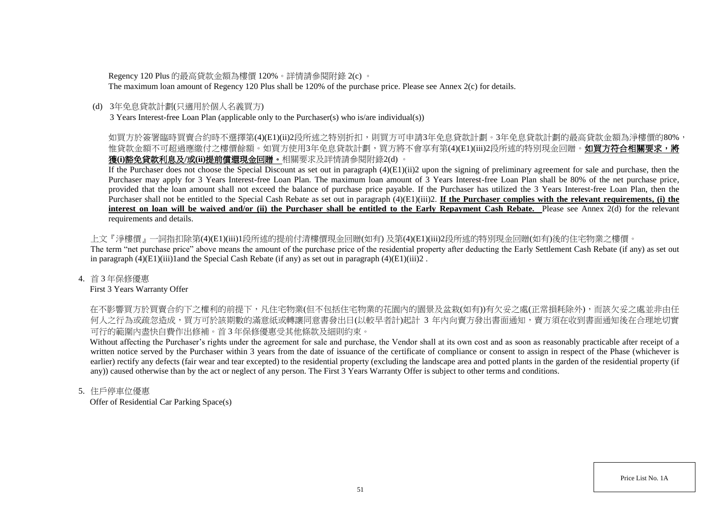Regency 120 Plus 的最高貸款金額為樓價 120%。詳情請參閱附錄 2(c) 。

The maximum loan amount of Regency 120 Plus shall be 120% of the purchase price. Please see Annex 2(c) for details.

## (d) 3年免息貸款計劃(只適用於個人名義買方)

3 Years Interest-free Loan Plan (applicable only to the Purchaser(s) who is/are individual(s))

# 如買方於簽署臨時買賣合約時不選擇第(4)(E1)(ii)2段所述之特別折扣,則買方可申請3年免息貸款計劃。3年免息貸款計劃的最高貸款金額為淨樓價的80%, 惟貸款金額不可超過應繳付之樓價餘額。如買方使用3年免息貸款計劃,買方將不會享有第(4)(E1)(iii)2段所述的特別現金回贈。**如買方符合相關要求,將** 獲**(i)**豁免貸款利息及**/**或**(ii)**提前償還現金回贈。相關要求及詳情請參閱附錄2(d) 。

If the Purchaser does not choose the Special Discount as set out in paragraph (4)(E1)(ii)2 upon the signing of preliminary agreement for sale and purchase, then the Purchaser may apply for 3 Years Interest-free Loan Plan. The maximum loan amount of 3 Years Interest-free Loan Plan shall be 80% of the net purchase price, provided that the loan amount shall not exceed the balance of purchase price payable. If the Purchaser has utilized the 3 Years Interest-free Loan Plan, then the Purchaser shall not be entitled to the Special Cash Rebate as set out in paragraph  $(4)(E1)(iii)2$ . **If the Purchaser complies with the relevant requirements, (i) the interest on loan will be waived and/or (ii) the Purchaser shall be entitled to the Early Repayment Cash Rebate.** Please see Annex 2(d) for the relevant requirements and details.

上文『淨樓價』一詞指扣除第(4)(E1)(iii)1段所述的提前付清樓價現金回贈(如有) 及第(4)(E1)(iii)2段所述的特別現金回贈(如有)後的住宅物業之樓價。 The term "net purchase price" above means the amount of the purchase price of the residential property after deducting the Early Settlement Cash Rebate (if any) as set out in paragraph  $(4)(E1)(iii)1$  and the Special Cash Rebate (if any) as set out in paragraph  $(4)(E1)(iii)2$ .

4. 首 3 年保修優惠

First 3 Years Warranty Offer

在不影響買方於買賣合約下之權利的前提下,凡住宅物業(但不包括住宅物業的花園內的園景及盆栽(如有))有欠妥之處(正常損耗除外),而該欠妥之處並非由任 何人之行為或疏忽造成,買方可於該期數的滿意紙或轉讓同意書發出日(以較早者計)起計 3 年内向賣方發出書面通知,賣方須在收到書面通知後在合理地切實 可行的範圍內盡快自費作出修補。首 3 年保修優惠受其他條款及細則約束。

Without affecting the Purchaser's rights under the agreement for sale and purchase, the Vendor shall at its own cost and as soon as reasonably practicable after receipt of a written notice served by the Purchaser within 3 years from the date of issuance of the certificate of compliance or consent to assign in respect of the Phase (whichever is earlier) rectify any defects (fair wear and tear excepted) to the residential property (excluding the landscape area and potted plants in the garden of the residential property (if any)) caused otherwise than by the act or neglect of any person. The First 3 Years Warranty Offer is subject to other terms and conditions.

## 5. 住戶停車位優惠

Offer of Residential Car Parking Space(s)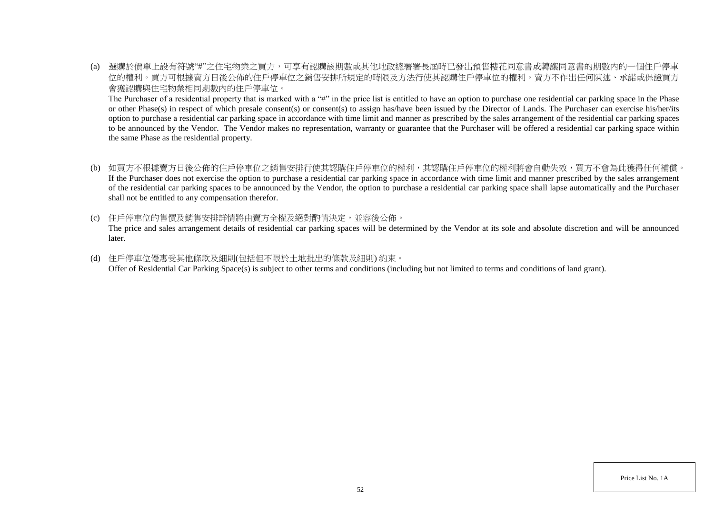(a) 選購於價單上設有符號"#"之住宅物業之買方,可享有認購該期數或其他地政總署署長屆時已發出預售樓花同意書或轉讓同意書的期數內的一個住戶停車 位的權利。買方可根據賣方日後公佈的住戶停車位之銷售安排所規定的時限及方法行使其認購住戶停車位的權利。賣方不作出任何陳述、承諾或保證買方 會獲認購與住宅物業相同期數內的住戶停車位。

The Purchaser of a residential property that is marked with a "#" in the price list is entitled to have an option to purchase one residential car parking space in the Phase or other Phase(s) in respect of which presale consent(s) or consent(s) to assign has/have been issued by the Director of Lands. The Purchaser can exercise his/her/its option to purchase a residential car parking space in accordance with time limit and manner as prescribed by the sales arrangement of the residential car parking spaces to be announced by the Vendor. The Vendor makes no representation, warranty or guarantee that the Purchaser will be offered a residential car parking space within the same Phase as the residential property.

- (b) 如買方不根據賣方日後公佈的住戶停車位之銷售安排行使其認購住戶停車位的權利,其認購住戶停車位的權利將會自動失效,買方不會為此獲得任何補償。 If the Purchaser does not exercise the option to purchase a residential car parking space in accordance with time limit and manner prescribed by the sales arrangement of the residential car parking spaces to be announced by the Vendor, the option to purchase a residential car parking space shall lapse automatically and the Purchaser shall not be entitled to any compensation therefor.
- (c) 住戶停車位的售價及銷售安排詳情將由賣方全權及絕對酌情決定,並容後公佈。

The price and sales arrangement details of residential car parking spaces will be determined by the Vendor at its sole and absolute discretion and will be announced later.

(d) 住戶停車位優惠受其他條款及細則(包括但不限於土地批出的條款及細則) 約束。 Offer of Residential Car Parking Space(s) is subject to other terms and conditions (including but not limited to terms and conditions of land grant).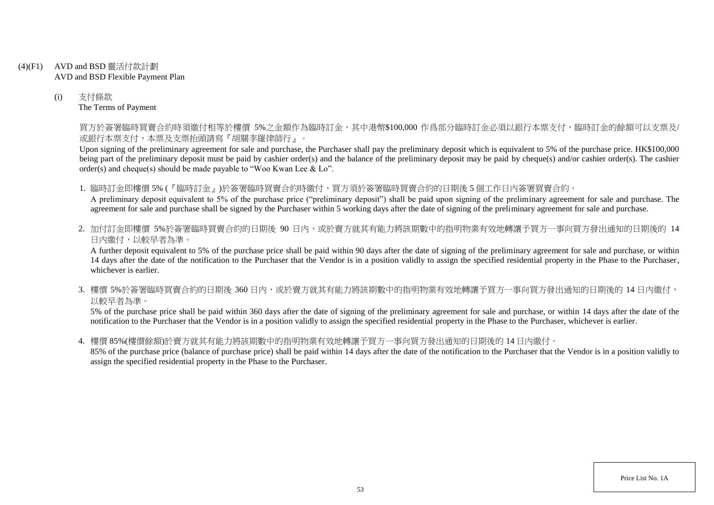- (4)(F1) AVD and BSD 靈活付款計劃 AVD and BSD Flexible Payment Plan
	- (i) 支付條款 The Terms of Payment

買方於簽署臨時買賣合約時須繳付相等於樓價 5%之金額作為臨時訂金,其中港幣\$100,000 作爲部分臨時訂金必須以銀行本票支付,臨時訂金的餘額可以支票及/ 或銀行本票支付,本票及支票抬頭請寫『胡關李羅律師行』。

Upon signing of the preliminary agreement for sale and purchase, the Purchaser shall pay the preliminary deposit which is equivalent to 5% of the purchase price. HK\$100,000 being part of the preliminary deposit must be paid by cashier order(s) and the balance of the preliminary deposit may be paid by cheque(s) and/or cashier order(s). The cashier order(s) and cheque(s) should be made payable to "Woo Kwan Lee & Lo".

1. 臨時訂金即樓價 5% (『臨時訂金』)於簽署臨時買賣合約時繳付,買方須於簽署臨時買賣合約的日期後 5 個工作日內簽署買賣合約。

A preliminary deposit equivalent to 5% of the purchase price ("preliminary deposit") shall be paid upon signing of the preliminary agreement for sale and purchase. The agreement for sale and purchase shall be signed by the Purchaser within 5 working days after the date of signing of the preliminary agreement for sale and purchase.

2. 加付訂金即樓價 5%於簽署臨時買賣合約的日期後 90 日内,或於賣方就其有能力將該期數中的指明物業有效地轉讓予買方一事向買方發出通知的日期後的 14 日內繳付,以較早者為準。

A further deposit equivalent to 5% of the purchase price shall be paid within 90 days after the date of signing of the preliminary agreement for sale and purchase, or within 14 days after the date of the notification to the Purchaser that the Vendor is in a position validly to assign the specified residential property in the Phase to the Purchaser, whichever is earlier.

3. 樓價 5%於簽署臨時買賣合約的日期後 360 日内,或於賣方就其有能力將該期數中的指明物業有效地轉讓予買方一事向買方發出通知的日期後的 14 日內繳付, 以較早者為準。

5% of the purchase price shall be paid within 360 days after the date of signing of the preliminary agreement for sale and purchase, or within 14 days after the date of the notification to the Purchaser that the Vendor is in a position validly to assign the specified residential property in the Phase to the Purchaser, whichever is earlier.

4. 樓價 85%(樓價餘額)於賣方就其有能力將該期數中的指明物業有效地轉讓予買方一事向買方發出通知的日期後的 14 日內繳付。

85% of the purchase price (balance of purchase price) shall be paid within 14 days after the date of the notification to the Purchaser that the Vendor is in a position validly to assign the specified residential property in the Phase to the Purchaser.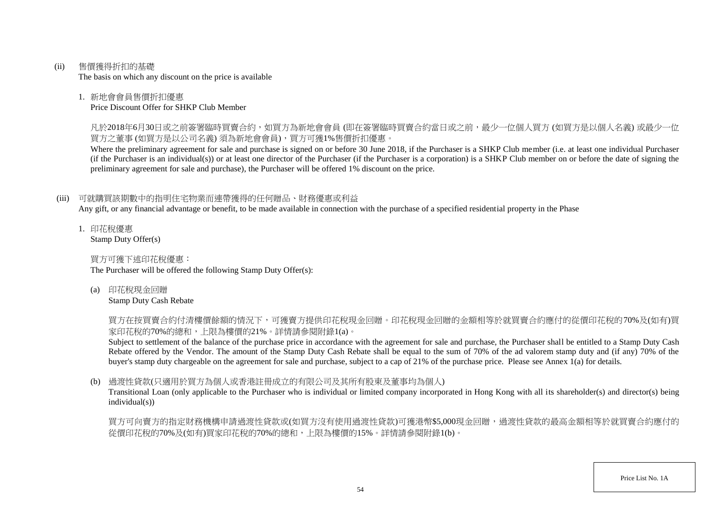(ii) 售價獲得折扣的基礎

The basis on which any discount on the price is available

## 1. 新地會會員售價折扣優惠

Price Discount Offer for SHKP Club Member

凡於2018年6月30日或之前簽署臨時買賣合約,如買方為新地會會員 (即在簽署臨時買賣合約當日或之前,最少一位個人買方 (如買方是以個人名義) 或最少一位 買方之董事 (如買方是以公司名義) 須為新地會會員),買方可獲1%售價折扣優惠。

Where the preliminary agreement for sale and purchase is signed on or before 30 June 2018, if the Purchaser is a SHKP Club member (i.e. at least one individual Purchaser (if the Purchaser is an individual(s)) or at least one director of the Purchaser (if the Purchaser is a corporation) is a SHKP Club member on or before the date of signing the preliminary agreement for sale and purchase), the Purchaser will be offered 1% discount on the price.

# (iii) 可就購買該期數中的指明住宅物業而連帶獲得的任何贈品、財務優惠或利益

Any gift, or any financial advantage or benefit, to be made available in connection with the purchase of a specified residential property in the Phase

1. 印花稅優惠 Stamp Duty Offer(s)

買方可獲下述印花稅優惠:

The Purchaser will be offered the following Stamp Duty Offer(s):

(a) 印花稅現金回贈

Stamp Duty Cash Rebate

買方在按買賣合約付清樓價餘額的情況下,可獲賣方提供印花稅現金回贈。印花稅現金回贈的金額相等於就買賣合約應付的從價印花稅的70%及(如有)買 家印花稅的70%的總和,上限為樓價的21%。詳情請參閱附錄1(a)。

Subject to settlement of the balance of the purchase price in accordance with the agreement for sale and purchase, the Purchaser shall be entitled to a Stamp Duty Cash Rebate offered by the Vendor. The amount of the Stamp Duty Cash Rebate shall be equal to the sum of 70% of the ad valorem stamp duty and (if any) 70% of the buyer's stamp duty chargeable on the agreement for sale and purchase, subject to a cap of 21% of the purchase price. Please see Annex 1(a) for details.

# (b) 過渡性貸款(只適用於買方為個人或香港註冊成立的有限公司及其所有股東及董事均為個人)

Transitional Loan (only applicable to the Purchaser who is individual or limited company incorporated in Hong Kong with all its shareholder(s) and director(s) being individual(s))

買方可向賣方的指定財務機構申請過渡性貸款或(如買方沒有使用過渡性貸款)可獲港幣\$5,000現金回贈,過渡性貸款的最高金額相等於就買賣合約應付的 從價印花稅的70%及(如有)買家印花稅的70%的總和,上限為樓價的15%。詳情請參閱附錄1(b)。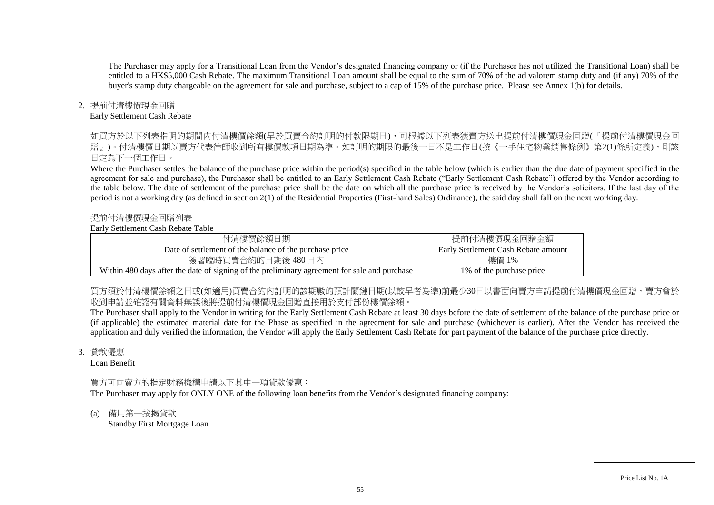The Purchaser may apply for a Transitional Loan from the Vendor's designated financing company or (if the Purchaser has not utilized the Transitional Loan) shall be entitled to a HK\$5,000 Cash Rebate. The maximum Transitional Loan amount shall be equal to the sum of 70% of the ad valorem stamp duty and (if any) 70% of the buyer's stamp duty chargeable on the agreement for sale and purchase, subject to a cap of 15% of the purchase price. Please see Annex 1(b) for details.

## 2. 提前付清樓價現金回贈

#### Early Settlement Cash Rebate

如買方於以下列表指明的期間内付清樓價餘額(早於買賣合約訂明的付款限期日),可根據以下列表獲賣方送出提前付清樓價現金回贈(『提前付清樓價現金回 贈』)。付清樓價日期以賣方代表律師收到所有樓價款項日期為進。如訂明的期限的最後一日不是工作日(按《一手住宅物業銷售條例》第2(1)條所定義),則該 日定為下一個工作日。

Where the Purchaser settles the balance of the purchase price within the period(s) specified in the table below (which is earlier than the due date of payment specified in the agreement for sale and purchase), the Purchaser shall be entitled to an Early Settlement Cash Rebate ("Early Settlement Cash Rebate") offered by the Vendor according to the table below. The date of settlement of the purchase price shall be the date on which all the purchase price is received by the Vendor's solicitors. If the last day of the period is not a working day (as defined in section 2(1) of the Residential Properties (First-hand Sales) Ordinance), the said day shall fall on the next working day.

#### 提前付清樓價現金回贈列表

#### Early Settlement Cash Rebate Table

| 付清樓價餘額日期                                                                                     | 提前付清樓價現金回贈金額                        |
|----------------------------------------------------------------------------------------------|-------------------------------------|
| Date of settlement of the balance of the purchase price                                      | Early Settlement Cash Rebate amount |
| 簽署臨時買賣合約的日期後 480日內                                                                           | 樓價 1%                               |
| Within 480 days after the date of signing of the preliminary agreement for sale and purchase | 1\% of the purchase price           |

買方須於付清樓價餘額之日或(如適用)買賣合約内訂明的該期數的預計關鍵日期(以較早者為準)前最少30日以書面向賣方申請提前付清樓價現金回贈,賣方會於 收到申請並確認有關資料無誤後將提前付清樓價現金回贈直接用於支付部份樓價餘額。

The Purchaser shall apply to the Vendor in writing for the Early Settlement Cash Rebate at least 30 days before the date of settlement of the balance of the purchase price or (if applicable) the estimated material date for the Phase as specified in the agreement for sale and purchase (whichever is earlier). After the Vendor has received the application and duly verified the information, the Vendor will apply the Early Settlement Cash Rebate for part payment of the balance of the purchase price directly.

#### 3. 貸款優惠

Loan Benefit

# 買方可向賣方的指定財務機構申請以下其中一項貸款優惠:

The Purchaser may apply for ONLY ONE of the following loan benefits from the Vendor's designated financing company:

(a) 備用第一按揭貸款 Standby First Mortgage Loan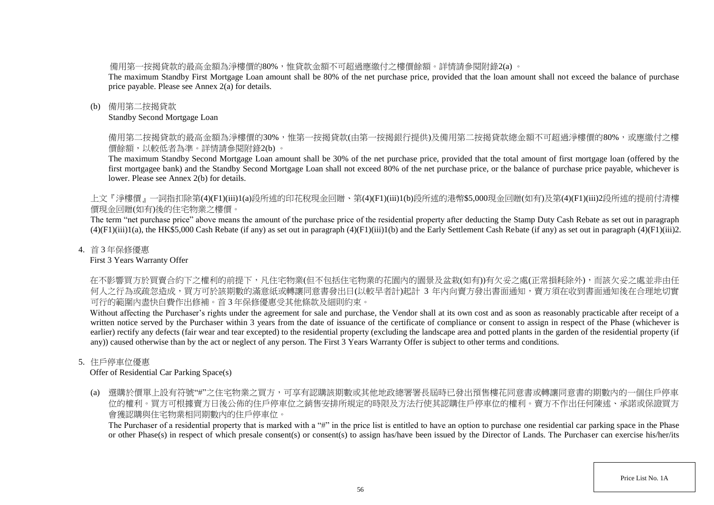備用第一按揭貸款的最高金額為淨樓價的80%,惟貸款金額不可超過應繳付之樓價餘額。詳情請參閱附錄2(a) 。

The maximum Standby First Mortgage Loan amount shall be 80% of the net purchase price, provided that the loan amount shall not exceed the balance of purchase price payable. Please see Annex 2(a) for details.

## (b) 備用第二按揭貸款

Standby Second Mortgage Loan

備用第二按揭貸款的最高金額為淨樓價的30%,惟第一按揭貸款(由第一按揭銀行提供)及備用第二按揭貸款總金額不可超過淨樓價的80%,或應繳付之樓 價餘額,以較低者為準。詳情請參閱附錄2(b) 。

The maximum Standby Second Mortgage Loan amount shall be 30% of the net purchase price, provided that the total amount of first mortgage loan (offered by the first mortgagee bank) and the Standby Second Mortgage Loan shall not exceed 80% of the net purchase price, or the balance of purchase price payable, whichever is lower. Please see Annex 2(b) for details.

上文『淨樓價』一詞指扣除第(4)(F1)(iii)1(a)段所述的印花稅現金回贈、第(4)(F1)(iii)1(b)段所述的港幣\$5,000現金回贈(如有)及第(4)(F1)(iii)2段所述的提前付清樓 價現金回贈(如有)後的住宅物業之樓價。

The term "net purchase price" above means the amount of the purchase price of the residential property after deducting the Stamp Duty Cash Rebate as set out in paragraph  $(4)(F1)(iii)1(a)$ , the HK\$5,000 Cash Rebate (if any) as set out in paragraph  $(4)(F1)(iii)1(b)$  and the Early Settlement Cash Rebate (if any) as set out in paragraph  $(4)(F1)(iii)2$ .

## 4. 首 3 年保修優惠

First 3 Years Warranty Offer

在不影響買方於買賣合約下之權利的前提下,凡住宅物業(但不包括住宅物業的花園內的園景及盆栽(如有))有欠妥之處(正常損耗除外),而該欠妥之處並非由任 何人之行為或疏忽造成,買方可於該期數的滿意紙或轉讓同意書發出日(以較早者計)起計 3 年内向賣方發出書面通知,賣方須在收到書面通知後在合理地切實 可行的範圍內盡快自費作出修補。首 3 年保修優惠受其他條款及細則約束。

Without affecting the Purchaser's rights under the agreement for sale and purchase, the Vendor shall at its own cost and as soon as reasonably practicable after receipt of a written notice served by the Purchaser within 3 years from the date of issuance of the certificate of compliance or consent to assign in respect of the Phase (whichever is earlier) rectify any defects (fair wear and tear excepted) to the residential property (excluding the landscape area and potted plants in the garden of the residential property (if any)) caused otherwise than by the act or neglect of any person. The First 3 Years Warranty Offer is subject to other terms and conditions.

# 5. 住戶停車位優惠

Offer of Residential Car Parking Space(s)

(a) 選購於價單上設有符號"#"之住宅物業之買方,可享有認購該期數或其他地政總署署長屆時已發出預售樓花同意書或轉讓同意書的期數內的一個住戶停車 位的權利。買方可根據賣方日後公佈的住戶停車位之銷售安排所規定的時限及方法行使其認購住戶停車位的權利。賣方不作出任何陳述、承諾或保證買方 會獲認購與住宅物業相同期數內的住戶停車位。

The Purchaser of a residential property that is marked with a "#" in the price list is entitled to have an option to purchase one residential car parking space in the Phase or other Phase(s) in respect of which presale consent(s) or consent(s) to assign has/have been issued by the Director of Lands. The Purchaser can exercise his/her/its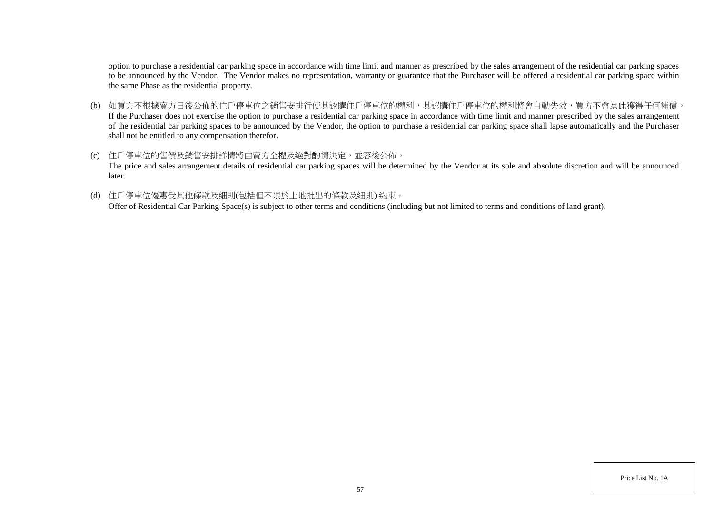option to purchase a residential car parking space in accordance with time limit and manner as prescribed by the sales arrangement of the residential car parking spaces to be announced by the Vendor. The Vendor makes no representation, warranty or guarantee that the Purchaser will be offered a residential car parking space within the same Phase as the residential property.

- (b) 如買方不根據賣方日後公佈的住戶停車位之銷售安排行使其認購住戶停車位的權利,其認購住戶停車位的權利將會自動失效,買方不會為此獲得任何補償。 If the Purchaser does not exercise the option to purchase a residential car parking space in accordance with time limit and manner prescribed by the sales arrangement of the residential car parking spaces to be announced by the Vendor, the option to purchase a residential car parking space shall lapse automatically and the Purchaser shall not be entitled to any compensation therefor.
- (c) 住戶停車位的售價及銷售安排詳情將由賣方全權及絕對酌情決定,並容後公佈。 The price and sales arrangement details of residential car parking spaces will be determined by the Vendor at its sole and absolute discretion and will be announced later.
- (d) 住戶停車位優惠受其他條款及細則(包括但不限於土地批出的條款及細則) 約束。

Offer of Residential Car Parking Space(s) is subject to other terms and conditions (including but not limited to terms and conditions of land grant).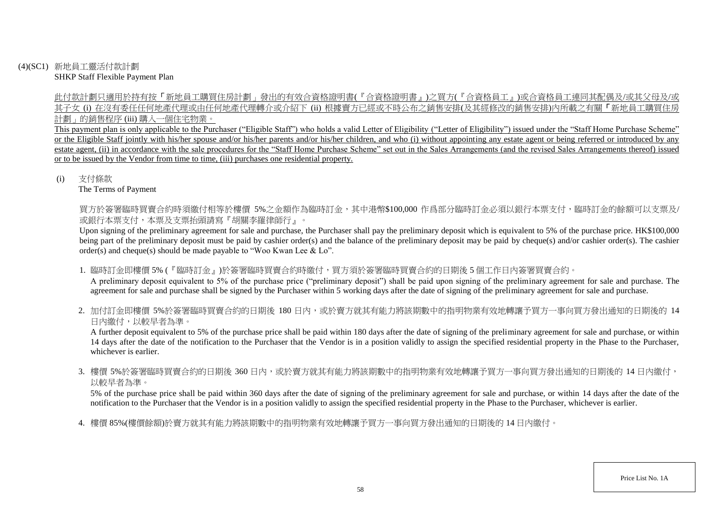(4)(SC1) 新地員工靈活付款計劃 SHKP Staff Flexible Payment Plan

> 此付款計劃只適用於持有按「新地員工購買住房計劃」發出的有效合資格證明書(『合資格證明書』)之買方(『合資格員工』)或合資格員工連同其配偶及/或其父母及/或 其子女 (i) 在沒有委任任何地產代理或由任何地產代理轉介或介紹下 (ii) 根據賣方已經或不時公布之銷售安排(及其經修改的銷售安排)內所載之有關「新地員工購買住房 計劃」的銷售程序 (iii) 購入一個住宅物業。

> This payment plan is only applicable to the Purchaser ("Eligible Staff") who holds a valid Letter of Eligibility ("Letter of Eligibility") issued under the "Staff Home Purchase Scheme" or the Eligible Staff jointly with his/her spouse and/or his/her parents and/or his/her children, and who (i) without appointing any estate agent or being referred or introduced by any estate agent, (ii) in accordance with the sale procedures for the "Staff Home Purchase Scheme" set out in the Sales Arrangements (and the revised Sales Arrangements thereof) issued or to be issued by the Vendor from time to time, (iii) purchases one residential property.

(i) 支付條款

The Terms of Payment

買方於簽署臨時買賣合約時須繳付相等於樓價 5%之金額作為臨時訂金,其中港幣\$100,000 作爲部分臨時訂金必須以銀行本票支付,臨時訂金的餘額可以支票及/ 或銀行本票支付,本票及支票抬頭請寫『胡關李羅律師行』。

Upon signing of the preliminary agreement for sale and purchase, the Purchaser shall pay the preliminary deposit which is equivalent to 5% of the purchase price. HK\$100,000 being part of the preliminary deposit must be paid by cashier order(s) and the balance of the preliminary deposit may be paid by cheque(s) and/or cashier order(s). The cashier order(s) and cheque(s) should be made payable to "Woo Kwan Lee & Lo".

- 1. 臨時訂金即樓價 5% (『臨時訂金』)於簽署臨時買賣合約時繳付,買方須於簽署臨時買賣合約的日期後 5 個工作日內簽署買賣合約。 A preliminary deposit equivalent to 5% of the purchase price ("preliminary deposit") shall be paid upon signing of the preliminary agreement for sale and purchase. The agreement for sale and purchase shall be signed by the Purchaser within 5 working days after the date of signing of the preliminary agreement for sale and purchase.
- 2. 加付訂金即樓價 5%於簽署臨時買賣合約的日期後 180 日内,或於賣方就其有能力將該期數中的指明物業有效地轉讓予買方一事向買方發出通知的日期後的 14 日內繳付,以較早者為準。

A further deposit equivalent to 5% of the purchase price shall be paid within 180 days after the date of signing of the preliminary agreement for sale and purchase, or within 14 days after the date of the notification to the Purchaser that the Vendor is in a position validly to assign the specified residential property in the Phase to the Purchaser, whichever is earlier.

3. 樓價 5%於簽署臨時買賣合約的日期後 360 日内,或於賣方就其有能力將該期數中的指明物業有效地轉讓予買方一事向買方發出通知的日期後的 14 日內繳付, 以較早者為準。

5% of the purchase price shall be paid within 360 days after the date of signing of the preliminary agreement for sale and purchase, or within 14 days after the date of the notification to the Purchaser that the Vendor is in a position validly to assign the specified residential property in the Phase to the Purchaser, whichever is earlier.

4. 樓價 85%(樓價餘額)於賣方就其有能力將該期數中的指明物業有效地轉讓予買方一事向買方發出通知的日期後的 14 日內繳付。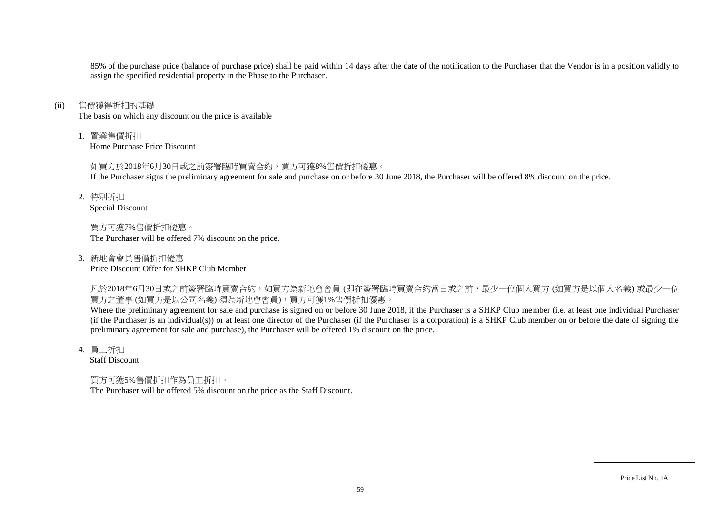85% of the purchase price (balance of purchase price) shall be paid within 14 days after the date of the notification to the Purchaser that the Vendor is in a position validly to assign the specified residential property in the Phase to the Purchaser.

#### (ii) 售價獲得折扣的基礎

The basis on which any discount on the price is available

1. 置業售價折扣

Home Purchase Price Discount

#### 如買方於2018年6月30日或之前簽署臨時買賣合約,買方可獲8%售價折扣優惠。

If the Purchaser signs the preliminary agreement for sale and purchase on or before 30 June 2018, the Purchaser will be offered 8% discount on the price.

2. 特別折扣

Special Discount

買方可獲7%售價折扣優惠。 The Purchaser will be offered 7% discount on the price.

3. 新地會會員售價折扣優惠 Price Discount Offer for SHKP Club Member

凡於2018年6月30日或之前簽署臨時買賣合約,如買方為新地會會員 (即在簽署臨時買賣合約當日或之前,最少一位個人買方 (如買方是以個人名義) 或最少一位 買方之董事 (如買方是以公司名義) 須為新地會會員),買方可獲1%售價折扣優惠。

Where the preliminary agreement for sale and purchase is signed on or before 30 June 2018, if the Purchaser is a SHKP Club member (i.e. at least one individual Purchaser (if the Purchaser is an individual(s)) or at least one director of the Purchaser (if the Purchaser is a corporation) is a SHKP Club member on or before the date of signing the preliminary agreement for sale and purchase), the Purchaser will be offered 1% discount on the price.

4. 員工折扣

Staff Discount

## 買方可獲5%售價折扣作為員工折扣。

The Purchaser will be offered 5% discount on the price as the Staff Discount.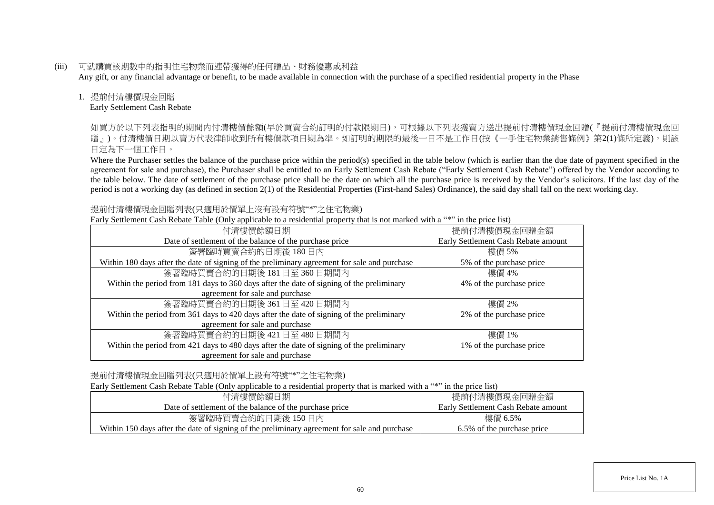(iii) 可就購買該期數中的指明住宅物業而連帶獲得的任何贈品、財務優惠或利益

Any gift, or any financial advantage or benefit, to be made available in connection with the purchase of a specified residential property in the Phase

## 1. 提前付清樓價現金回贈

Early Settlement Cash Rebate

如買方於以下列表指明的期間內付清樓價餘額(早於買賣合約訂明的付款限期日),可根據以下列表獲賣方送出提前付清樓價現金回贈(『提前付清樓價現金回 贈」)。付清樓價日期以賣方代表律師收到所有樓價款項日期為準。如訂明的期限的最後一日不是工作日(按《一手住宅物業銷售條例》第2(1)條所定義),則該 日定為下一個工作日。

Where the Purchaser settles the balance of the purchase price within the period(s) specified in the table below (which is earlier than the due date of payment specified in the agreement for sale and purchase), the Purchaser shall be entitled to an Early Settlement Cash Rebate ("Early Settlement Cash Rebate") offered by the Vendor according to the table below. The date of settlement of the purchase price shall be the date on which all the purchase price is received by the Vendor's solicitors. If the last day of the period is not a working day (as defined in section 2(1) of the Residential Properties (First-hand Sales) Ordinance), the said day shall fall on the next working day.

## 提前付清樓價現金回贈列表(只適用於價單上沒有設有符號"\*"之住宅物業)

Early Settlement Cash Rebate Table (Only applicable to a residential property that is not marked with a "\*" in the price list)

| $P^{\text{15}}$                                                                              |                                     |
|----------------------------------------------------------------------------------------------|-------------------------------------|
| 付清樓價餘額日期                                                                                     | 提前付清樓價現金回贈金額                        |
| Date of settlement of the balance of the purchase price                                      | Early Settlement Cash Rebate amount |
| 簽署臨時買賣合約的日期後180日內                                                                            | 樓價 5%                               |
| Within 180 days after the date of signing of the preliminary agreement for sale and purchase | 5% of the purchase price            |
| 簽署臨時買賣合約的日期後 181日至 360日期間内                                                                   | 樓價 4%                               |
| Within the period from 181 days to 360 days after the date of signing of the preliminary     | 4% of the purchase price            |
| agreement for sale and purchase                                                              |                                     |
| 簽署臨時買賣合約的日期後 361日至 420日期間内                                                                   | 樓價 2%                               |
| Within the period from 361 days to 420 days after the date of signing of the preliminary     | 2% of the purchase price            |
| agreement for sale and purchase                                                              |                                     |
| 簽署臨時買賣合約的日期後 421日至 480日期間内                                                                   | 樓價 1%                               |
| Within the period from 421 days to 480 days after the date of signing of the preliminary     | 1% of the purchase price            |
| agreement for sale and purchase                                                              |                                     |

# 提前付清樓價現金回贈列表(只適用於價單上設有符號"\*"之住宅物業)

Early Settlement Cash Rebate Table (Only applicable to a residential property that is marked with a "\*" in the price list)

| 付清樓價餘額日期                                                                                     | 提前付清樓價現金回贈金額                        |
|----------------------------------------------------------------------------------------------|-------------------------------------|
| Date of settlement of the balance of the purchase price                                      | Early Settlement Cash Rebate amount |
| 簽署臨時買賣合約的日期後 150日內                                                                           | 樓價 6.5%                             |
| Within 150 days after the date of signing of the preliminary agreement for sale and purchase | 6.5% of the purchase price          |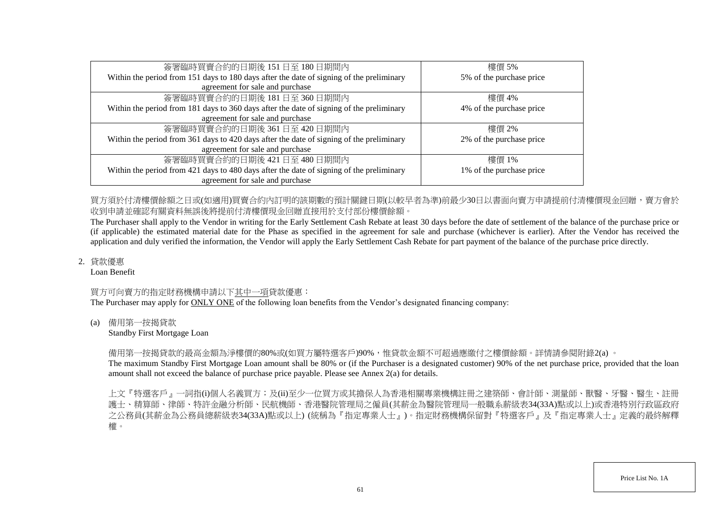| 簽署臨時買賣合約的日期後 151日至 180日期間內                                                               | 樓價 5%                    |
|------------------------------------------------------------------------------------------|--------------------------|
| Within the period from 151 days to 180 days after the date of signing of the preliminary | 5% of the purchase price |
| agreement for sale and purchase                                                          |                          |
| 簽署臨時買賣合約的日期後 181日至 360日期間內                                                               | 樓價 4%                    |
| Within the period from 181 days to 360 days after the date of signing of the preliminary | 4% of the purchase price |
| agreement for sale and purchase                                                          |                          |
| 簽署臨時買賣合約的日期後 361日至 420日期間内                                                               | 樓價 2%                    |
| Within the period from 361 days to 420 days after the date of signing of the preliminary | 2% of the purchase price |
| agreement for sale and purchase                                                          |                          |
| 簽署臨時買賣合約的日期後 421日至 480日期間內                                                               | 樓價 1%                    |
| Within the period from 421 days to 480 days after the date of signing of the preliminary | 1% of the purchase price |
| agreement for sale and purchase                                                          |                          |

買方須於付清樓價餘額之日或(如適用)買賣合約內訂明的該期數的預計關鍵日期(以較早者為準)前最少30日以書面向賣方申請提前付清樓價現金回贈,賣方會於 收到申請並確認有關資料無誤後將提前付清樓價現金回贈直接用於支付部份樓價餘額。

The Purchaser shall apply to the Vendor in writing for the Early Settlement Cash Rebate at least 30 days before the date of settlement of the balance of the purchase price or (if applicable) the estimated material date for the Phase as specified in the agreement for sale and purchase (whichever is earlier). After the Vendor has received the application and duly verified the information, the Vendor will apply the Early Settlement Cash Rebate for part payment of the balance of the purchase price directly.

2. 貸款優惠

Loan Benefit

## 買方可向賣方的指定財務機構申請以下其中一項貸款優惠:

The Purchaser may apply for ONLY ONE of the following loan benefits from the Vendor's designated financing company:

(a) 備用第一按揭貸款

Standby First Mortgage Loan

備用第一按揭貸款的最高金額為淨樓價的80%或(如買方屬特選客戶)90%,惟貸款金額不可超過應繳付之樓價餘額。詳情請參閱附錄2(a) 。

The maximum Standby First Mortgage Loan amount shall be 80% or (if the Purchaser is a designated customer) 90% of the net purchase price, provided that the loan amount shall not exceed the balance of purchase price payable. Please see Annex 2(a) for details.

上文『特選客戶』一詞指(i)個人名義買方;及(ii)至少一位買方或其擔保人為香港相關專業機構註冊之建築師、會計師、測量師、獸醫、牙醫、醫生、註冊 護士、精算師、律師、特許金融分析師、民航機師、香港醫院管理局之僱員(其薪金為醫院管理局一般職系薪級表34(33A)點或以上)或香港特別行政區政府 之公務員(其薪金為公務員總薪級表34(33A)點或以上) (統稱為『指定專業人士』)。指定財務機構保留對『特選客戶』及『指定專業人士』定義的最終解釋 權。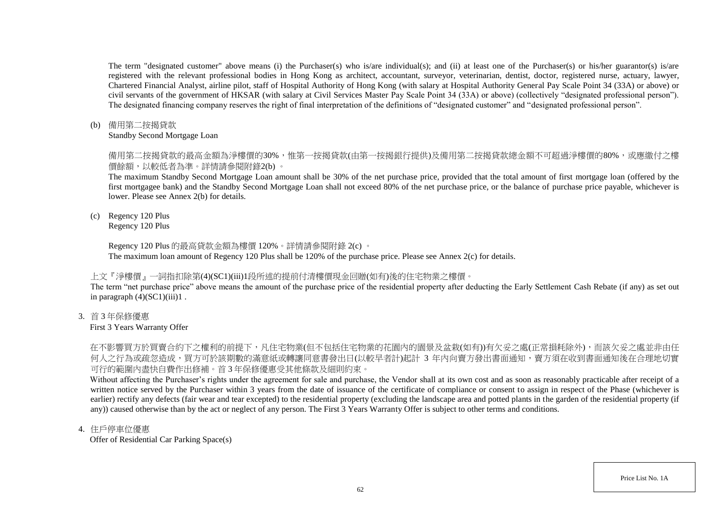The term "designated customer" above means (i) the Purchaser(s) who is/are individual(s); and (ii) at least one of the Purchaser(s) or his/her guarantor(s) is/are registered with the relevant professional bodies in Hong Kong as architect, accountant, surveyor, veterinarian, dentist, doctor, registered nurse, actuary, lawyer, Chartered Financial Analyst, airline pilot, staff of Hospital Authority of Hong Kong (with salary at Hospital Authority General Pay Scale Point 34 (33A) or above) or civil servants of the government of HKSAR (with salary at Civil Services Master Pay Scale Point 34 (33A) or above) (collectively "designated professional person"). The designated financing company reserves the right of final interpretation of the definitions of "designated customer" and "designated professional person".

(b) 備用第二按揭貸款

Standby Second Mortgage Loan

備用第二按揭貸款的最高金額為淨樓價的30%,惟第一按揭貸款(由第一按揭銀行提供)及備用第二按揭貸款總金額不可超過淨樓價的80%,或應繳付之樓 價餘額,以較低者為準。詳情請參閱附錄2(b) 。

The maximum Standby Second Mortgage Loan amount shall be 30% of the net purchase price, provided that the total amount of first mortgage loan (offered by the first mortgagee bank) and the Standby Second Mortgage Loan shall not exceed 80% of the net purchase price, or the balance of purchase price payable, whichever is lower. Please see Annex 2(b) for details.

(c) Regency 120 Plus

Regency 120 Plus

Regency 120 Plus 的最高貸款金額為樓價 120%。詳情請參閱附錄 2(c) 。 The maximum loan amount of Regency 120 Plus shall be 120% of the purchase price. Please see Annex 2(c) for details.

# 上文『淨樓價』一詞指扣除第(4)(SC1)(iii)1段所述的提前付清樓價現金回贈(如有)後的住宅物業之樓價。

The term "net purchase price" above means the amount of the purchase price of the residential property after deducting the Early Settlement Cash Rebate (if any) as set out in paragraph  $(4)(\text{SC1})$ (iii)1.

3. 首 3 年保修優惠

First 3 Years Warranty Offer

在不影響買方於買賣合約下之權利的前提下,凡住宅物業(但不包括住宅物業的花園內的園景及盆栽(如有))有欠妥之處(正常損耗除外),而該欠妥之處並非由任 何人之行為或疏忽造成,買方可於該期數的滿意紙或轉讓同意書發出日(以較早者計)起計 3 年內向賣方發出書面通知,賣方須在收到書面通知後在合理地切實 可行的範圍內盡快自費作出修補。首 3 年保修優惠受其他條款及細則約束。

Without affecting the Purchaser's rights under the agreement for sale and purchase, the Vendor shall at its own cost and as soon as reasonably practicable after receipt of a written notice served by the Purchaser within 3 years from the date of issuance of the certificate of compliance or consent to assign in respect of the Phase (whichever is earlier) rectify any defects (fair wear and tear excepted) to the residential property (excluding the landscape area and potted plants in the garden of the residential property (if any)) caused otherwise than by the act or neglect of any person. The First 3 Years Warranty Offer is subject to other terms and conditions.

4. 住戶停車位優惠

Offer of Residential Car Parking Space(s)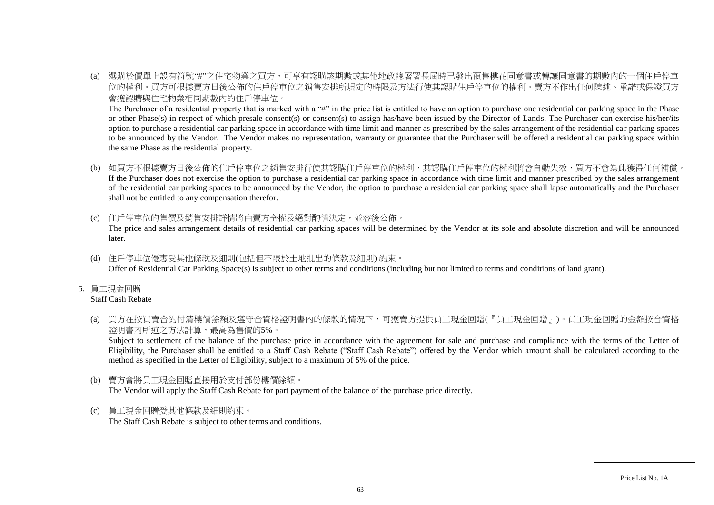(a) 選購於價單上設有符號"#"之住宅物業之買方,可享有認購該期數或其他地政總署署長屆時已發出預售樓花同意書或轉讓同意書的期數內的一個住戶停車 位的權利。買方可根據賣方日後公佈的住戶停車位之銷售安排所規定的時限及方法行使其認購住戶停車位的權利。賣方不作出任何陳述、承諾或保證買方 會獲認購與住宅物業相同期數內的住戶停車位。

The Purchaser of a residential property that is marked with a "#" in the price list is entitled to have an option to purchase one residential car parking space in the Phase or other Phase(s) in respect of which presale consent(s) or consent(s) to assign has/have been issued by the Director of Lands. The Purchaser can exercise his/her/its option to purchase a residential car parking space in accordance with time limit and manner as prescribed by the sales arrangement of the residential car parking spaces to be announced by the Vendor. The Vendor makes no representation, warranty or guarantee that the Purchaser will be offered a residential car parking space within the same Phase as the residential property.

- (b) 如買方不根據賣方日後公佈的住戶停車位之銷售安排行使其認購住戶停車位的權利,其認購住戶停車位的權利將會自動失效,買方不會為此獲得任何補償。 If the Purchaser does not exercise the option to purchase a residential car parking space in accordance with time limit and manner prescribed by the sales arrangement of the residential car parking spaces to be announced by the Vendor, the option to purchase a residential car parking space shall lapse automatically and the Purchaser shall not be entitled to any compensation therefor.
- (c) 住戶停車位的售價及銷售安排詳情將由賣方全權及絕對酌情決定,並容後公佈。

The price and sales arrangement details of residential car parking spaces will be determined by the Vendor at its sole and absolute discretion and will be announced later.

- (d) 住戶停車位優惠受其他條款及細則(包括但不限於土地批出的條款及細則) 約束。 Offer of Residential Car Parking Space(s) is subject to other terms and conditions (including but not limited to terms and conditions of land grant).
- 5. 員工現金回贈

## Staff Cash Rebate

(a) 買方在按買賣合約付清樓價餘額及遵守合資格證明書內的條款的情況下,可獲賣方提供員工現金回贈(『員工現金回贈』)。員工現金回贈的金額按合資格 證明書內所述之方法計算,最高為售價的5%。

Subject to settlement of the balance of the purchase price in accordance with the agreement for sale and purchase and compliance with the terms of the Letter of Eligibility, the Purchaser shall be entitled to a Staff Cash Rebate ("Staff Cash Rebate") offered by the Vendor which amount shall be calculated according to the method as specified in the Letter of Eligibility, subject to a maximum of 5% of the price.

(b) 賣方會將員工現金回贈直接用於支付部份樓價餘額。

The Vendor will apply the Staff Cash Rebate for part payment of the balance of the purchase price directly.

(c) 員工現金回贈受其他條款及細則約束。 The Staff Cash Rebate is subject to other terms and conditions.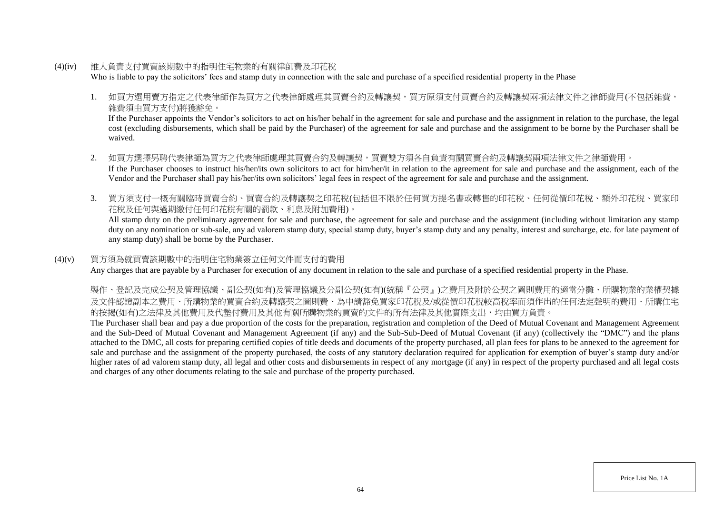(4)(iv) 誰人負責支付買賣該期數中的指明住宅物業的有關律師費及印花稅

Who is liable to pay the solicitors' fees and stamp duty in connection with the sale and purchase of a specified residential property in the Phase

1. 如買方選用賣方指定之代表律師作為買方之代表律師處理其買賣合約及轉讓契,買方原須支付買賣合約及轉讓契兩項法律文件之律師費用(不包括雜費, 雜費須由買方支付)將獲豁免。

If the Purchaser appoints the Vendor's solicitors to act on his/her behalf in the agreement for sale and purchase and the assignment in relation to the purchase, the legal cost (excluding disbursements, which shall be paid by the Purchaser) of the agreement for sale and purchase and the assignment to be borne by the Purchaser shall be waived.

- 2. 如買方選擇另聘代表律師為買方之代表律師處理其買賣合約及轉讓契,買賣雙方須各自負責有關買賣合約及轉讓契兩項法律文件之律師費用。 If the Purchaser chooses to instruct his/her/its own solicitors to act for him/her/it in relation to the agreement for sale and purchase and the assignment, each of the Vendor and the Purchaser shall pay his/her/its own solicitors' legal fees in respect of the agreement for sale and purchase and the assignment.
- 3. 買方須支付一概有關臨時買賣合約、買賣合約及轉讓契之印花稅(包括但不限於任何買方提名書或轉售的印花稅、任何從價印花稅、額外印花稅、買家印 花稅及任何與過期繳付任何印花稅有關的罰款、利息及附加費用)。

All stamp duty on the preliminary agreement for sale and purchase, the agreement for sale and purchase and the assignment (including without limitation any stamp duty on any nomination or sub-sale, any ad valorem stamp duty, special stamp duty, buyer's stamp duty and any penalty, interest and surcharge, etc. for late payment of any stamp duty) shall be borne by the Purchaser.

## (4)(v) 買方須為就買賣該期數中的指明住宅物業簽立任何文件而支付的費用

Any charges that are payable by a Purchaser for execution of any document in relation to the sale and purchase of a specified residential property in the Phase.

製作、登記及完成公契及管理協議、副公契(如有)及管理協議及分副公契(如有)(統稱『公契』)之費用及附於公契之圖則費用的適當分攤、所購物業的業權契據 及文件認證副本之費用、所購物業的買賣合約及轉讓契之圖則費、為申請豁免買家印花稅及/或從價印花稅較高稅率而須作出的任何法定聲明的費用、所購住宅 的按揭(如有)之法律及其他費用及代墊付費用及其他有關所購物業的買賣的文件的所有法律及其他實際支出,均由買方負責。

The Purchaser shall bear and pay a due proportion of the costs for the preparation, registration and completion of the Deed of Mutual Covenant and Management Agreement and the Sub-Deed of Mutual Covenant and Management Agreement (if any) and the Sub-Sub-Deed of Mutual Covenant (if any) (collectively the "DMC") and the plans attached to the DMC, all costs for preparing certified copies of title deeds and documents of the property purchased, all plan fees for plans to be annexed to the agreement for sale and purchase and the assignment of the property purchased, the costs of any statutory declaration required for application for exemption of buyer's stamp duty and/or higher rates of ad valorem stamp duty, all legal and other costs and disbursements in respect of any mortgage (if any) in respect of the property purchased and all legal costs and charges of any other documents relating to the sale and purchase of the property purchased.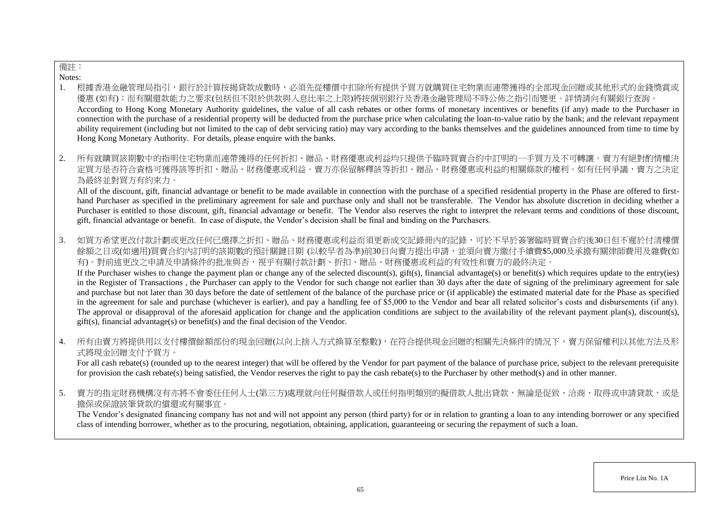# 備註:

Notes:

- 1. 根據香港金融管理局指引,銀行於計算按揭貸款成數時,必須先從樓價中扣除所有提供予買方就購買住宅物業而連帶獲得的全部現金回贈或其他形式的金錢獎賞或 優惠 (如有);而有關還款能力之要求(包括但不限於供款與入息比率之上限)將按個別銀行及香港金融管理局不時公佈之指引而變更。詳情請向有關銀行查詢。 According to Hong Kong Monetary Authority guidelines, the value of all cash rebates or other forms of monetary incentives or benefits (if any) made to the Purchaser in connection with the purchase of a residential property will be deducted from the purchase price when calculating the loan-to-value ratio by the bank; and the relevant repayment ability requirement (including but not limited to the cap of debt servicing ratio) may vary according to the banks themselves and the guidelines announced from time to time by Hong Kong Monetary Authority. For details, please enquire with the banks.
- 2. 所有就購買該期數中的指明住宅物業而連帶獲得的任何折扣、贈品、財務優惠或利益均只提供予臨時買賣合約中訂明的一手買方及不可轉讓。賣方有絕對酌情權決 定買方是否符合資格可獲得該等折扣、贈品、財務優惠或利益。賣方亦保留解釋該等折扣、贈品、財務優惠或利益的相關條款的權利。如有任何爭議,賣方之決定 為最終並對買方有約束力。

All of the discount, gift, financial advantage or benefit to be made available in connection with the purchase of a specified residential property in the Phase are offered to firsthand Purchaser as specified in the preliminary agreement for sale and purchase only and shall not be transferable. The Vendor has absolute discretion in deciding whether a Purchaser is entitled to those discount, gift, financial advantage or benefit. The Vendor also reserves the right to interpret the relevant terms and conditions of those discount, gift, financial advantage or benefit. In case of dispute, the Vendor's decision shall be final and binding on the Purchasers.

3. 如買方希望更改付款計劃或更改任何已選擇之折扣、贈品、財務優惠或利益而須更新成交記錄冊內的記錄,可於不早於簽署臨時買賣合約後30日但不遲於付清樓價 餘額之日或(如適用)買賣合約內訂明的該期數的預計關鍵日期 (以較早者為準)前30日向賣方提出申請,並須向賣方繳付手續費\$5,000及承擔有關律師費用及雜費(如 有)。對前述更改之申請及申請條件的批准與否,視乎有關付款計劃、折扣、贈品、財務優惠或利益的有效性和賣方的最終決定。

If the Purchaser wishes to change the payment plan or change any of the selected discount(s), gift(s), financial advantage(s) or benefit(s) which requires update to the entry(ies) in the Register of Transactions , the Purchaser can apply to the Vendor for such change not earlier than 30 days after the date of signing of the preliminary agreement for sale and purchase but not later than 30 days before the date of settlement of the balance of the purchase price or (if applicable) the estimated material date for the Phase as specified in the agreement for sale and purchase (whichever is earlier), and pay a handling fee of \$5,000 to the Vendor and bear all related solicitor's costs and disbursements (if any). The approval or disapproval of the aforesaid application for change and the application conditions are subject to the availability of the relevant payment plan(s), discount(s), gift(s), financial advantage(s) or benefit(s) and the final decision of the Vendor.

4. 所有由賣方將提供用以支付樓價餘額部份的現金回贈(以向上捨入方式換算至整數),在符合提供現金回贈的相關先決條件的情況下,賣方保留權利以其他方法及形 式將現金回贈支付予買方。

For all cash rebate(s) (rounded up to the nearest integer) that will be offered by the Vendor for part payment of the balance of purchase price, subject to the relevant prerequisite for provision the cash rebate(s) being satisfied, the Vendor reserves the right to pay the cash rebate(s) to the Purchaser by other method(s) and in other manner.

5. 賣方的指定財務機構沒有亦將不會委任任何人士(第三方)處理就向任何擬借款人或任何指明類別的擬借款人批出貸款,無論是促致、洽商、取得或申請貸款,或是 擔保或保證該筆貸款的償還或有關事宜。

The Vendor's designated financing company has not and will not appoint any person (third party) for or in relation to granting a loan to any intending borrower or any specified class of intending borrower, whether as to the procuring, negotiation, obtaining, application, guaranteeing or securing the repayment of such a loan.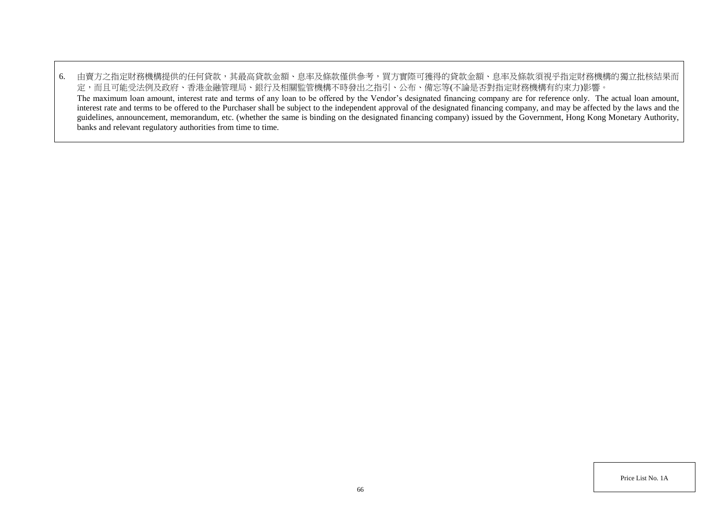6. 由賣方之指定財務機構提供的任何貸款,其最高貸款金額、息率及條款僅供參考,買方實際可獲得的貸款金額、息率及條款須視乎指定財務機構的獨立批核結果而 定,而且可能受法例及政府、香港金融管理局、銀行及相關監管機構不時發出之指引、公布、備忘等(不論是否對指定財務機構有約束力)影響。 The maximum loan amount, interest rate and terms of any loan to be offered by the Vendor's designated financing company are for reference only. The actual loan amount, interest rate and terms to be offered to the Purchaser shall be subject to the independent approval of the designated financing company, and may be affected by the laws and the guidelines, announcement, memorandum, etc. (whether the same is binding on the designated financing company) issued by the Government, Hong Kong Monetary Authority, banks and relevant regulatory authorities from time to time.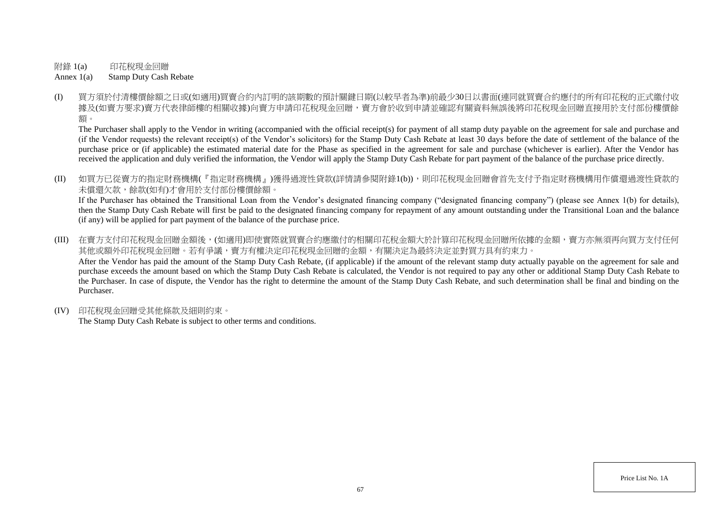附錄 1(a) 印花稅現金回贈

Annex 1(a) Stamp Duty Cash Rebate

(I) 買方須於付清樓價餘額之日或(如適用)買賣合約內訂明的該期數的預計關鍵日期(以較早者為準)前最少30日以書面(連同就買賣合約應付的所有印花稅的正式繳付收 據及(如賣方要求)賣方代表律師樓的相關收據)向賣方申請印花稅現金回贈,賣方會於收到申請並確認有關資料無誤後將印花稅現金回贈直接用於支付部份樓價餘 額。

The Purchaser shall apply to the Vendor in writing (accompanied with the official receipt(s) for payment of all stamp duty payable on the agreement for sale and purchase and (if the Vendor requests) the relevant receipt(s) of the Vendor's solicitors) for the Stamp Duty Cash Rebate at least 30 days before the date of settlement of the balance of the purchase price or (if applicable) the estimated material date for the Phase as specified in the agreement for sale and purchase (whichever is earlier). After the Vendor has received the application and duly verified the information, the Vendor will apply the Stamp Duty Cash Rebate for part payment of the balance of the purchase price directly.

(II) 如買方已從賣方的指定財務機構(『指定財務機構』)獲得過渡性貸款(詳情請參閱附錄1(b)),則印花稅現金回贈會首先支付予指定財務機構用作償還過渡性貸款的 未償還欠款,餘款(如有)才會用於支付部份樓價餘額。

If the Purchaser has obtained the Transitional Loan from the Vendor's designated financing company ("designated financing company") (please see Annex 1(b) for details), then the Stamp Duty Cash Rebate will first be paid to the designated financing company for repayment of any amount outstanding under the Transitional Loan and the balance (if any) will be applied for part payment of the balance of the purchase price.

(III) 在賣方支付印花稅現金回贈金額後,(如適用)即使實際就買賣合約應繳付的相關印花稅金額大於計算印花稅現金回贈所依據的金額,賣方亦無須再向買方支付任何 其他或額外印花稅現金回贈。若有爭議,賣方有權決定印花稅現金回贈的金額,有關決定為最終決定並對買方具有約束力。 After the Vendor has paid the amount of the Stamp Duty Cash Rebate, (if applicable) if the amount of the relevant stamp duty actually payable on the agreement for sale and purchase exceeds the amount based on which the Stamp Duty Cash Rebate is calculated, the Vendor is not required to pay any other or additional Stamp Duty Cash Rebate to the Purchaser. In case of dispute, the Vendor has the right to determine the amount of the Stamp Duty Cash Rebate, and such determination shall be final and binding on the Purchaser.

(IV) 印花稅現金回贈受其他條款及細則約束。

The Stamp Duty Cash Rebate is subject to other terms and conditions.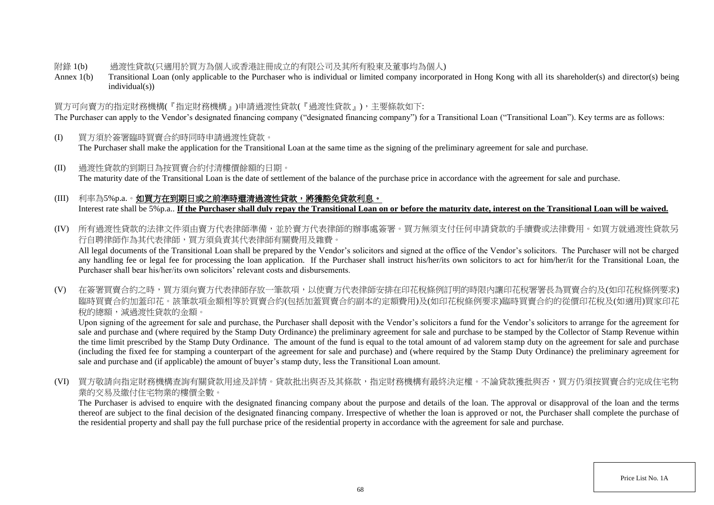#### 附錄 1(b) 過渡性貸款(只適用於買方為個人或香港註冊成立的有限公司及其所有股東及董事均為個人)

Annex 1(b) Transitional Loan (only applicable to the Purchaser who is individual or limited company incorporated in Hong Kong with all its shareholder(s) and director(s) being individual(s))

# 買方可向賣方的指定財務機構(『指定財務機構』)申請過渡性貸款(『過渡性貸款』),主要條款如下:

The Purchaser can apply to the Vendor's designated financing company ("designated financing company") for a Transitional Loan ("Transitional Loan"). Key terms are as follows:

- (I) 買方須於簽署臨時買賣合約時同時申請過渡性貸款。 The Purchaser shall make the application for the Transitional Loan at the same time as the signing of the preliminary agreement for sale and purchase.
- (II) 過渡性貸款的到期日為按買賣合約付清樓價餘額的日期。 The maturity date of the Transitional Loan is the date of settlement of the balance of the purchase price in accordance with the agreement for sale and purchase.

# (III) 利率為5%p.a.。如買方在到期日或之前準時還清過渡性貸款,將獲豁免貸款利息。 Interest rate shall be 5%p.a.. **If the Purchaser shall duly repay the Transitional Loan on or before the maturity date, interest on the Transitional Loan will be waived.**

(IV) 所有過渡性貸款的法律文件須由賣方代表律師準備,並於賣方代表律師的辦事處簽署。買方無須支付任何申請貸款的手續費或法律費用。如買方就過渡性貸款另 行自聘律師作為其代表律師,買方須負責其代表律師有關費用及雜費。

All legal documents of the Transitional Loan shall be prepared by the Vendor's solicitors and signed at the office of the Vendor's solicitors. The Purchaser will not be charged any handling fee or legal fee for processing the loan application. If the Purchaser shall instruct his/her/its own solicitors to act for him/her/it for the Transitional Loan, the Purchaser shall bear his/her/its own solicitors' relevant costs and disbursements.

(V) 在簽署買賣合約之時,買方須向賣方代表律師存放一筆款項,以使賣方代表律師安排在印花稅條例訂明的時限內讓印花稅署署長為買賣合約及(如印花稅條例要求) 臨時買賣合約加蓋印花。該筆款項金額相等於買賣合約(包括加蓋買賣合約副本的定額費用)及(如印花稅條例要求)臨時買賣合約的從價印花稅及(如適用)買家印花 稅的總額,減過渡性貸款的金額。

Upon signing of the agreement for sale and purchase, the Purchaser shall deposit with the Vendor's solicitors a fund for the Vendor's solicitors to arrange for the agreement for sale and purchase and (where required by the Stamp Duty Ordinance) the preliminary agreement for sale and purchase to be stamped by the Collector of Stamp Revenue within the time limit prescribed by the Stamp Duty Ordinance. The amount of the fund is equal to the total amount of ad valorem stamp duty on the agreement for sale and purchase (including the fixed fee for stamping a counterpart of the agreement for sale and purchase) and (where required by the Stamp Duty Ordinance) the preliminary agreement for sale and purchase and (if applicable) the amount of buyer's stamp duty, less the Transitional Loan amount.

(VI) 買方敬請向指定財務機構查詢有關貸款用途及詳情。貸款批出與否及其條款,指定財務機構有最終決定權。不論貸款獲批與否,買方仍須按買賣合約完成住宅物 業的交易及繳付住宅物業的樓價全數。

The Purchaser is advised to enquire with the designated financing company about the purpose and details of the loan. The approval or disapproval of the loan and the terms thereof are subject to the final decision of the designated financing company. Irrespective of whether the loan is approved or not, the Purchaser shall complete the purchase of the residential property and shall pay the full purchase price of the residential property in accordance with the agreement for sale and purchase.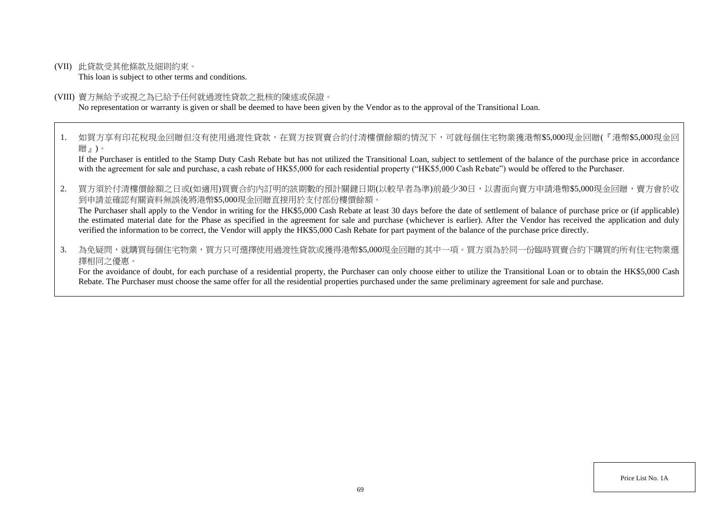(VII) 此貸款受其他條款及細則約束。

This loan is subject to other terms and conditions.

#### (VIII) 賣方無給予或視之為已給予任何就過渡性貸款之批核的陳述或保證。

No representation or warranty is given or shall be deemed to have been given by the Vendor as to the approval of the Transitional Loan.

1. 如買方享有印花稅現金回贈但沒有使用過渡性貸款,在買方按買賣合約付清樓價餘額的情況下,可就每個住宅物業獲港幣\$5,000現金回贈(『港幣\$5,000現金回 贈』)。

If the Purchaser is entitled to the Stamp Duty Cash Rebate but has not utilized the Transitional Loan, subject to settlement of the balance of the purchase price in accordance with the agreement for sale and purchase, a cash rebate of HK\$5,000 for each residential property ("HK\$5,000 Cash Rebate") would be offered to the Purchaser.

2. 買方須於付清樓價餘額之日或(如適用)買賣合約內訂明的該期數的預計關鍵日期(以較早者為準)前最少30日,以書面向賣方申請港幣\$5,000現金回贈,賣方會於收 到申請並確認有關資料無誤後將港幣\$5,000現金回贈直接用於支付部份樓價餘額。

The Purchaser shall apply to the Vendor in writing for the HK\$5,000 Cash Rebate at least 30 days before the date of settlement of balance of purchase price or (if applicable) the estimated material date for the Phase as specified in the agreement for sale and purchase (whichever is earlier). After the Vendor has received the application and duly verified the information to be correct, the Vendor will apply the HK\$5,000 Cash Rebate for part payment of the balance of the purchase price directly.

3. 為免疑問,就購買每個住宅物業,買方只可選擇使用過渡性貸款或獲得港幣\$5.000現金回贈的其中一項。買方須為於同一份臨時買賣合約下購買的所有住宅物業選 擇相同之優惠。

For the avoidance of doubt, for each purchase of a residential property, the Purchaser can only choose either to utilize the Transitional Loan or to obtain the HK\$5,000 Cash Rebate. The Purchaser must choose the same offer for all the residential properties purchased under the same preliminary agreement for sale and purchase.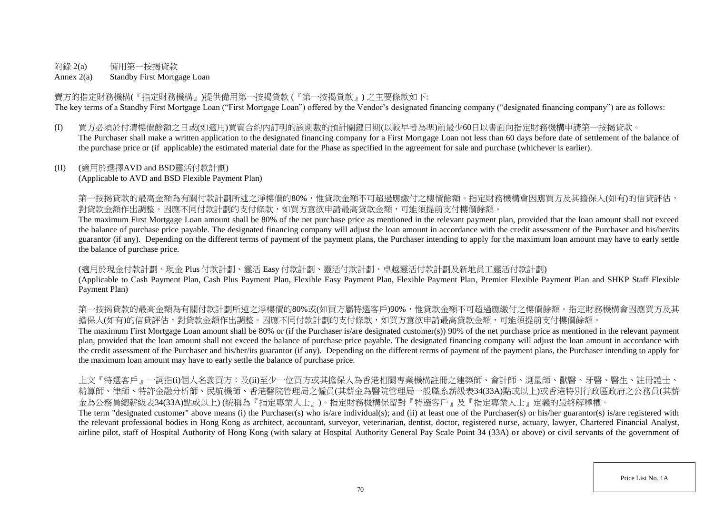# 附錄 2(a) 備用第一按揭貸款

Annex 2(a) Standby First Mortgage Loan

賣方的指定財務機構(『指定財務機構』)提供備用第一按揭貸款 (『第一按揭貸款』) 之主要條款如下: The key terms of a Standby First Mortgage Loan ("First Mortgage Loan") offered by the Vendor's designated financing company ("designated financing company") are as follows:

(I) 買方必須於付清樓價餘額之日或(如適用)買賣合約內訂明的該期數的預計關鍵日期(以較早者為準)前最少60日以書面向指定財務機構申請第一按揭貸款。 The Purchaser shall make a written application to the designated financing company for a First Mortgage Loan not less than 60 days before date of settlement of the balance of the purchase price or (if applicable) the estimated material date for the Phase as specified in the agreement for sale and purchase (whichever is earlier).

## (II) (適用於選擇AVD and BSD靈活付款計劃)

(Applicable to AVD and BSD Flexible Payment Plan)

第一按揭貸款的最高金額為有關付款計劃所述之淨樓價的80%,惟貸款金額不可超過應繳付之樓價餘額。指定財務機構會因應買方及其擔保人(如有)的信貸評估, 對貸款金額作出調整。因應不同付款計劃的支付條款,如買方意欲申請最高貸款金額,可能須提前支付樓價餘額。

The maximum First Mortgage Loan amount shall be 80% of the net purchase price as mentioned in the relevant payment plan, provided that the loan amount shall not exceed the balance of purchase price payable. The designated financing company will adjust the loan amount in accordance with the credit assessment of the Purchaser and his/her/its guarantor (if any). Depending on the different terms of payment of the payment plans, the Purchaser intending to apply for the maximum loan amount may have to early settle the balance of purchase price.

(適用於現金付款計劃、現金 Plus 付款計劃、靈活 Easy 付款計劃、靈活付款計劃、卓越靈活付款計劃及新地員工靈活付款計劃)

(Applicable to Cash Payment Plan, Cash Plus Payment Plan, Flexible Easy Payment Plan, Flexible Payment Plan, Premier Flexible Payment Plan and SHKP Staff Flexible Payment Plan)

等一按揭貸款的最高金額為有關付款計劃所述之淨樓價的80%或(如買方屬特選客戶)90%,惟貸款金額不可超過應繳付之樓價餘額。指定財務機構會因應買方及其 擔保人(如有)的信貸評估,對貸款金額作出調整。因應不同付款計劃的支付條款,如買方意欲申請最高貸款金額,可能須提前支付樓價餘額。

The maximum First Mortgage Loan amount shall be 80% or (if the Purchaser is/are designated customer(s)) 90% of the net purchase price as mentioned in the relevant payment plan, provided that the loan amount shall not exceed the balance of purchase price payable. The designated financing company will adjust the loan amount in accordance with the credit assessment of the Purchaser and his/her/its guarantor (if any). Depending on the different terms of payment of the payment plans, the Purchaser intending to apply for the maximum loan amount may have to early settle the balance of purchase price.

上文『特選客戶』一詞指(i)個人名義買方;及(ii)至少一位買方或其擔保人為香港相關專業機構註冊之建築師、會計師、測量師、獸醫、牙醫、醫生、註冊護士、 精算師、律師、特許金融分析師、民航機師、香港醫院管理局之僱員(其薪金為醫院管理局一般職系薪級表34(33A)點或以上)或香港特別行政區政府之公務員(其薪 金為公務員總薪級表34(33A)點或以上) (統稱為『指定專業人士』)。指定財務機構保留對『特選客戶』及『指定專業人士』定義的最終解釋權。

The term "designated customer" above means (i) the Purchaser(s) who is/are individual(s); and (ii) at least one of the Purchaser(s) or his/her guarantor(s) is/are registered with the relevant professional bodies in Hong Kong as architect, accountant, surveyor, veterinarian, dentist, doctor, registered nurse, actuary, lawyer, Chartered Financial Analyst, airline pilot, staff of Hospital Authority of Hong Kong (with salary at Hospital Authority General Pay Scale Point 34 (33A) or above) or civil servants of the government of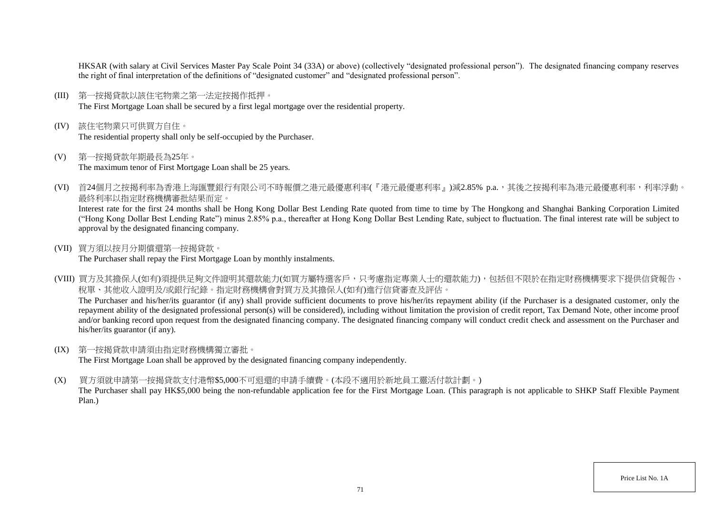HKSAR (with salary at Civil Services Master Pay Scale Point 34 (33A) or above) (collectively "designated professional person"). The designated financing company reserves the right of final interpretation of the definitions of "designated customer" and "designated professional person".

- (III) 第一按揭貸款以該住宅物業之第一法定按揭作抵押。 The First Mortgage Loan shall be secured by a first legal mortgage over the residential property.
- (IV) 該住宅物業只可供買方自住。 The residential property shall only be self-occupied by the Purchaser.
- (V) 第一按揭貸款年期最長為25年。 The maximum tenor of First Mortgage Loan shall be 25 years.
- (VI) 首24個月之按揭利率為香港上海匯豐銀行有限公司不時報價之港元最優惠利率(『港元最優惠利率』)減2.85% p.a.,其後之按揭利率為港元最優惠利率,利率浮動。 最終利率以指定財務機構審批結果而定。

Interest rate for the first 24 months shall be Hong Kong Dollar Best Lending Rate quoted from time to time by The Hongkong and Shanghai Banking Corporation Limited ("Hong Kong Dollar Best Lending Rate") minus 2.85% p.a., thereafter at Hong Kong Dollar Best Lending Rate, subject to fluctuation. The final interest rate will be subject to approval by the designated financing company.

(VII) 買方須以按月分期償還第一按揭貸款。

The Purchaser shall repay the First Mortgage Loan by monthly instalments.

(VIII) 買方及其擔保人(如有)須提供足夠文件證明其還款能力(如買方屬特選客戶,只考慮指定專業人士的還款能力),包括但不限於在指定財務機構要求下提供信貸報告、 稅單、其他收入證明及/或銀行紀錄。指定財務機構會對買方及其擔保人(如有)進行信貸審查及評估。

The Purchaser and his/her/its guarantor (if any) shall provide sufficient documents to prove his/her/its repayment ability (if the Purchaser is a designated customer, only the repayment ability of the designated professional person(s) will be considered), including without limitation the provision of credit report, Tax Demand Note, other income proof and/or banking record upon request from the designated financing company. The designated financing company will conduct credit check and assessment on the Purchaser and his/her/its guarantor (if any).

(IX) 第一按揭貸款申請須由指定財務機構獨立審批。

The First Mortgage Loan shall be approved by the designated financing company independently.

(X) 買方須就申請第一按揭貸款支付港幣\$5,000不可退還的申請手續費。(本段不適用於新地員工靈活付款計劃。)

The Purchaser shall pay HK\$5,000 being the non-refundable application fee for the First Mortgage Loan. (This paragraph is not applicable to SHKP Staff Flexible Payment Plan.)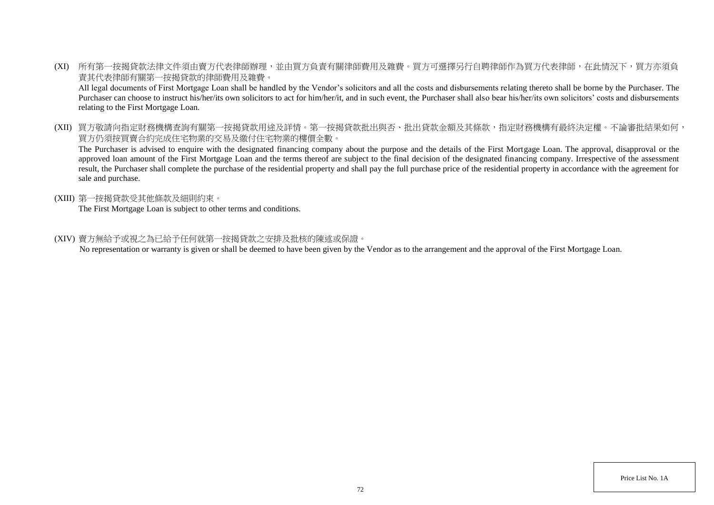(XI) 所有第一按揭貸款法律文件須由賣方代表律師辦理,並由買方負責有關律師費用及雜費。買方可選擇另行自聘律師作為買方代表律師,在此情況下,買方亦須負 責其代表律師有關第一按揭貸款的律師費用及雜費。

All legal documents of First Mortgage Loan shall be handled by the Vendor's solicitors and all the costs and disbursements relating thereto shall be borne by the Purchaser. The Purchaser can choose to instruct his/her/its own solicitors to act for him/her/it, and in such event, the Purchaser shall also bear his/her/its own solicitors' costs and disbursements relating to the First Mortgage Loan.

(XII) 買方敬請向指定財務機構查詢有關第一按揭貸款用途及詳情。第一按揭貸款批出與否、批出貸款金額及其條款,指定財務機構有最終決定權。不論審批結果如何, 買方仍須按買賣合約完成住宅物業的交易及繳付住宅物業的樓價全數。

The Purchaser is advised to enquire with the designated financing company about the purpose and the details of the First Mortgage Loan. The approval, disapproval or the approved loan amount of the First Mortgage Loan and the terms thereof are subject to the final decision of the designated financing company. Irrespective of the assessment result, the Purchaser shall complete the purchase of the residential property and shall pay the full purchase price of the residential property in accordance with the agreement for sale and purchase.

(XIII) 第一按揭貸款受其他條款及細則約束。

The First Mortgage Loan is subject to other terms and conditions.

(XIV) 賣方無給予或視之為已給予任何就第一按揭貸款之安排及批核的陳述或保證。

No representation or warranty is given or shall be deemed to have been given by the Vendor as to the arrangement and the approval of the First Mortgage Loan.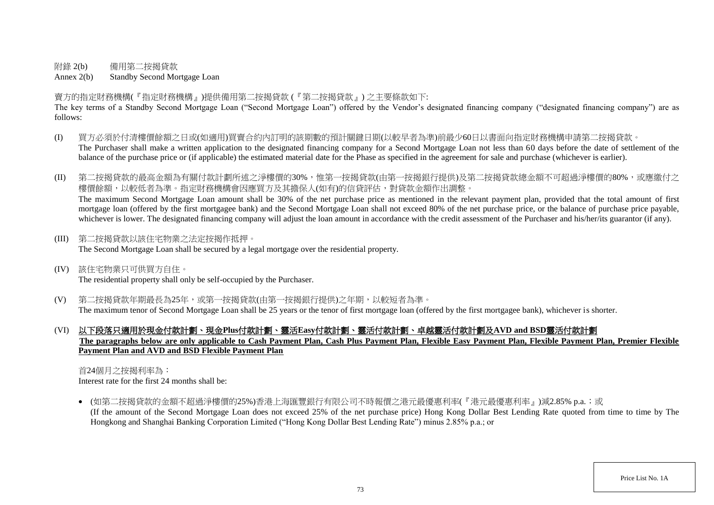附錄 2(b) 備用第二按揭貸款

Annex 2(b) Standby Second Mortgage Loan

賣方的指定財務機構(『指定財務機構』)提供備用第二按揭貸款 (『第二按揭貸款』) 之主要條款如下:

The key terms of a Standby Second Mortgage Loan ("Second Mortgage Loan") offered by the Vendor's designated financing company ("designated financing company") are as follows:

- (I) 買方必須於付清樓價餘額之日或(如適用)買賣合約內訂明的該期數的預計關鍵日期(以較早者為準)前最少60日以書面向指定財務機構申請第二按揭貸款。 The Purchaser shall make a written application to the designated financing company for a Second Mortgage Loan not less than 60 days before the date of settlement of the balance of the purchase price or (if applicable) the estimated material date for the Phase as specified in the agreement for sale and purchase (whichever is earlier).
- (II) 第二按揭貸款的最高金額為有關付款計劃所述之淨樓價的30%,惟第一按揭貸款(由第一按揭銀行提供)及第二按揭貸款總金額不可超過淨樓價的80%,或應繳付之 樓價餘額,以較低者為準。指定財務機構會因應買方及其擔保人(如有)的信貸評估,對貸款金額作出調整。 The maximum Second Mortgage Loan amount shall be 30% of the net purchase price as mentioned in the relevant payment plan, provided that the total amount of first mortgage loan (offered by the first mortgagee bank) and the Second Mortgage Loan shall not exceed 80% of the net purchase price, or the balance of purchase price payable, whichever is lower. The designated financing company will adjust the loan amount in accordance with the credit assessment of the Purchaser and his/her/its guarantor (if any).
- (III) 第二按揭貸款以該住宅物業之法定按揭作抵押。 The Second Mortgage Loan shall be secured by a legal mortgage over the residential property.
- (IV) 該住宅物業只可供買方自住。 The residential property shall only be self-occupied by the Purchaser.
- (V) 第二按揭貸款年期最長為25年,或第一按揭貸款(由第一按揭銀行提供)之年期,以較短者為準。 The maximum tenor of Second Mortgage Loan shall be 25 years or the tenor of first mortgage loan (offered by the first mortgagee bank), whichever is shorter.
- (VI) 以下段落只適用於現金付款計劃、現金**Plus**付款計劃、靈活**Easy**付款計劃、靈活付款計劃、卓越靈活付款計劃及**AVD and BSD**靈活付款計劃 **The paragraphs below are only applicable to Cash Payment Plan, Cash Plus Payment Plan, Flexible Easy Payment Plan, Flexible Payment Plan, Premier Flexible Payment Plan and AVD and BSD Flexible Payment Plan**

首24個月之按揭利率為:

Interest rate for the first 24 months shall be:

● (如第二按揭貸款的金額不超過淨樓價的25%)香港上海匯豐銀行有限公司不時報價之港元最優惠利率(『港元最優惠利率』)減2.85% p.a.;或 (If the amount of the Second Mortgage Loan does not exceed 25% of the net purchase price) Hong Kong Dollar Best Lending Rate quoted from time to time by The Hongkong and Shanghai Banking Corporation Limited ("Hong Kong Dollar Best Lending Rate") minus 2.85% p.a.; or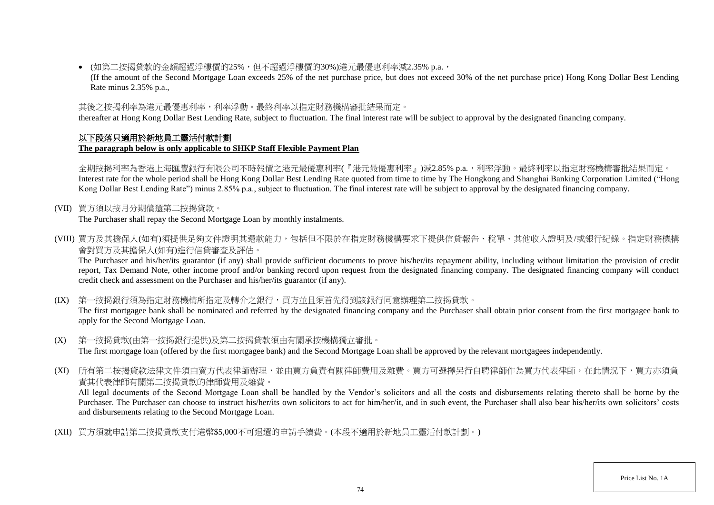(如第二按揭貸款的金額超過淨樓價的25%,但不超過淨樓價的30%)港元最優惠利率減2.35% p.a.,

(If the amount of the Second Mortgage Loan exceeds 25% of the net purchase price, but does not exceed 30% of the net purchase price) Hong Kong Dollar Best Lending Rate minus 2.35% p.a.,

# 其後之按揭利率為港元最優惠利率,利率浮動。最終利率以指定財務機構審批結果而定。

thereafter at Hong Kong Dollar Best Lending Rate, subject to fluctuation. The final interest rate will be subject to approval by the designated financing company.

### 以下段落只適用於新地員工靈活付款計劃 **The paragraph below is only applicable to SHKP Staff Flexible Payment Plan**

全期按揭利率為香港上海匯豐銀行有限公司不時報價之港元最優惠利率(『港元最優惠利率』)減2.85% p.a.,利率浮動。最終利率以指定財務機構審批結果而定。 Interest rate for the whole period shall be Hong Kong Dollar Best Lending Rate quoted from time to time by The Hongkong and Shanghai Banking Corporation Limited ("Hong Kong Dollar Best Lending Rate") minus 2.85% p.a., subject to fluctuation. The final interest rate will be subject to approval by the designated financing company.

# (VII) 買方須以按月分期償還第二按揭貸款。

The Purchaser shall repay the Second Mortgage Loan by monthly instalments.

(VIII) 買方及其擔保人(如有)須提供足夠文件證明其還款能力,包括但不限於在指定財務機構要求下提供信貸報告、稅單、其他收入證明及/或銀行紀錄。指定財務機構 會對買方及其擔保人(如有)進行信貸審查及評估。

The Purchaser and his/her/its guarantor (if any) shall provide sufficient documents to prove his/her/its repayment ability, including without limitation the provision of credit report, Tax Demand Note, other income proof and/or banking record upon request from the designated financing company. The designated financing company will conduct credit check and assessment on the Purchaser and his/her/its guarantor (if any).

(IX) 第一按揭銀行須為指定財務機構所指定及轉介之銀行,買方並且須首先得到該銀行同意辦理第二按揭貸款。

The first mortgagee bank shall be nominated and referred by the designated financing company and the Purchaser shall obtain prior consent from the first mortgagee bank to apply for the Second Mortgage Loan.

- (X) 第一按揭貸款(由第一按揭銀行提供)及第二按揭貸款須由有關承按機構獨立審批。 The first mortgage loan (offered by the first mortgagee bank) and the Second Mortgage Loan shall be approved by the relevant mortgagees independently.
- (XI) 所有第二按揭貸款法律文件須由賣方代表律師辦理,並由買方負責有關律師費用及雜費。買方可選擇另行自聘律師作為買方代表律師,在此情況下,買方亦須負 責其代表律師有關第二按揭貸款的律師費用及雜費。

All legal documents of the Second Mortgage Loan shall be handled by the Vendor's solicitors and all the costs and disbursements relating thereto shall be borne by the Purchaser. The Purchaser can choose to instruct his/her/its own solicitors to act for him/her/it, and in such event, the Purchaser shall also bear his/her/its own solicitors' costs and disbursements relating to the Second Mortgage Loan.

(XII) 買方須就申請第二按揭貸款支付港幣\$5,000不可退還的申請手續費。(本段不適用於新地員工靈活付款計劃。)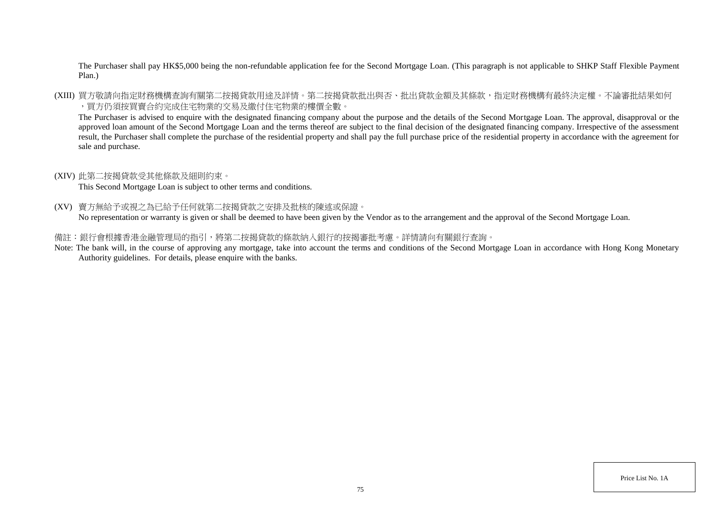The Purchaser shall pay HK\$5,000 being the non-refundable application fee for the Second Mortgage Loan. (This paragraph is not applicable to SHKP Staff Flexible Payment Plan.)

(XIII) 買方敬請向指定財務機構查詢有關第二按揭貸款用途及詳情。第二按揭貸款批出與否、批出貸款金額及其條款,指定財務機構有最終決定權。不論審批結果如何 ,買方仍須按買賣合約完成住宅物業的交易及繳付住宅物業的樓價全數。

The Purchaser is advised to enquire with the designated financing company about the purpose and the details of the Second Mortgage Loan. The approval, disapproval or the approved loan amount of the Second Mortgage Loan and the terms thereof are subject to the final decision of the designated financing company. Irrespective of the assessment result, the Purchaser shall complete the purchase of the residential property and shall pay the full purchase price of the residential property in accordance with the agreement for sale and purchase.

#### (XIV) 此第二按揭貸款受其他條款及細則約束。

This Second Mortgage Loan is subject to other terms and conditions.

(XV) 賣方無給予或視之為已給予任何就第二按揭貸款之安排及批核的陳述或保證。

No representation or warranty is given or shall be deemed to have been given by the Vendor as to the arrangement and the approval of the Second Mortgage Loan.

#### 備註:銀行會根據香港金融管理局的指引,將第二按揭貸款的條款納入銀行的按揭審批考慮。詳情請向有關銀行查詢。

Note: The bank will, in the course of approving any mortgage, take into account the terms and conditions of the Second Mortgage Loan in accordance with Hong Kong Monetary Authority guidelines. For details, please enquire with the banks.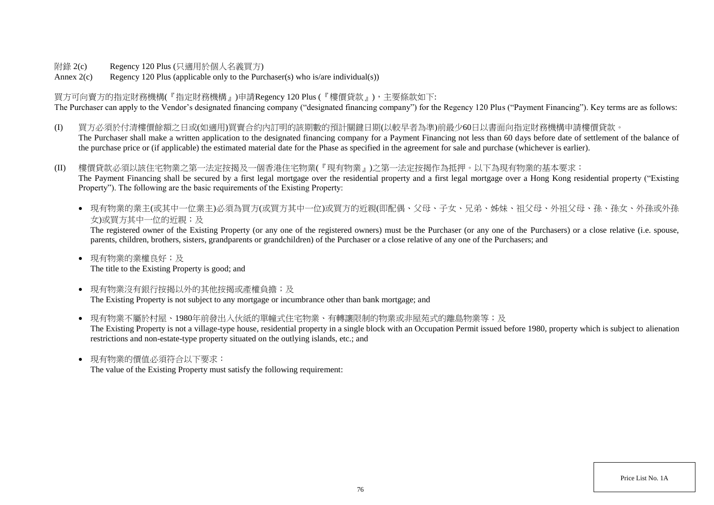附錄 2(c) Regency 120 Plus (只適用於個人名義買方)

Annex  $2(c)$  Regency 120 Plus (applicable only to the Purchaser(s) who is/are individual(s))

買方可向賣方的指定財務機構(『指定財務機構』)申請Regency 120 Plus (『樓價貸款』),主要條款如下: The Purchaser can apply to the Vendor's designated financing company ("designated financing company") for the Regency 120 Plus ("Payment Financing"). Key terms are as follows:

- (I) 買方必須於付清樓價餘額之日或(如適用)買賣合約內訂明的該期數的預計關鍵日期(以較早者為準)前最少60日以書面向指定財務機構申請樓價貸款。 The Purchaser shall make a written application to the designated financing company for a Payment Financing not less than 60 days before date of settlement of the balance of the purchase price or (if applicable) the estimated material date for the Phase as specified in the agreement for sale and purchase (whichever is earlier).
- (II) 樓價貸款必須以該住宅物業之第一法定按揭及一個香港住宅物業(『現有物業』)之第一法定按揭作為抵押。以下為現有物業的基本要求: The Payment Financing shall be secured by a first legal mortgage over the residential property and a first legal mortgage over a Hong Kong residential property ("Existing Property"). The following are the basic requirements of the Existing Property:
	- 現有物業的業主(或其中一位業主)必須為買方(或買方其中一位)或買方的近親(即配偶、父母、子女、兄弟、姊妹、祖父母、外祖父母、孫、孫女、外孫或外孫 女)或買方其中一位的近親;及

The registered owner of the Existing Property (or any one of the registered owners) must be the Purchaser (or any one of the Purchasers) or a close relative (i.e. spouse, parents, children, brothers, sisters, grandparents or grandchildren) of the Purchaser or a close relative of any one of the Purchasers; and

- 現有物業的業權良好;及 The title to the Existing Property is good; and
- 現有物業沒有銀行按揭以外的其他按揭或產權負擔;及 The Existing Property is not subject to any mortgage or incumbrance other than bank mortgage; and
- 現有物業不屬於村屋、1980年前發出入伙紙的單幢式住宅物業、有轉讓限制的物業或非屋苑式的離島物業等;及 The Existing Property is not a village-type house, residential property in a single block with an Occupation Permit issued before 1980, property which is subject to alienation restrictions and non-estate-type property situated on the outlying islands, etc.; and
- 現有物業的價值必須符合以下要求:

The value of the Existing Property must satisfy the following requirement: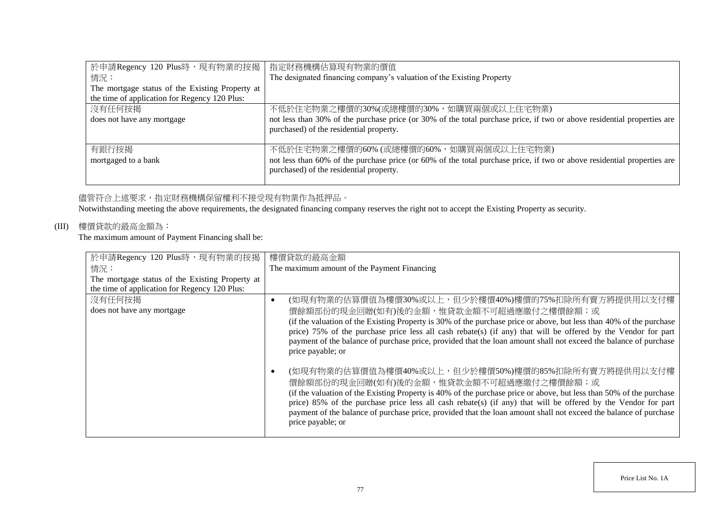| 於申請Regency 120 Plus時,現有物業的按揭                    | 指定財務機構估算現有物業的價值                                                                                                         |  |
|-------------------------------------------------|-------------------------------------------------------------------------------------------------------------------------|--|
| 情況:                                             | The designated financing company's valuation of the Existing Property                                                   |  |
| The mortgage status of the Existing Property at |                                                                                                                         |  |
| the time of application for Regency 120 Plus:   |                                                                                                                         |  |
| 沒有任何按揭                                          | 不低於住宅物業之樓價的30%(或總樓價的30%,如購買兩個或以上住宅物業)                                                                                   |  |
| does not have any mortgage                      | not less than 30% of the purchase price (or 30% of the total purchase price, if two or above residential properties are |  |
|                                                 | purchased) of the residential property.                                                                                 |  |
|                                                 |                                                                                                                         |  |
| 有銀行按揭                                           | 不低於住宅物業之樓價的60% (或總樓價的60%, 如購買兩個或以上住宅物業)                                                                                 |  |
| mortgaged to a bank                             | not less than 60% of the purchase price (or 60% of the total purchase price, if two or above residential properties are |  |
|                                                 | purchased) of the residential property.                                                                                 |  |
|                                                 |                                                                                                                         |  |

## 儘管符合上述要求,指定財務機構保留權利不接受現有物業作為抵押品。

Notwithstanding meeting the above requirements, the designated financing company reserves the right not to accept the Existing Property as security.

# (III) 樓價貸款的最高金額為:

The maximum amount of Payment Financing shall be:

| 於申請Regency 120 Plus時,現有物業的按揭                    | 樓價貸款的最高金額                                                                                                           |
|-------------------------------------------------|---------------------------------------------------------------------------------------------------------------------|
| 情況:                                             | The maximum amount of the Payment Financing                                                                         |
| The mortgage status of the Existing Property at |                                                                                                                     |
| the time of application for Regency 120 Plus:   |                                                                                                                     |
| 沒有任何按揭                                          | (如現有物業的估算價值為樓價30%或以上,但少於樓價40%)樓價的75%扣除所有賣方將提供用以支付樓                                                                  |
| does not have any mortgage                      | 價餘額部份的現金回贈(如有)後的金額,惟貸款金額不可超過應繳付之樓價餘額;或                                                                              |
|                                                 | (if the valuation of the Existing Property is 30% of the purchase price or above, but less than 40% of the purchase |
|                                                 | price) 75% of the purchase price less all cash rebate(s) (if any) that will be offered by the Vendor for part       |
|                                                 | payment of the balance of purchase price, provided that the loan amount shall not exceed the balance of purchase    |
|                                                 | price payable; or                                                                                                   |
|                                                 |                                                                                                                     |
|                                                 | (如現有物業的估算價值為樓價40%或以上,但少於樓價50%)樓價的85%扣除所有賣方將提供用以支付樓                                                                  |
|                                                 | 價餘額部份的現金回贈(如有)後的金額,惟貸款金額不可超過應繳付之樓價餘額;或                                                                              |
|                                                 | (if the valuation of the Existing Property is 40% of the purchase price or above, but less than 50% of the purchase |
|                                                 | price) 85% of the purchase price less all cash rebate(s) (if any) that will be offered by the Vendor for part       |
|                                                 | payment of the balance of purchase price, provided that the loan amount shall not exceed the balance of purchase    |
|                                                 | price payable; or                                                                                                   |
|                                                 |                                                                                                                     |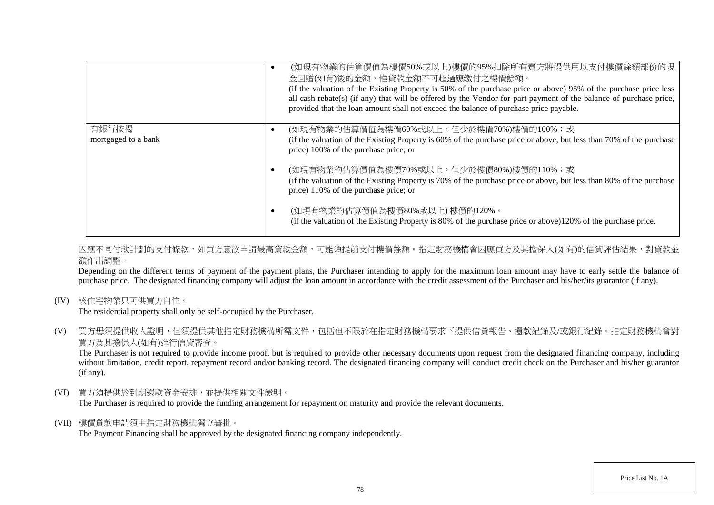|                     | (如現有物業的估算價值為樓價50%或以上)樓價的95%扣除所有賣方將提供用以支付樓價餘額部份的現<br>金回贈(如有)後的金額,惟貸款金額不可超過應繳付之樓價餘額。<br>(if the valuation of the Existing Property is 50% of the purchase price or above) 95% of the purchase price less<br>all cash rebate(s) (if any) that will be offered by the Vendor for part payment of the balance of purchase price,<br>provided that the loan amount shall not exceed the balance of purchase price payable. |
|---------------------|----------------------------------------------------------------------------------------------------------------------------------------------------------------------------------------------------------------------------------------------------------------------------------------------------------------------------------------------------------------------------------------------------------------------|
| 有銀行按揭               | (如現有物業的估算價值為樓價60%或以上,但少於樓價70%)樓價的100%;或<br>$\bullet$                                                                                                                                                                                                                                                                                                                                                                 |
| mortgaged to a bank | (if the valuation of the Existing Property is 60% of the purchase price or above, but less than 70% of the purchase<br>price) 100% of the purchase price; or                                                                                                                                                                                                                                                         |
|                     | (如現有物業的估算價值為樓價70%或以上,但少於樓價80%)樓價的110%;或<br>$\bullet$                                                                                                                                                                                                                                                                                                                                                                 |
|                     | (if the valuation of the Existing Property is 70% of the purchase price or above, but less than 80% of the purchase<br>price) 110% of the purchase price; or                                                                                                                                                                                                                                                         |
|                     | (如現有物業的估算價值為樓價80%或以上)樓價的120%。<br>(if the valuation of the Existing Property is 80% of the purchase price or above)120% of the purchase price.                                                                                                                                                                                                                                                                        |

因應不同付款計劃的支付條款,如買方意欲申請最高貸款金額,可能須提前支付樓價餘額。指定財務機構會因應買方及其擔保人(如有)的信貸評估結果,對貸款金 額作出調整。

Depending on the different terms of payment of the payment plans, the Purchaser intending to apply for the maximum loan amount may have to early settle the balance of purchase price. The designated financing company will adjust the loan amount in accordance with the credit assessment of the Purchaser and his/her/its guarantor (if any).

(IV) 該住宅物業只可供買方自住。

The residential property shall only be self-occupied by the Purchaser.

(V) 買方毋須提供收入證明,但須提供其他指定財務機構所需文件,包括但不限於在指定財務機構要求下提供信貸報告、還款紀錄及/或銀行紀錄。指定財務機構會對 買方及其擔保人(如有)進行信貸審查。

The Purchaser is not required to provide income proof, but is required to provide other necessary documents upon request from the designated financing company, including without limitation, credit report, repayment record and/or banking record. The designated financing company will conduct credit check on the Purchaser and his/her guarantor (if any).

(VI) 買方須提供於到期還款資金安排,並提供相關文件證明。

The Purchaser is required to provide the funding arrangement for repayment on maturity and provide the relevant documents.

(VII) 樓價貸款申請須由指定財務機構獨立審批。

The Payment Financing shall be approved by the designated financing company independently.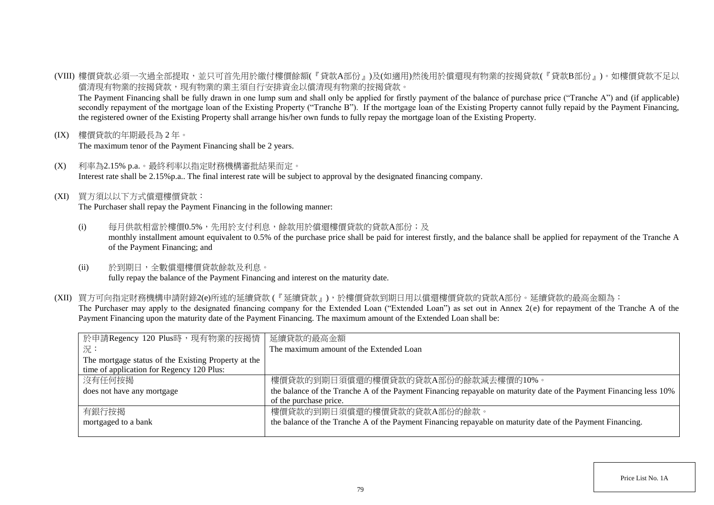(VIII) 樓價貸款必須一次過全部提取,並只可首先用於繳付樓價餘額(『貸款A部份』)及(如適用)然後用於償還現有物業的按揭貸款(『貸款B部份』)。如樓價貸款不足以 償清現有物業的按揭貸款,現有物業的業主須自行安排資金以償清現有物業的按揭貸款。

The Payment Financing shall be fully drawn in one lump sum and shall only be applied for firstly payment of the balance of purchase price ("Tranche A") and (if applicable) secondly repayment of the mortgage loan of the Existing Property ("Tranche B"). If the mortgage loan of the Existing Property cannot fully repaid by the Payment Financing, the registered owner of the Existing Property shall arrange his/her own funds to fully repay the mortgage loan of the Existing Property.

(IX) 樓價貸款的年期最長為 2 年。

The maximum tenor of the Payment Financing shall be 2 years.

- (X) 利率為2.15% p.a.。最終利率以指定財務機構審批結果而定。 Interest rate shall be 2.15%p.a.. The final interest rate will be subject to approval by the designated financing company.
- (XI) 買方須以以下方式償還樓價貸款:

The Purchaser shall repay the Payment Financing in the following manner:

- (i) 每月供款相當於樓價0.5%,先用於支付利息,餘款用於償還樓價貸款的貸款A部份;及 monthly installment amount equivalent to 0.5% of the purchase price shall be paid for interest firstly, and the balance shall be applied for repayment of the Tranche A of the Payment Financing; and
- (ii) 於到期日,全數償還樓價貸款餘款及利息。 fully repay the balance of the Payment Financing and interest on the maturity date.
- (XII) 買方可向指定財務機構申請附錄2(e)所述的延續貸款 (『延續貸款』),於樓價貸款到期日用以償還樓價貸款的貸款A部份。延續貸款的最高金額為: The Purchaser may apply to the designated financing company for the Extended Loan ("Extended Loan") as set out in Annex 2(e) for repayment of the Tranche A of the Payment Financing upon the maturity date of the Payment Financing. The maximum amount of the Extended Loan shall be:

| 於申請Regency 120 Plus時,現有物業的按揭情                       | 延續貸款的最高金額                                                                                                          |  |
|-----------------------------------------------------|--------------------------------------------------------------------------------------------------------------------|--|
| 一況:                                                 | The maximum amount of the Extended Loan                                                                            |  |
| The mortgage status of the Existing Property at the |                                                                                                                    |  |
| time of application for Regency 120 Plus:           |                                                                                                                    |  |
| 沒有任何按揭                                              | 樓價貸款的到期日須償還的樓價貸款的貸款A部份的餘款減去樓價的10%。                                                                                 |  |
| does not have any mortgage                          | the balance of the Tranche A of the Payment Financing repayable on maturity date of the Payment Financing less 10% |  |
|                                                     | of the purchase price.                                                                                             |  |
| 有銀行按揭                                               | 樓價貸款的到期日須償還的樓價貸款的貸款A部份的餘款。                                                                                         |  |
| mortgaged to a bank                                 | the balance of the Tranche A of the Payment Financing repayable on maturity date of the Payment Financing.         |  |
|                                                     |                                                                                                                    |  |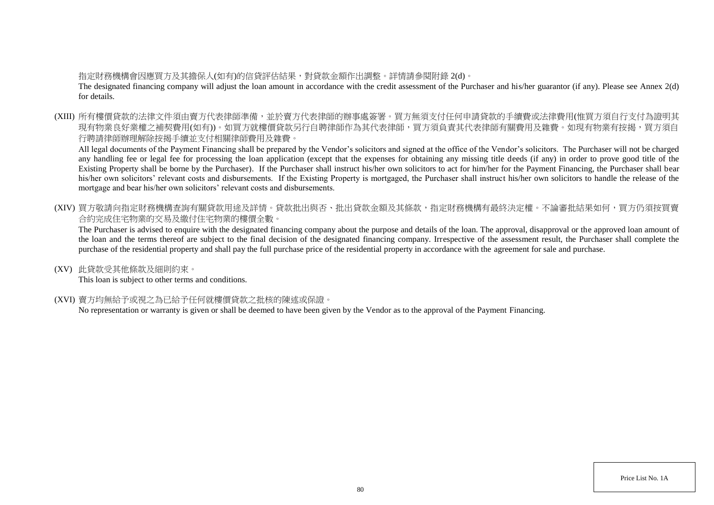# 指定財務機構會因應買方及其擔保人(如有)的信貸評估結果,對貸款金額作出調整。詳情請參閱附錄 2(d)。

The designated financing company will adjust the loan amount in accordance with the credit assessment of the Purchaser and his/her guarantor (if any). Please see Annex 2(d) for details.

(XIII) 所有樓價貸款的法律文件須由賣方代表律師準備,並於賣方代表律師的辦事處簽署。買方無須支付任何申請貸款的手續費或法律費用(惟買方須自行支付為證明其 現有物業良好業權之補契費用(如有))。如買方就樓價貸款另行自聘律師作為其代表律師,買方須負責其代表律師有關費用及雜費。如現有物業有按揭,買方須自 行聘請律師辦理解除按揭手續並支付相關律師費用及雜費。

All legal documents of the Payment Financing shall be prepared by the Vendor's solicitors and signed at the office of the Vendor's solicitors. The Purchaser will not be charged any handling fee or legal fee for processing the loan application (except that the expenses for obtaining any missing title deeds (if any) in order to prove good title of the Existing Property shall be borne by the Purchaser). If the Purchaser shall instruct his/her own solicitors to act for him/her for the Payment Financing, the Purchaser shall bear his/her own solicitors' relevant costs and disbursements. If the Existing Property is mortgaged, the Purchaser shall instruct his/her own solicitors to handle the release of the mortgage and bear his/her own solicitors' relevant costs and disbursements.

(XIV) 買方敬請向指定財務機構查詢有關貸款用途及詳情。貸款批出與否、批出貸款金額及其條款,指定財務機構有最終決定權。不論審批結果如何,買方仍須按買賣 合約完成住宅物業的交易及繳付住宅物業的樓價全數。

The Purchaser is advised to enquire with the designated financing company about the purpose and details of the loan. The approval, disapproval or the approved loan amount of the loan and the terms thereof are subject to the final decision of the designated financing company. Irrespective of the assessment result, the Purchaser shall complete the purchase of the residential property and shall pay the full purchase price of the residential property in accordance with the agreement for sale and purchase.

(XV) 此貸款受其他條款及細則約束。

This loan is subject to other terms and conditions.

(XVI) 賣方均無給予或視之為已給予任何就樓價貸款之批核的陳述或保證。

No representation or warranty is given or shall be deemed to have been given by the Vendor as to the approval of the Payment Financing.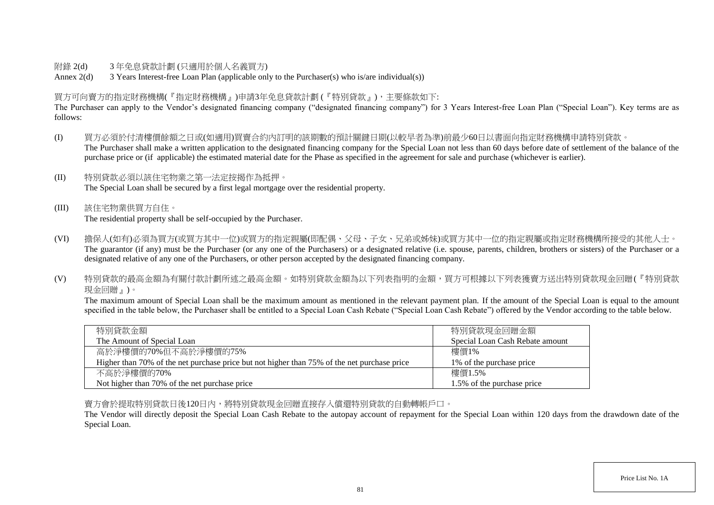### 附錄 2(d) 3 年免息貸款計劃 (只適用於個人名義買方)

Annex 2(d) 3 Years Interest-free Loan Plan (applicable only to the Purchaser(s) who is/are individual(s))

## 買方可向賣方的指定財務機構(『指定財務機構』)申請3年免息貸款計劃 (『特別貸款』),主要條款如下:

The Purchaser can apply to the Vendor's designated financing company ("designated financing company") for 3 Years Interest-free Loan Plan ("Special Loan"). Key terms are as follows:

- (I) 買方必須於付清樓價餘額之日或(如適用)買賣合約內訂明的該期數的預計關鍵日期(以較早者為準)前最少60日以書面向指定財務機構申請特別貸款。 The Purchaser shall make a written application to the designated financing company for the Special Loan not less than 60 days before date of settlement of the balance of the purchase price or (if applicable) the estimated material date for the Phase as specified in the agreement for sale and purchase (whichever is earlier).
- (II) 特別貸款必須以該住宅物業之第一法定按揭作為抵押。 The Special Loan shall be secured by a first legal mortgage over the residential property.
- (III) 該住宅物業供買方自住。 The residential property shall be self-occupied by the Purchaser.
- (VI) 擔保人(如有)必須為買方(或買方其中一位)或買方的指定親屬(即配偶、父母、子女、兄弟或姊妹)或買方其中一位的指定親屬或指定財務機構所接受的其他人士。 The guarantor (if any) must be the Purchaser (or any one of the Purchasers) or a designated relative (i.e. spouse, parents, children, brothers or sisters) of the Purchaser or a designated relative of any one of the Purchasers, or other person accepted by the designated financing company.
- (V) 特別貸款的最高金額為有關付款計劃所述之最高金額。如特別貸款金額為以下列表指明的金額,買方可根據以下列表獲賣方送出特別貸款現金回贈(『特別貸款 現金回贈』)。

The maximum amount of Special Loan shall be the maximum amount as mentioned in the relevant payment plan. If the amount of the Special Loan is equal to the amount specified in the table below, the Purchaser shall be entitled to a Special Loan Cash Rebate ("Special Loan Cash Rebate") offered by the Vendor according to the table below.

| 特別貸款金額                                                                                      | 特別貸款現金回贈金額                      |
|---------------------------------------------------------------------------------------------|---------------------------------|
| The Amount of Special Loan                                                                  | Special Loan Cash Rebate amount |
| 高於淨樓價的70%但不高於淨樓價的75%                                                                        | 樓價1%                            |
| Higher than 70% of the net purchase price but not higher than 75% of the net purchase price | 1\% of the purchase price       |
| 不高於淨樓價的70%                                                                                  | 樓價1.5%                          |
| Not higher than 70% of the net purchase price                                               | 1.5% of the purchase price      |

賣方會於提取特別貸款日後120日內,將特別貸款現金回贈直接存入償還特別貸款的自動轉帳戶口。

The Vendor will directly deposit the Special Loan Cash Rebate to the autopay account of repayment for the Special Loan within 120 days from the drawdown date of the Special Loan.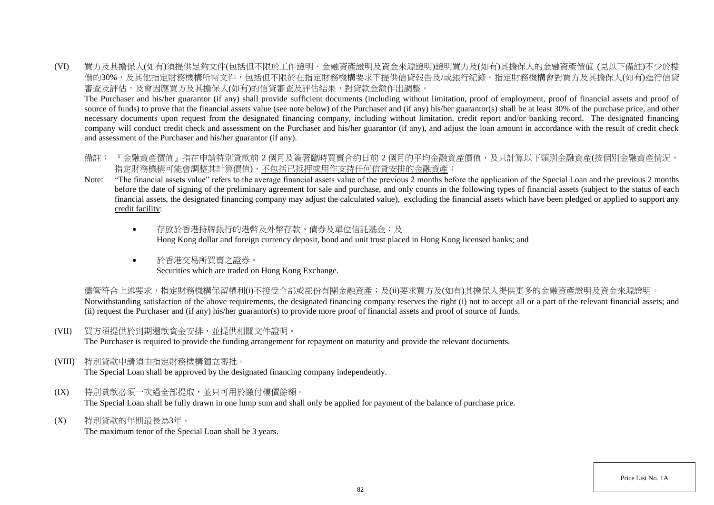(VI) 買方及其擔保人(如有)須提供足夠文件(包括但不限於工作證明、金融資產證明及資金來源證明)證明買方及(如有)其擔保人的金融資產價值 (見以下備註)不少於樓 價的30%,及其他指定財務機構所需文件,包括但不限於在指定財務機構要求下提供信貸報告及/或銀行紀錄。指定財務機構會對買方及其擔保人(如有)進行信貸 審查及評估,及會因應買方及其擔保人(如有)的信貸審查及評估結果,對貸款金額作出調整。

The Purchaser and his/her guarantor (if any) shall provide sufficient documents (including without limitation, proof of employment, proof of financial assets and proof of source of funds) to prove that the financial assets value (see note below) of the Purchaser and (if any) his/her guarantor(s) shall be at least 30% of the purchase price, and other necessary documents upon request from the designated financing company, including without limitation, credit report and/or banking record. The designated financing company will conduct credit check and assessment on the Purchaser and his/her guarantor (if any), and adjust the loan amount in accordance with the result of credit check and assessment of the Purchaser and his/her guarantor (if any).

- 備註: 『金融資產價值』指在申請特別貸款前 2 個月及簽署臨時買賣合約日前 2 個月的平均金融資產價值,及只計算以下類別金融資產(按個別金融資產情況, 指定財務機構可能會調整其計算價值),不包括已抵押或用作支持任何信貸安排的金融資產:
- Note: "The financial assets value" refers to the average financial assets value of the previous 2 months before the application of the Special Loan and the previous 2 months before the date of signing of the preliminary agreement for sale and purchase, and only counts in the following types of financial assets (subject to the status of each financial assets, the designated financing company may adjust the calculated value), excluding the financial assets which have been pledged or applied to support any credit facility:
	- 存放於香港特牌銀行的港幣及外幣存款、債券及單位信託基金;及 Hong Kong dollar and foreign currency deposit, bond and unit trust placed in Hong Kong licensed banks; and
	- 於香港交易所買賣之證券。 Securities which are traded on Hong Kong Exchange.

儘管符合上述要求,指定財務機構保留權利(i)不接受全部或部份有關金融資產;及(ii)要求買方及(如有)其擔保人提供更多的金融資產證明及資金來源證明。 Notwithstanding satisfaction of the above requirements, the designated financing company reserves the right (i) not to accept all or a part of the relevant financial assets; and (ii) request the Purchaser and (if any) his/her guarantor(s) to provide more proof of financial assets and proof of source of funds.

(VII) 買方須提供於到期還款資金安排,並提供相關文件證明。

The Purchaser is required to provide the funding arrangement for repayment on maturity and provide the relevant documents.

(VIII) 特別貸款申請須由指定財務機構獨立審批。

The Special Loan shall be approved by the designated financing company independently.

- (IX) 特別貸款必須一次過全部提取,並只可用於繳付樓價餘額。 The Special Loan shall be fully drawn in one lump sum and shall only be applied for payment of the balance of purchase price.
- (X) 特別貸款的年期最長為3年。

The maximum tenor of the Special Loan shall be 3 years.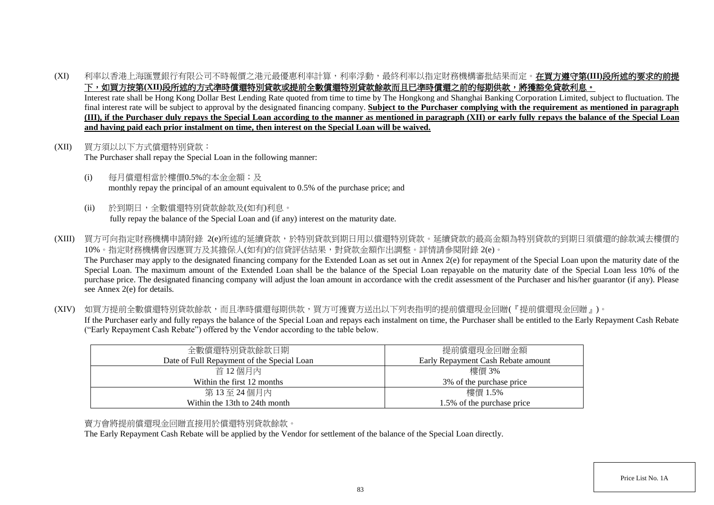(XI) 利率以香港上海匯豐銀行有限公司不時報價之港元最優惠利率計算,利率浮動,最終利率以指定財務機構審批結果而定。在買方遵守第**(III)**段所述的要求的前提 下,如買方按第(XII)段所述的方式準時償還特別貸款或提前全數償還特別貸款餘款而且已準時償還之前的每期供款,將獲豁免貸款利息。

Interest rate shall be Hong Kong Dollar Best Lending Rate quoted from time to time by The Hongkong and Shanghai Banking Corporation Limited, subject to fluctuation. The final interest rate will be subject to approval by the designated financing company. **Subject to the Purchaser complying with the requirement as mentioned in paragraph (III), if the Purchaser duly repays the Special Loan according to the manner as mentioned in paragraph (XII) or early fully repays the balance of the Special Loan and having paid each prior instalment on time, then interest on the Special Loan will be waived.**

- (XII) 買方須以以下方式償還特別貸款: The Purchaser shall repay the Special Loan in the following manner:
	- (i) 每月償還相當於樓價0.5%的本金金額;及 monthly repay the principal of an amount equivalent to 0.5% of the purchase price; and
	- (ii) 於到期日,全數償還特別貸款餘款及(如有)利息。 fully repay the balance of the Special Loan and (if any) interest on the maturity date.
- (XIII) 買方可向指定財務機構申請附錄 2(e)所述的延續貸款,於特別貸款到期日用以償還特別貸款。延續貸款的最高金額為特別貸款的到期日須償還的餘款減去樓價的 10%。指定財務機構會因應買方及其擔保人(如有)的信貸評估結果,對貸款金額作出調整。詳情請參閱附錄 2(e)。 The Purchaser may apply to the designated financing company for the Extended Loan as set out in Annex 2(e) for repayment of the Special Loan upon the maturity date of the Special Loan. The maximum amount of the Extended Loan shall be the balance of the Special Loan repayable on the maturity date of the Special Loan less 10% of the purchase price. The designated financing company will adjust the loan amount in accordance with the credit assessment of the Purchaser and his/her guarantor (if any). Please see Annex 2(e) for details.

(XIV) 如買方提前全數償還特別貸款餘款,而且準時償還每期供款,買方可獲賣方送出以下列表指明的提前償還現金回贈(『提前償還現金回贈』)。 If the Purchaser early and fully repays the balance of the Special Loan and repays each instalment on time, the Purchaser shall be entitled to the Early Repayment Cash Rebate ("Early Repayment Cash Rebate") offered by the Vendor according to the table below.

| 全數償還特別貸款餘款日期                               | 提前償還現金回贈金額                         |
|--------------------------------------------|------------------------------------|
| Date of Full Repayment of the Special Loan | Early Repayment Cash Rebate amount |
| 首 12 個月內                                   | 樓價 3%                              |
| Within the first 12 months                 | 3\% of the purchase price          |
| 第13至24個月內                                  | 樓價 1.5%                            |
| Within the 13th to 24th month              | 1.5% of the purchase price         |

### 賣方會將提前償還現金回贈直接用於償還特別貸款餘款。

The Early Repayment Cash Rebate will be applied by the Vendor for settlement of the balance of the Special Loan directly.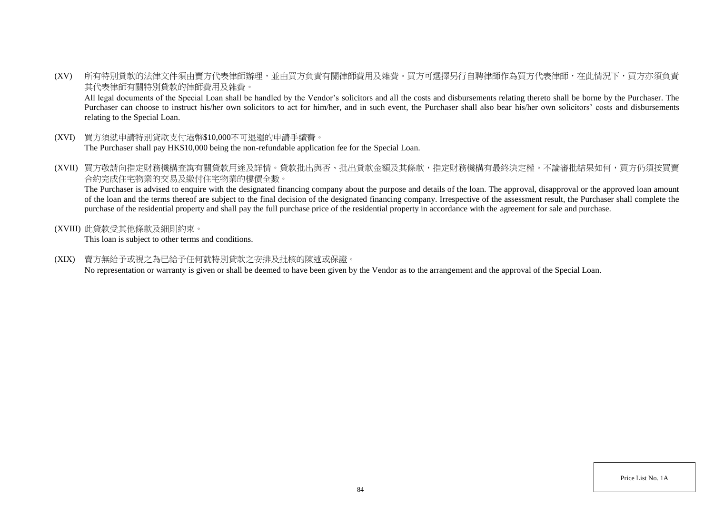(XV) 所有特別貸款的法律文件須由賣方代表律師辦理,並由買方負責有關律師費用及雜費。買方可選擇另行自聘律師作為買方代表律師,在此情況下,買方亦須負責 其代表律師有關特別貸款的律師費用及雜費。

All legal documents of the Special Loan shall be handled by the Vendor's solicitors and all the costs and disbursements relating thereto shall be borne by the Purchaser. The Purchaser can choose to instruct his/her own solicitors to act for him/her, and in such event, the Purchaser shall also bear his/her own solicitors' costs and disbursements relating to the Special Loan.

- (XVI) 買方須就申請特別貸款支付港幣\$10,000不可退還的申請手續費。 The Purchaser shall pay HK\$10,000 being the non-refundable application fee for the Special Loan.
- (XVII) 買方敬請向指定財務機構查詢有關貸款用途及詳情。貸款批出與否、批出貸款金額及其條款,指定財務機構有最終決定權。不論審批結果如何,買方仍須按買賣 合約完成住宅物業的交易及繳付住宅物業的樓價全數。

The Purchaser is advised to enquire with the designated financing company about the purpose and details of the loan. The approval, disapproval or the approved loan amount of the loan and the terms thereof are subject to the final decision of the designated financing company. Irrespective of the assessment result, the Purchaser shall complete the purchase of the residential property and shall pay the full purchase price of the residential property in accordance with the agreement for sale and purchase.

(XVIII) 此貸款受其他條款及細則約束。

This loan is subject to other terms and conditions.

(XIX) 賣方無給予或視之為已給予任何就特別貸款之安排及批核的陳述或保證。

No representation or warranty is given or shall be deemed to have been given by the Vendor as to the arrangement and the approval of the Special Loan.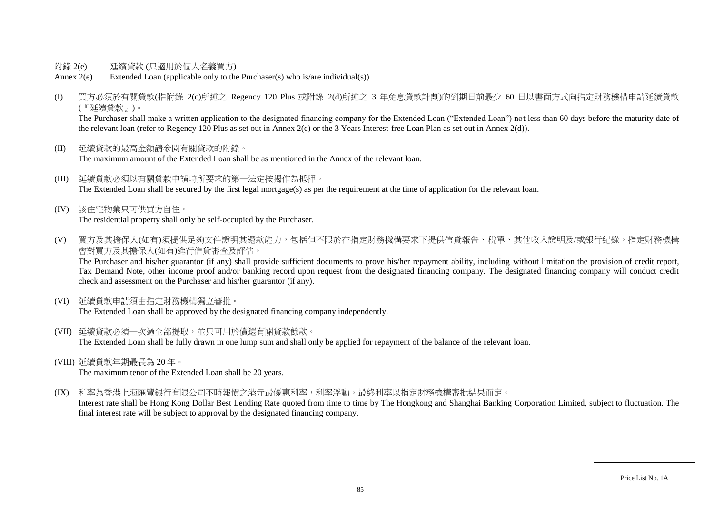- 附錄 2(e) 延續貸款 (只適用於個人名義買方)
- Annex 2(e) Extended Loan (applicable only to the Purchaser(s) who is/are individual(s))
- (I) 買方必須於有關貸款(指附錄 2(c)所述之 Regency 120 Plus 或附錄 2(d)所述之 3 年免息貸款計劃)的到期日前最少 60 日以書面方式向指定財務機構申請延續貸款 (『延續貸款』)。

The Purchaser shall make a written application to the designated financing company for the Extended Loan ("Extended Loan") not less than 60 days before the maturity date of the relevant loan (refer to Regency 120 Plus as set out in Annex 2(c) or the 3 Years Interest-free Loan Plan as set out in Annex 2(d)).

- (II) 延續貸款的最高金額請參閱有關貸款的附錄。 The maximum amount of the Extended Loan shall be as mentioned in the Annex of the relevant loan.
- (III) 延續貸款必須以有關貸款申請時所要求的第一法定按揭作為抵押。 The Extended Loan shall be secured by the first legal mortgage(s) as per the requirement at the time of application for the relevant loan.
- (IV) 該住宅物業只可供買方自住。 The residential property shall only be self-occupied by the Purchaser.
- (V) 買方及其擔保人(如有)須提供足夠文件證明其還款能力,包括但不限於在指定財務機構要求下提供信貸報告、稅單、其他收入證明及/或銀行紀錄。指定財務機構 會對買方及其擔保人(如有)進行信貸審查及評估。

The Purchaser and his/her guarantor (if any) shall provide sufficient documents to prove his/her repayment ability, including without limitation the provision of credit report, Tax Demand Note, other income proof and/or banking record upon request from the designated financing company. The designated financing company will conduct credit check and assessment on the Purchaser and his/her guarantor (if any).

(VI) 延續貸款申請須由指定財務機構獨立審批。

The Extended Loan shall be approved by the designated financing company independently.

- (VII) 延續貸款必須一次過全部提取,並只可用於償還有關貸款餘款。 The Extended Loan shall be fully drawn in one lump sum and shall only be applied for repayment of the balance of the relevant loan.
- (VIII) 延續貸款年期最長為 20 年。

The maximum tenor of the Extended Loan shall be 20 years.

(IX) 利率為香港上海匯豐銀行有限公司不時報價之港元最優惠利率,利率浮動。最終利率以指定財務機構審批結果而定。

Interest rate shall be Hong Kong Dollar Best Lending Rate quoted from time to time by The Hongkong and Shanghai Banking Corporation Limited, subject to fluctuation. The final interest rate will be subject to approval by the designated financing company.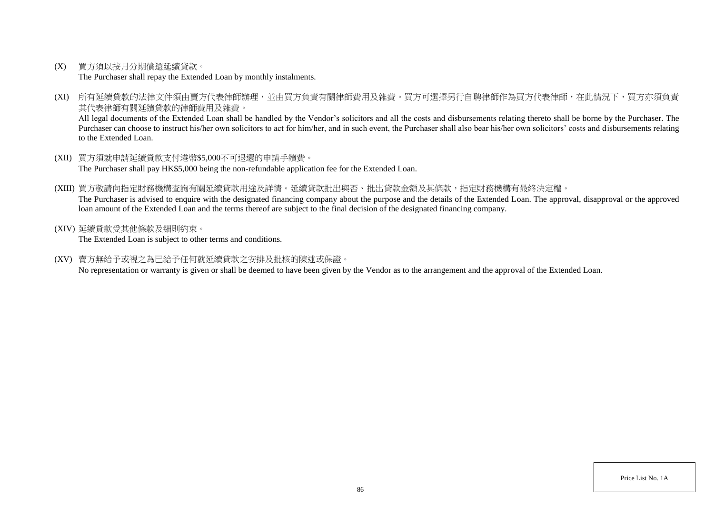(X) 買方須以按月分期償還延續貸款。

The Purchaser shall repay the Extended Loan by monthly instalments.

(XI) 所有延續貸款的法律文件須由賣方代表律師辦理,並由買方負責有關律師費用及雜費。買方可選擇另行自聘律師作為買方代表律師,在此情況下,買方亦須負責 其代表律師有關延續貸款的律師費用及雜費。

All legal documents of the Extended Loan shall be handled by the Vendor's solicitors and all the costs and disbursements relating thereto shall be borne by the Purchaser. The Purchaser can choose to instruct his/her own solicitors to act for him/her, and in such event, the Purchaser shall also bear his/her own solicitors' costs and disbursements relating to the Extended Loan.

- (XII) 買方須就申請延續貸款支付港幣\$5,000不可退還的申請手續費。 The Purchaser shall pay HK\$5,000 being the non-refundable application fee for the Extended Loan.
- (XIII) 買方敬請向指定財務機構查詢有關延續貸款用途及詳情。延續貸款批出與否、批出貸款金額及其條款,指定財務機構有最終決定權。 The Purchaser is advised to enquire with the designated financing company about the purpose and the details of the Extended Loan. The approval, disapproval or the approved loan amount of the Extended Loan and the terms thereof are subject to the final decision of the designated financing company.
- (XIV) 延續貸款受其他條款及細則約束。

The Extended Loan is subject to other terms and conditions.

(XV) 賣方無給予或視之為已給予任何就延續貸款之安排及批核的陳述或保證。

No representation or warranty is given or shall be deemed to have been given by the Vendor as to the arrangement and the approval of the Extended Loan.